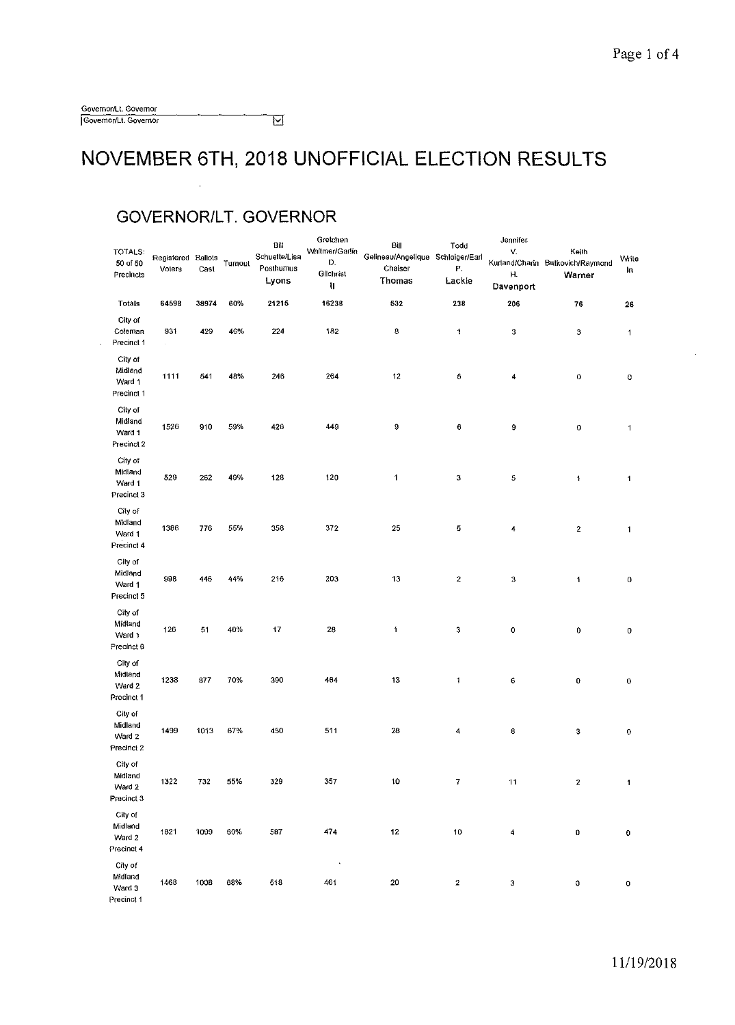| Governor/Lt. Governor |   |
|-----------------------|---|
| Governor/Lt. Governor | M |

#### **NOVEMBER 6TH, 2018 UNOFFICIAL ELECTION RESULTS**

#### **GOVERNOR/LT. GOVERNOR**

| TOTALS:<br>50 of 50<br>Precincts                      | Registered Ballots<br>Voters | Cast  | Turnout | Bill<br>Schuette/Lisa<br>Posthumus<br>Lyons | Gretchen<br>Whitmer/Garlin<br>D.<br>Gilchrist<br>Π | Bill<br>Gelineau/Angelique Schleiger/Earl<br>Chaiser<br><b>Thomas</b> | Todo<br>Ρ.<br>Lackie    | Jennifer<br>V.<br>н.<br>Davenport | Keith<br>Kurland/Charin Butkovich/Raymond<br>Warner | Write<br>In  |
|-------------------------------------------------------|------------------------------|-------|---------|---------------------------------------------|----------------------------------------------------|-----------------------------------------------------------------------|-------------------------|-----------------------------------|-----------------------------------------------------|--------------|
| Totals                                                | 64598                        | 38974 | 60%     | 21215                                       | 16238                                              | 532                                                                   | 238                     | 206                               | 76                                                  | 26           |
| City of<br>Coleman<br>Precinct 1                      | 931<br>v.                    | 429   | 46%     | 224                                         | 182                                                | 8                                                                     | 1                       | 3                                 | 3                                                   | 1            |
| City of<br>Midland<br>Ward 1<br>Precinct 1            | 1111                         | 541   | 48%     | 246                                         | 264                                                | $12 \,$                                                               | 5                       | 4                                 | 0                                                   | 0            |
| City of<br>Midiand<br>Ward 1<br>Precinct <sub>2</sub> | 1526                         | 910   | 59%     | 426                                         | 449                                                | 9                                                                     | 6                       | 9                                 | 0                                                   | $\mathbf{1}$ |
| City of<br>Midland<br>Ward 1<br>Precinct 3            | 529                          | 262   | 49%     | 128                                         | 120                                                | $\mathbf{1}$                                                          | 3                       | 5                                 | $\ddagger$                                          | 1            |
| City of<br>Midland<br>Ward 1<br>Precinct 4            | 1386                         | 776   | 55%     | 358                                         | 372                                                | 25                                                                    | 5                       | 4                                 | $\overline{\mathbf{z}}$                             | $\mathbf{1}$ |
| City of<br>Midland<br>Ward 1<br>Precinct 5            | 998                          | 446   | 44%     | 216                                         | 203                                                | 13                                                                    | $\boldsymbol{2}$        | 3                                 | 1                                                   | 0            |
| City of<br>Midland<br>Ward 1<br>Precinct 6            | 126                          | 51    | 40%     | 17                                          | 28                                                 | 1                                                                     | 3                       | 0                                 | 0                                                   | $\mathbf 0$  |
| City of<br>Midland<br>Ward 2<br>Precinct 1            | 1238                         | 877   | 70%     | 390                                         | 464                                                | 13                                                                    | $\overline{\mathbf{1}}$ | 6                                 | 0                                                   | 0            |
| City of<br>Midland<br>Ward 2<br>Precinct 2            | 1499                         | 1013  | 67%     | 450                                         | 511                                                | 28                                                                    | 4                       | 8                                 | 3                                                   | 0            |
| City of<br>Midland<br>Ward 2<br>Precinct 3            | 1322                         | 732   | 55%     | 329                                         | 357                                                | 10                                                                    | $\bf 7$                 | 11                                | $\mathbf 2$                                         | $\mathbf{1}$ |
| City of<br>Midland<br>Ward 2<br>Precinct 4            | 1821                         | 1099  | 60%     | 587                                         | 474                                                | $12 \text{ }$                                                         | 10                      | 4                                 | O                                                   | 0            |
| City of<br>Midland<br>Ward 3<br>Precinct 1            | 1468                         | 1008  | 68%     | 518                                         | $\tilde{\phantom{a}}$<br>461                       | 20                                                                    | $\bf{2}$                | 3                                 | 0                                                   | 0            |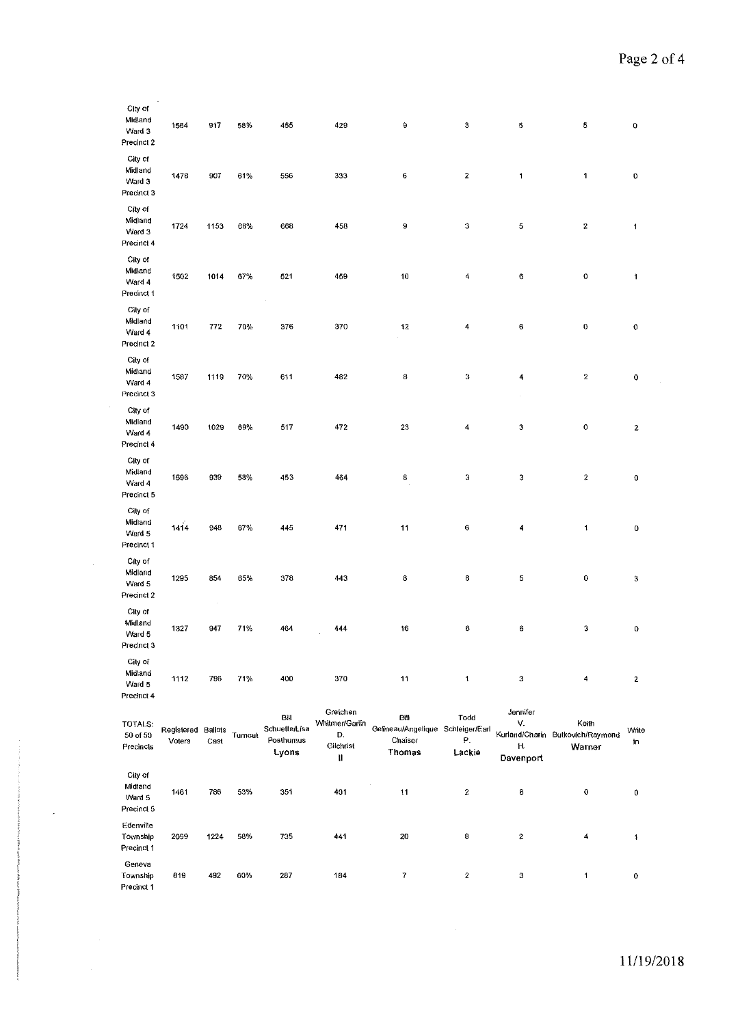| City of<br>Midland<br>Ward 3<br>Precinct 2 | 1564                 | 917                    | 58%     | 455                                               | 429                                                | 9                                                                   | 3                    | $\mathbf 5$                       | 5                                                   | 0            |
|--------------------------------------------|----------------------|------------------------|---------|---------------------------------------------------|----------------------------------------------------|---------------------------------------------------------------------|----------------------|-----------------------------------|-----------------------------------------------------|--------------|
| City of<br>Midland<br>Ward 3<br>Precinct 3 | 1478                 | 907                    | 61%     | 556                                               | 333                                                | 6                                                                   | $\overline{2}$       | $\mathbf{1}$                      | 1                                                   | 0            |
| City of<br>Midland<br>Ward 3<br>Precinct 4 | 1724                 | 1153                   | 66%     | 668                                               | 458                                                | 9                                                                   | 3                    | 5                                 | $\boldsymbol{2}$                                    | $\mathbf{1}$ |
| City of<br>Midland<br>Ward 4<br>Precinct 1 | 1502                 | 1014                   | 67%     | 521                                               | 459                                                | 10                                                                  | 4                    | $\mathbf 6$                       | 0                                                   | 1            |
| City of<br>Midland<br>Ward 4<br>Precinct 2 | 1101                 | 772                    | 70%     | 376                                               | 370                                                | 12                                                                  | 4                    | 6                                 | 0                                                   | 0            |
| City of<br>Midland<br>Ward 4<br>Precinct 3 | 1587                 | 1119                   | 70%     | 611                                               | 482                                                | 8                                                                   | 3                    | 4                                 | $\mathbf 2$                                         | 0            |
| City of<br>Midland<br>Ward 4<br>Precinct 4 | 1490                 | 1029                   | 69%     | 517                                               | 472                                                | 23                                                                  | 4                    | 3                                 | 0                                                   | $\mathbf{2}$ |
| City of<br>Midland<br>Ward 4<br>Precinct 5 | 1596                 | 939                    | 58%     | 453                                               | 464                                                | 8                                                                   | 3                    | 3                                 | $\boldsymbol{2}$                                    | 0            |
| City of<br>Midland<br>Ward 5<br>Precinct 1 | 1414                 | 948                    | 67%     | 445                                               | 471                                                | 11                                                                  | 6                    | 4                                 | $\mathbf{1}$                                        | 0            |
| City of<br>Midland<br>Ward 5<br>Precinct 2 | 1295                 | 854                    | 65%     | 378                                               | 443                                                | 8                                                                   | 8                    | 5                                 | 0                                                   | $\bf 3$      |
| City of<br>Midland<br>Ward 5<br>Precinct 3 | 1327                 | $\sim$<br>947          | 71%     | 464                                               | 444                                                | 16                                                                  | 6                    | 6                                 | э                                                   | 0            |
| City of<br>Midland<br>Ward 5<br>Precinct 4 | 1112                 | 796                    | 71%     | 400                                               | 370                                                | 11                                                                  | $\mathbf{1}$         | $\mathbf 3$                       | 4                                                   | $\mathbf{2}$ |
| TOTALS:<br>$50$ of $50\,$<br>Precincts     | Registered<br>Voters | <b>Ballots</b><br>Cast | Turnout | Вil<br><b>Schuette/Lisa</b><br>Posthumus<br>Lyons | Greichen<br>Whitmer/Garlin<br>D.<br>Gilchrist<br>Ħ | B謝<br>Gefineau/Angelique Schleiger/Earl<br>Chaiser<br><b>Thomas</b> | Todd<br>Р.<br>Lackie | Jennifer<br>V.<br>н.<br>Davenport | Keith<br>Kurland/Charin Butkovich/Raymond<br>Warner | Write<br>ĬΠ  |
| City of<br>Midiand<br>Ward 5<br>Precinct 5 | 1461                 | 786                    | 53%     | 351                                               | 401                                                | 11                                                                  | $\mathbf{2}$         | 8                                 | $\mathbf 0$                                         | 0            |
| Edenville<br>Township<br>Precinct 1        | 2099                 | 1224                   | 58%     | 735                                               | 441                                                | $20\,$                                                              | 8                    | $\boldsymbol{2}$                  | 4                                                   | 4            |
| Geneva<br>Township<br>Precinct 1           | 819                  | 492                    | 60%     | 287                                               | 184                                                | $\boldsymbol{7}$                                                    | $\overline{2}$       | 3                                 | 1                                                   | $\pmb{0}$    |

 $\sim$ 

 $\bar{\beta}$ 

J,

 $\bar{z}$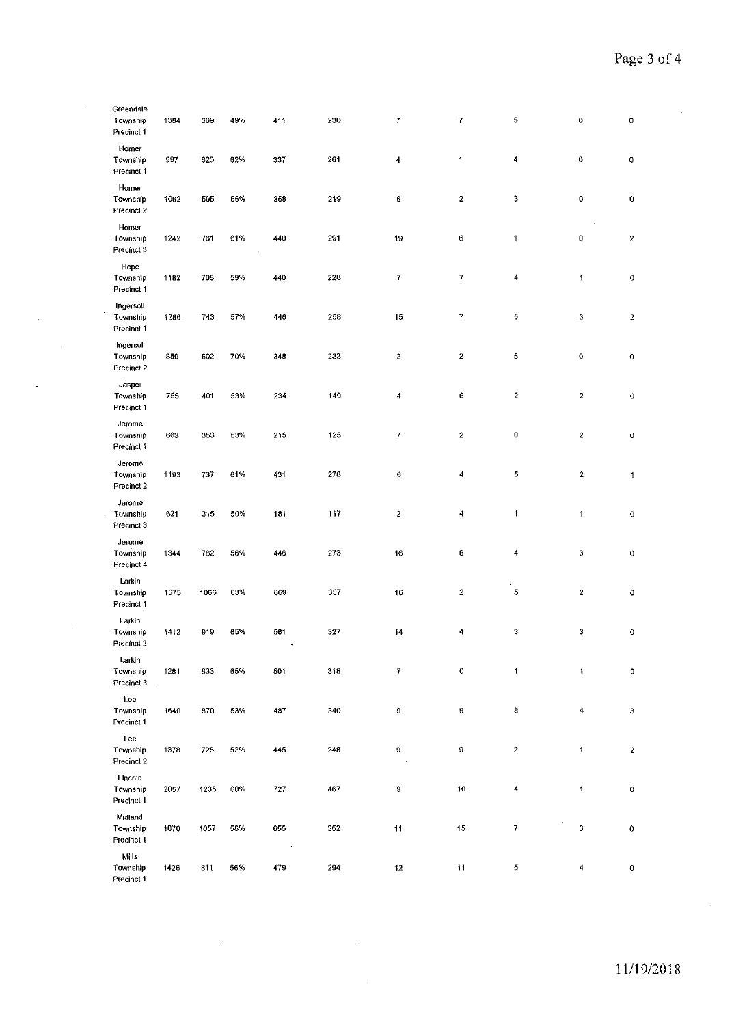$\lambda$ 

|           | Greendale<br>Township<br>Precinct 1 | 1364 | 669  | 49% | 411                    | 230 | $\boldsymbol{7}$ | 7                | 5                        | 0                | 0                    |
|-----------|-------------------------------------|------|------|-----|------------------------|-----|------------------|------------------|--------------------------|------------------|----------------------|
|           | Homer<br>Township<br>Precinct 1     | 997  | 620  | 62% | 337                    | 261 | 4                | $\mathbf{1}$     | 4                        | $\bf 0$          | 0                    |
|           | Homer<br>Township<br>Precinct 2     | 1062 | 595  | 56% | 358                    | 219 | $\mathbf 6$      | $\mathbf 2$      | 3                        | 0                | $\mathbf 0$          |
|           | Homer<br>Township<br>Precinct 3     | 1242 | 761  | 61% | 440                    | 291 | 19               | 6                | $\mathbf{1}$             | 0                | $\boldsymbol{2}$     |
|           | Hope<br>Township<br>Precinct 1      | 1182 | 708  | 59% | 440                    | 228 | $\boldsymbol{7}$ | 7                | 4                        | 1                | $\mathbf C$          |
|           | Ingersoll<br>Township<br>Precinct 1 | 1286 | 743  | 57% | 446                    | 258 | 15               | $\mathbf{7}$     | 5                        | 3                | $\mathbf{2}$         |
|           | Ingersoll<br>Township<br>Precinct 2 | 859  | 602  | 70% | 348                    | 233 | $\boldsymbol{z}$ | $\mathbf{2}$     | 5                        | $\mathbf 0$      | 0                    |
| $\bullet$ | Jasper<br>Township<br>Precinct 1    | 755  | 401  | 53% | 234                    | 149 | 4                | 6                | $\boldsymbol{2}$         | $\mathbf{2}$     | 0                    |
|           | Jerome<br>Township<br>Precinct 1    | 663  | 353  | 53% | 215                    | 125 | $\boldsymbol{7}$ | $\mathbf 2$      | 0                        | $\bf 2$          | $\mathbf 0$          |
|           | Jerome<br>Township<br>Precinct 2    | 1193 | 737  | 61% | 431                    | 278 | $\boldsymbol{6}$ | 4                | 5                        | $\overline{2}$   | $\blacktriangleleft$ |
|           | Jerome<br>Township<br>Precinct 3    | 621  | 315  | 50% | 181                    | 117 | $\boldsymbol{2}$ | 4                | $\mathbf{1}$             | 1                | $\mathbf 0$          |
|           | Jerome<br>Township<br>Precinct 4    | 1344 | 762  | 56% | 446                    | 273 | 16               | $\boldsymbol{6}$ | 4                        | $\bf 3$          | $\mathbf 0$          |
|           | Larkin<br>Township<br>Precinct-1    | 1675 | 1066 | 63% | 669                    | 357 | 16               | $\boldsymbol{2}$ | 5                        | $\boldsymbol{2}$ | $\bf{0}$             |
|           | Larkin<br>Township<br>Precinct 2    | 1412 | 919  | 65% | 561                    | 327 | 14               | 4                | $\boldsymbol{3}$         | 3                | 0                    |
|           | Larkin<br>Township<br>Precinct 3    | 1281 | 833  | 65% | 501                    | 318 | $\boldsymbol{7}$ | 0                | $\mathbf{1}$             | $\ddagger$       | $\mathbf 0$          |
|           | Lee<br>Township<br>Precinct 1       | 1640 | 870  | 53% | 487                    | 340 | 9                | 9                | 8                        | 4                | $\mathbf{3}$         |
|           | Lee<br>Township<br>Precinct 2       | 1378 | 728  | 52% | 445                    | 248 | 9                | 9                | $\boldsymbol{z}$         | $\ddagger$       | $\mathbf{2}$         |
|           | Lincoin<br>Township<br>Precinct 1   | 2057 | 1235 | 60% | 727                    | 467 | 9                | 10               | 4                        | 1                | 0                    |
|           | Midland<br>Township<br>Precinct 1   | 1870 | 1057 | 56% | 655<br>$\sim 10^{-10}$ | 352 | 11               | 15               | $\overline{\mathcal{L}}$ | $\bf 3$          | $\mathbf 0$          |
|           | Mills<br>Township<br>Precinct 1     | 1426 | 811  | 56% | 479                    | 294 | 12               | 11               | 5                        | 4                | $\mathbf 0$          |

 $\sim$ 

 $\sim$   $\epsilon$ 

 $\mathcal{A}^{\mathcal{A}}$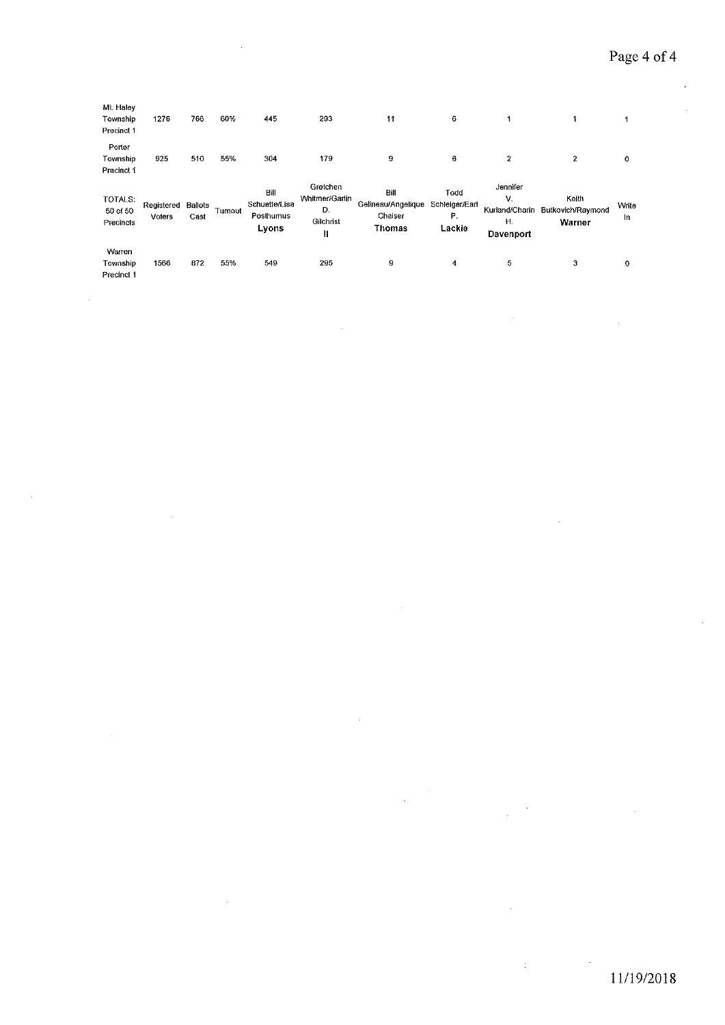$\sim$ 

 $\mathcal{A}_\mathcal{A}$ 

 $\hat{\boldsymbol{\beta}}$ 

 $\mathcal{A}^{\mathcal{A}}$ 

| Mt. Halev                        |                      |                 |        |                                             |                                                    |                                                 |                                        |                                                    |                                      |             |
|----------------------------------|----------------------|-----------------|--------|---------------------------------------------|----------------------------------------------------|-------------------------------------------------|----------------------------------------|----------------------------------------------------|--------------------------------------|-------------|
| Township                         | 1276                 | 766             | 60%    | 445                                         | 293                                                | 11                                              | 6                                      |                                                    |                                      |             |
| Precinct 1                       |                      |                 |        |                                             |                                                    |                                                 |                                        |                                                    |                                      |             |
| Porter                           |                      |                 |        |                                             |                                                    |                                                 |                                        |                                                    |                                      |             |
| Township                         | 925                  | 510             | 55%    | 304                                         | 179                                                | 9                                               | 6                                      | 2                                                  | $\overline{2}$                       | 0           |
| Precinct 1                       |                      |                 |        |                                             |                                                    |                                                 |                                        |                                                    |                                      |             |
| TOTALS:<br>50 of 50<br>Precincts | Registered<br>Voters | Ballots<br>Cast | Tumout | Bill<br>Schuette/Lisa<br>Postnumus<br>Lyons | Gretchen<br>Whitmen/Garlin<br>D.<br>Gilchrist<br>∦ | Bill<br>Gelineau/Angelique<br>Chaiser<br>Thomas | Todd<br>Schleiger/Earl<br>Р.<br>Lackie | Jennifer<br>V.<br>Kurland/Charin<br>H<br>Davenport | Keith<br>Butkovich/Raymond<br>Warner | Write<br>In |
| Warren                           |                      |                 |        |                                             |                                                    |                                                 |                                        |                                                    |                                      |             |
| Township                         | 1566                 | 872             | 55%    | 549                                         | 295                                                | 9                                               | 4                                      | 5                                                  | 3                                    | 0           |
| Precinct 1                       |                      |                 |        |                                             |                                                    |                                                 |                                        |                                                    |                                      |             |

 $\hat{\boldsymbol{\theta}}$ 

 $\sim$ 

 $\sim$ 

 $\sim$ 

 $\mathcal{A}^{\mathcal{A}}$ 

 $\bar{z}$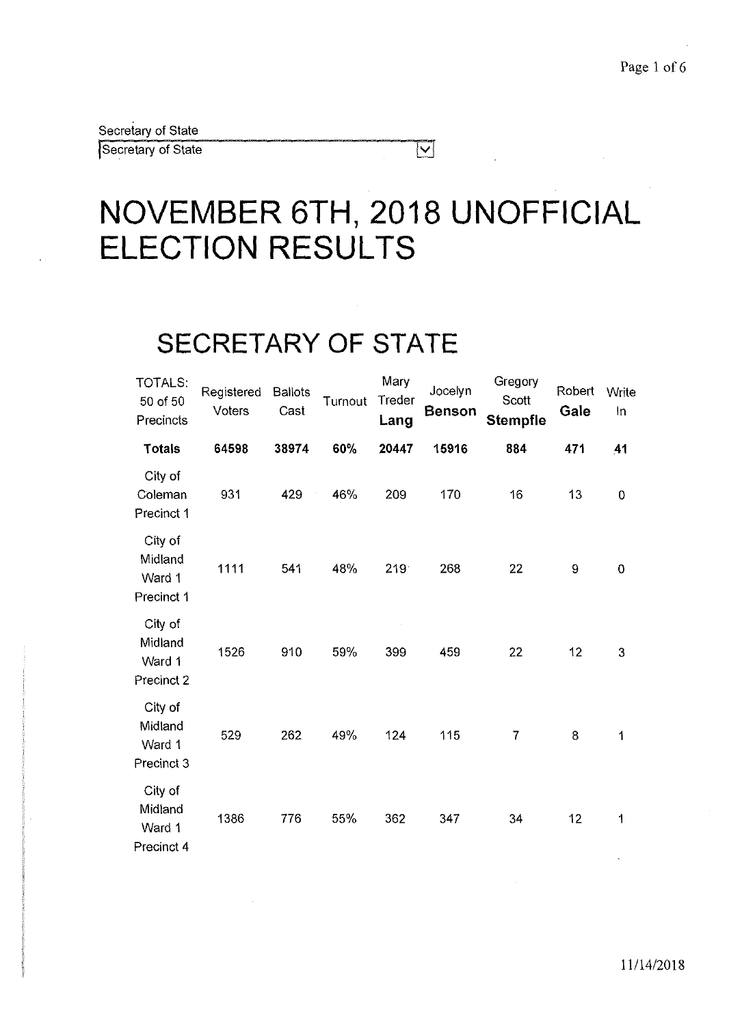Secretary of State Secretary of State

# **NOVEMBER 6TH, 2018 UNOFFICIAL ELECTION RESULTS**

 $|\nabla|$ 

### **SECRETARY OF STATE**

| TOTALS:<br>50 of 50<br>Precincts           | Registered<br>Voters | <b>Ballots</b><br>Cast | Turnout | Mary<br>Treder<br>Lang | Jocelyn<br><b>Benson</b> | Gregory<br>Scott<br><b>Stempfle</b> | Robert<br>Gale | Write<br>In |
|--------------------------------------------|----------------------|------------------------|---------|------------------------|--------------------------|-------------------------------------|----------------|-------------|
| Totals                                     | 64598                | 38974                  | 60%     | 20447                  | 15916                    | 884                                 | 471            | 41          |
| City of<br>Coleman<br>Precinct 1           | 931                  | 429                    | 46%     | 209                    | 170                      | 16                                  | 13             | $\mathbf 0$ |
| City of<br>Midland<br>Ward 1<br>Precinct 1 | 1111                 | 541                    | 48%     | 219                    | 268                      | 22                                  | 9              | $\mathbf 0$ |
| City of<br>Midland<br>Ward 1<br>Precinct 2 | 1526                 | 910                    | 59%     | 399                    | 459                      | 22                                  | 12             | 3           |
| City of<br>Midland<br>Ward 1<br>Precinct 3 | 529                  | 262                    | 49%     | 124                    | 115                      | $\overline{7}$                      | 8              | 1           |
| City of<br>Midland<br>Ward 1<br>Precinct 4 | 1386                 | 776                    | 55%     | 362                    | 347                      | 34                                  | 12             | 1           |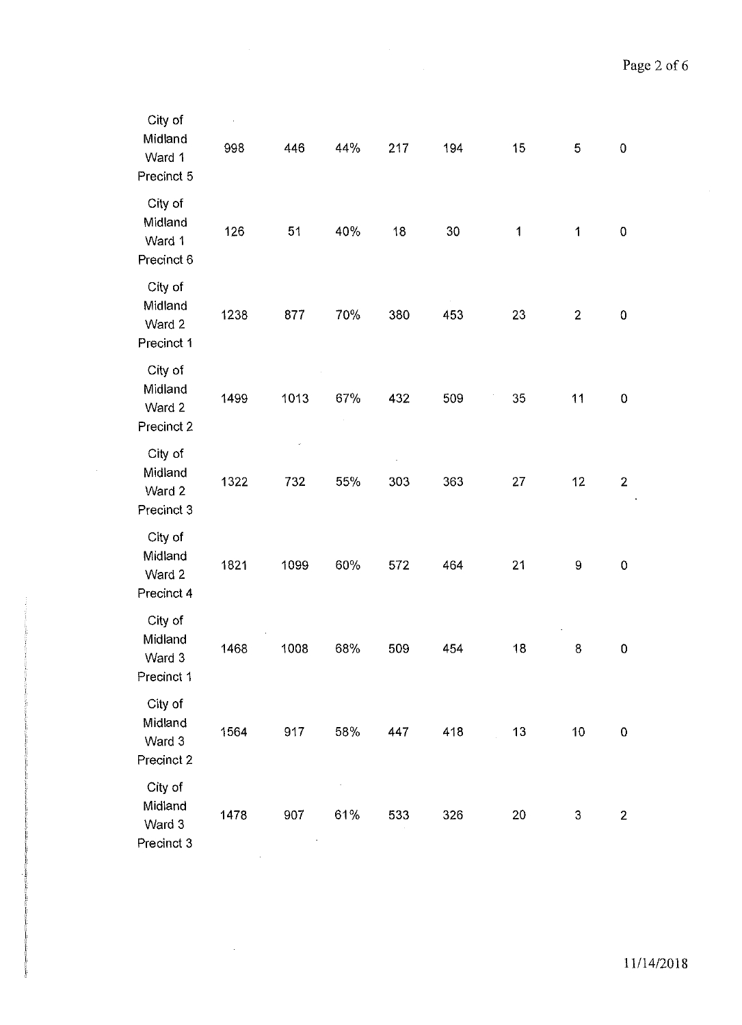| City of<br>Midland<br>Ward 1<br>Precinct 5 | 998  | 446  | 44% | 217 | 194 | 15 | 5              | $\pmb{0}$      |
|--------------------------------------------|------|------|-----|-----|-----|----|----------------|----------------|
| City of<br>Midland<br>Ward 1<br>Precinct 6 | 126  | 51   | 40% | 18  | 30  | 1  | 1              | $\mathbf 0$    |
| City of<br>Midland<br>Ward 2<br>Precinct 1 | 1238 | 877  | 70% | 380 | 453 | 23 | $\overline{2}$ | $\pmb{0}$      |
| City of<br>Midland<br>Ward 2<br>Precinct 2 | 1499 | 1013 | 67% | 432 | 509 | 35 | 11             | 0              |
| City of<br>Midland<br>Ward 2<br>Precinct 3 | 1322 | 732  | 55% | 303 | 363 | 27 | 12             | $\overline{2}$ |
| City of<br>Midland<br>Ward 2<br>Precinct 4 | 1821 | 1099 | 60% | 572 | 464 | 21 | 9              | $\mathbf 0$    |
| City of<br>Midland<br>Ward 3<br>Precinct 1 | 1468 | 1008 | 68% | 509 | 454 | 18 | 8              | $\pmb{0}$      |
| City of<br>Midland<br>Ward 3<br>Precinct 2 | 1564 | 917  | 58% | 447 | 418 | 13 | 10             | $\pmb{0}$      |
| City of<br>Midland<br>Ward 3<br>Precinct 3 | 1478 | 907  | 61% | 533 | 326 | 20 | 3              | $\overline{2}$ |

 $\sim 10^{-1}$ 

 $\sim$ 

 $\sim$ 

 $\sim 10^{-1}$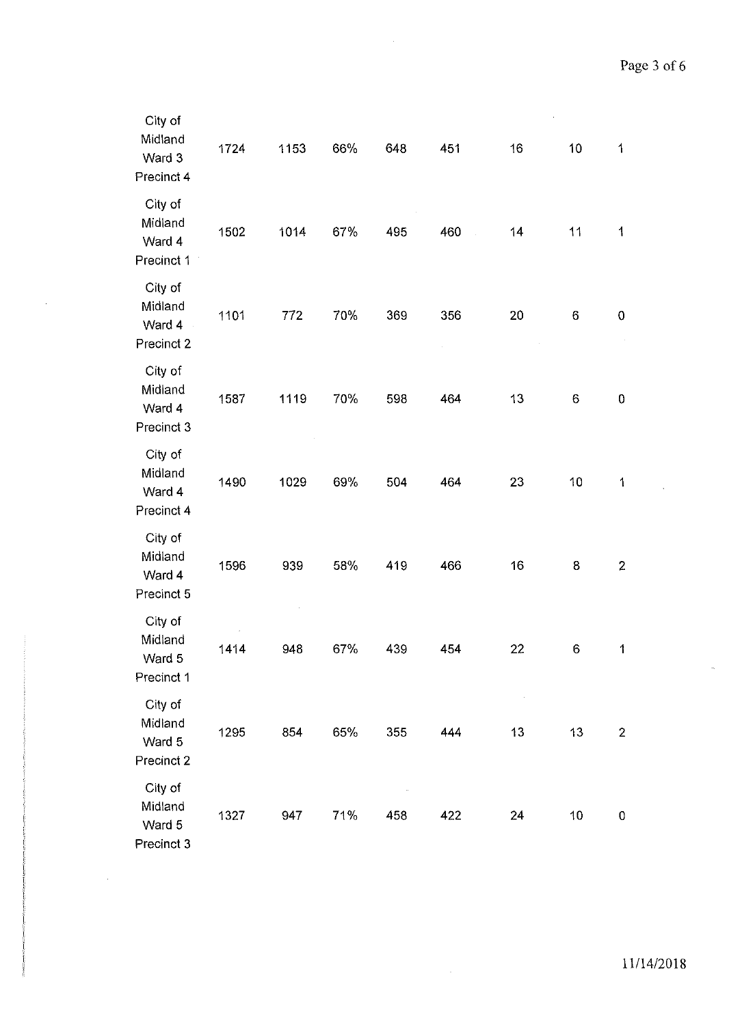$\bar{z}$ 

 $\bar{\omega}$ 

| City of<br>Midland<br>Ward 3<br>Precinct 4 | 1724 | 1153 | 66% | 648 | 451 | 16 | 10 | $\overline{1}$ |
|--------------------------------------------|------|------|-----|-----|-----|----|----|----------------|
| City of<br>Midland<br>Ward 4<br>Precinct 1 | 1502 | 1014 | 67% | 495 | 460 | 14 | 11 | 1              |
| City of<br>Midland<br>Ward 4<br>Precinct 2 | 1101 | 772  | 70% | 369 | 356 | 20 | 6  | $\mathbf 0$    |
| City of<br>Midland<br>Ward 4<br>Precinct 3 | 1587 | 1119 | 70% | 598 | 464 | 13 | 6  | $\mathbf 0$    |
| City of<br>Midland<br>Ward 4<br>Precinct 4 | 1490 | 1029 | 69% | 504 | 464 | 23 | 10 | $\mathbf 1$    |
| City of<br>Midland<br>Ward 4<br>Precinct 5 | 1596 | 939  | 58% | 419 | 466 | 16 | 8  | $\overline{2}$ |
| City of<br>Midland<br>Ward 5<br>Precinct 1 | 1414 | 948  | 67% | 439 | 454 | 22 | 6  | 1              |
| City of<br>Midland<br>Ward 5<br>Precinct 2 | 1295 | 854  | 65% | 355 | 444 | 13 | 13 | $\overline{2}$ |
| City of<br>Midland<br>Ward 5<br>Precinct 3 | 1327 | 947  | 71% | 458 | 422 | 24 | 10 | $\mathbf 0$    |

 $\mathcal{L}_{\mathcal{L}}$ 

 $\sim$ 

 $\sim$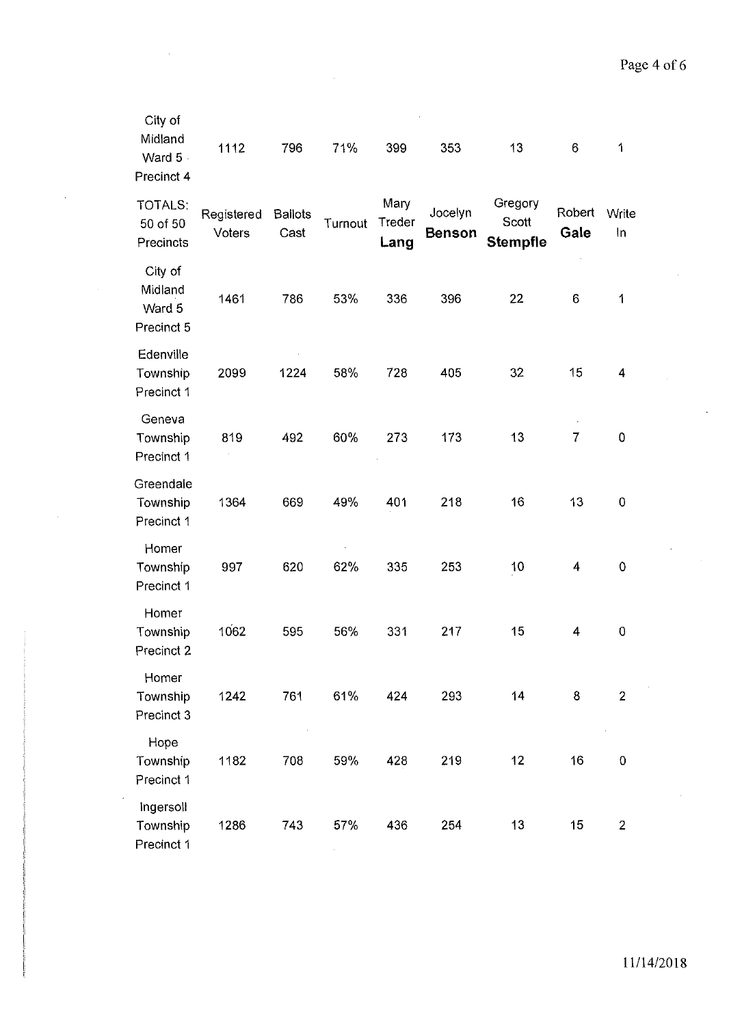| City of<br>Midland<br>Ward 5<br>Precinct 4 | 1112                 | 796                    | 71%     | 399                    | 353                      | 13                                  | 6              | 1              |
|--------------------------------------------|----------------------|------------------------|---------|------------------------|--------------------------|-------------------------------------|----------------|----------------|
| TOTALS:<br>50 of 50<br>Precincts           | Registered<br>Voters | <b>Ballots</b><br>Cast | Turnout | Mary<br>Treder<br>Lang | Jocelyn<br><b>Benson</b> | Gregory<br>Scott<br><b>Stempfle</b> | Robert<br>Gale | Write<br>In    |
| City of<br>Midland<br>Ward 5<br>Precinct 5 | 1461                 | 786                    | 53%     | 336                    | 396                      | 22                                  | 6              | 1              |
| Edenville<br>Township<br>Precinct 1        | 2099                 | 1224                   | 58%     | 728                    | 405                      | 32                                  | 15             | 4              |
| Geneva<br>Township<br>Precinct 1           | 819                  | 492                    | 60%     | 273                    | 173                      | 13                                  | $\overline{7}$ | $\mathbf 0$    |
| Greendale<br>Township<br>Precinct 1        | 1364                 | 669                    | 49%     | 401                    | 218                      | 16                                  | 13             | $\mathbf 0$    |
| Homer<br>Township<br>Precinct 1            | 997                  | 620                    | 62%     | 335                    | 253                      | 10                                  | 4              | $\mathbf 0$    |
| Homer<br>Township<br>Precinct 2            | 1062                 | 595                    | 56%     | 331                    | 217                      | 15                                  | 4              | 0              |
| Homer<br>Township<br>Precinct 3            | 1242                 | 761                    | 61%     | 424                    | 293                      | 14                                  | 8              | $\overline{2}$ |
| Hope<br>Township<br>Precinct 1             | 1182                 | 708                    | 59%     | 428                    | 219                      | 12                                  | 16             | $\mathbf 0$    |
| Ingersoll<br>Township<br>Precinct 1        | 1286                 | 743                    | 57%     | 436                    | 254                      | 13                                  | 15             | $\overline{2}$ |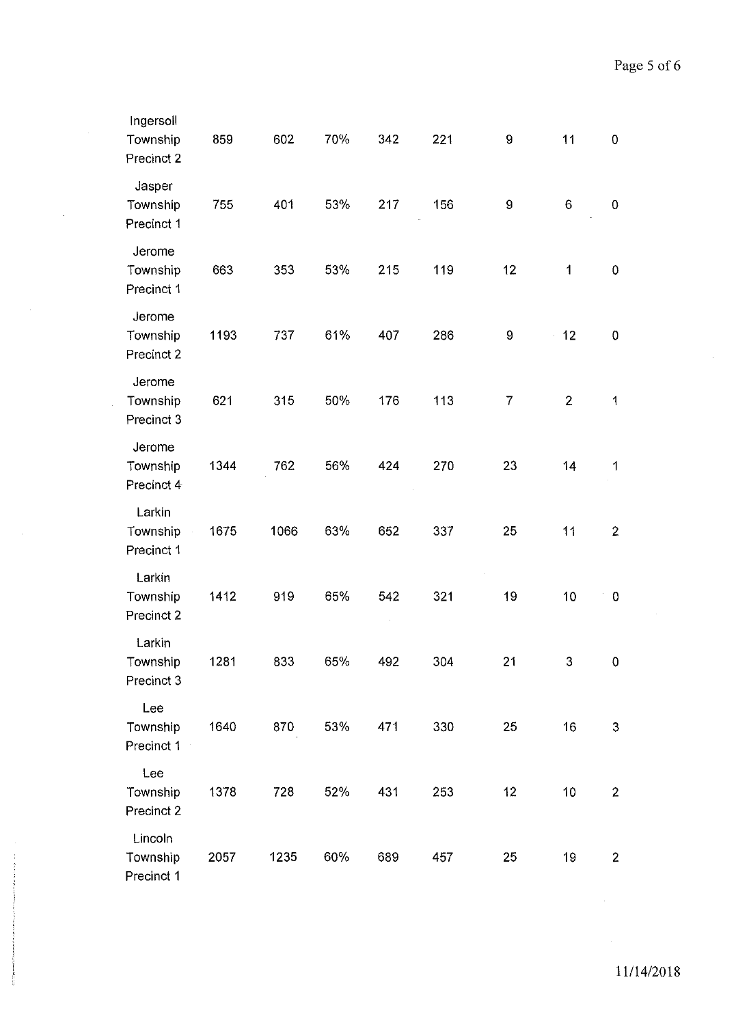| Ingersoll<br>Township<br>Precinct 2 | 859  | 602  | 70% | 342 | 221 | 9                | 11             | 0              |
|-------------------------------------|------|------|-----|-----|-----|------------------|----------------|----------------|
| Jasper<br>Township<br>Precinct 1    | 755  | 401  | 53% | 217 | 156 | $\boldsymbol{9}$ | 6              | $\mathbf 0$    |
| Jerome<br>Township<br>Precinct 1    | 663  | 353  | 53% | 215 | 119 | 12               | 1              | $\pmb{0}$      |
| Jerome<br>Township<br>Precinct 2    | 1193 | 737  | 61% | 407 | 286 | 9                | 12             | $\mathbf 0$    |
| Jerome<br>Township<br>Precinct 3    | 621  | 315  | 50% | 176 | 113 | 7                | $\overline{2}$ | 1              |
| Jerome<br>Township<br>Precinct 4    | 1344 | 762  | 56% | 424 | 270 | 23               | 14             | 1              |
| Larkin<br>Township<br>Precinct 1    | 1675 | 1066 | 63% | 652 | 337 | 25               | 11             | $\overline{2}$ |
| Larkin<br>Township<br>Precinct 2    | 1412 | 919  | 65% | 542 | 321 | 19               | 10             | $\bf{0}$       |
| Larkin<br>Township<br>Precinct 3    | 1281 | 833  | 65% | 492 | 304 | 21               | 3              | $\pmb{0}$      |
| Lee<br>Township<br>Precinct 1       | 1640 | 870  | 53% | 471 | 330 | 25               | 16             | $\mathbf{3}$   |
| Lee<br>Township<br>Precinct 2       | 1378 | 728  | 52% | 431 | 253 | 12               | 10             | $\mathbf{2}$   |
| Lincoln<br>Township<br>Precinct 1   | 2057 | 1235 | 60% | 689 | 457 | 25               | 19             | $\overline{2}$ |

 $\bar{\mathcal{A}}$ 

 $\sim$ 

 $\sim$ 

 $\sim$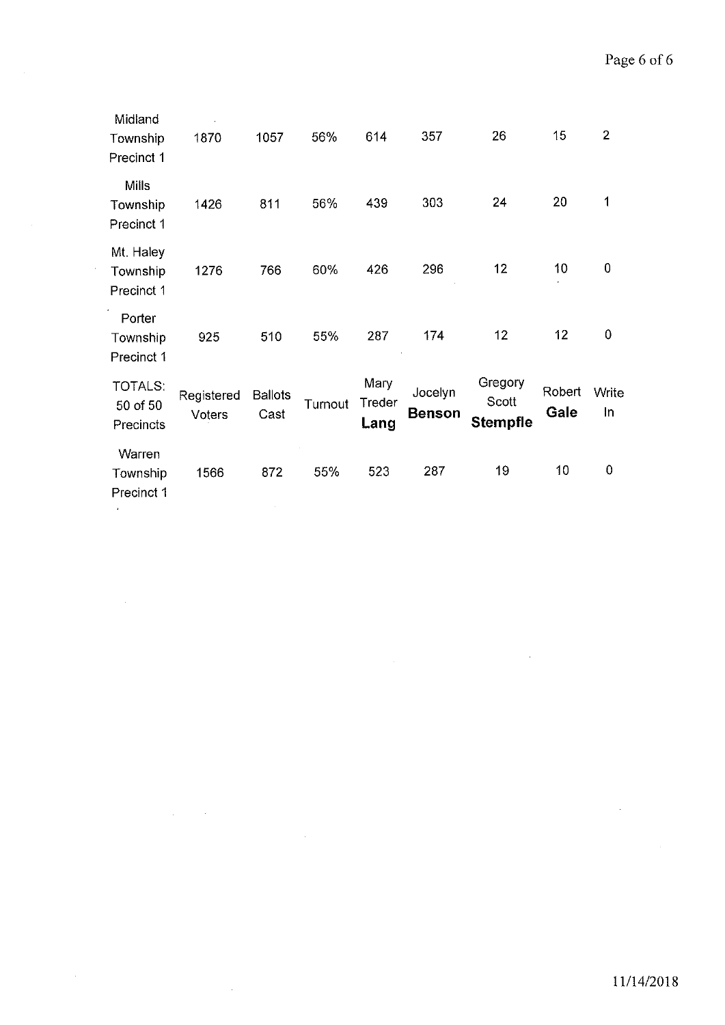| Midland<br>Township<br>Precinct 1       | 1870                 | 1057                   | 56%     | 614                    | 357                      | 26                                  | 15             | $\overline{2}$ |
|-----------------------------------------|----------------------|------------------------|---------|------------------------|--------------------------|-------------------------------------|----------------|----------------|
| <b>Mills</b><br>Township<br>Precinct 1  | 1426                 | 811                    | 56%     | 439                    | 303                      | 24                                  | 20             | 1              |
| Mt. Haley<br>Township<br>Precinct 1     | 1276                 | 766                    | 60%     | 426                    | 296                      | 12                                  | 10             | 0              |
| Porter<br>Township<br>Precinct 1        | 925                  | 510                    | 55%     | 287                    | 174                      | 12                                  | 12             | 0              |
| <b>TOTALS:</b><br>50 of 50<br>Precincts | Registered<br>Voters | <b>Ballots</b><br>Cast | Turnout | Mary<br>Treder<br>Lang | Jocelyn<br><b>Benson</b> | Gregory<br>Scott<br><b>Stempfle</b> | Robert<br>Gale | Write<br>In    |
| Warren<br>Township<br>Precinct 1        | 1566                 | 872                    | 55%     | 523                    | 287                      | 19                                  | 10             | 0              |

 $\mathcal{A}^{\mathcal{A}}$ 

 $\Delta \sim 10^{-11}$ 

 $\hat{\mathcal{A}}$ 

 $\mathcal{A}^{\mathcal{A}}$ 

 $\sim$   $\sim$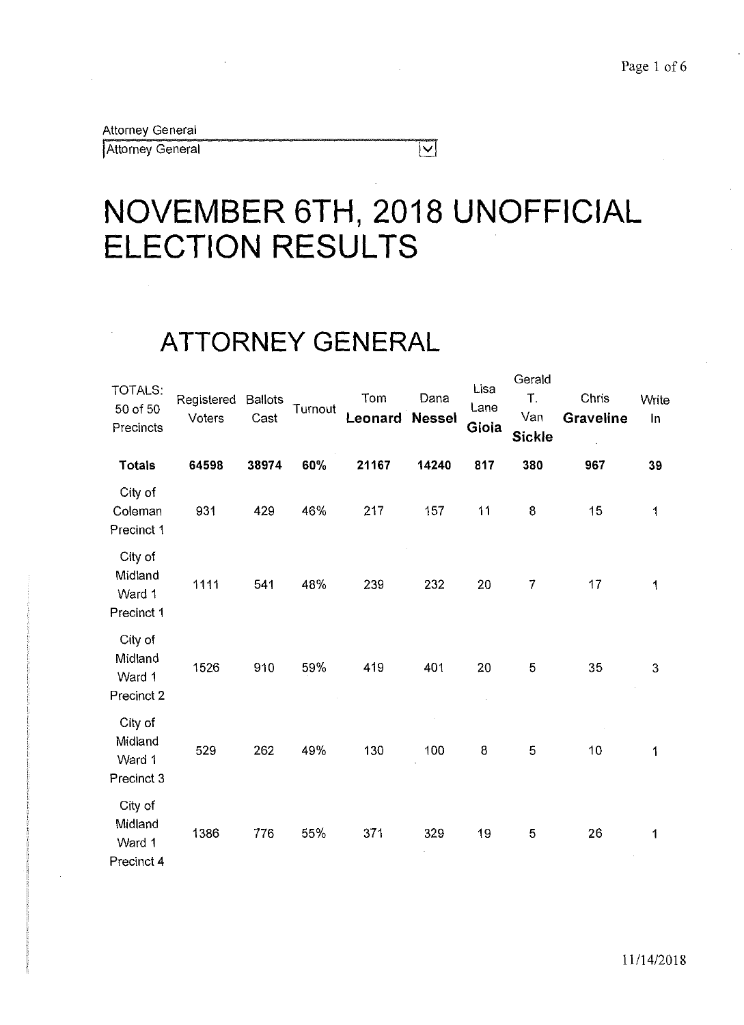Attorney General

Attorney General

# **NOVEMBER 6TH, 2018 UNOFFICIAL ELECTION RESULTS**

 $\overline{|\mathbf{v}|}$ 

### **ATTORNEY GENERAL**

| TOTALS:<br>50 of 50<br>Precincts           | Registered<br>Voters | <b>Ballots</b><br>Cast | Turnout | Tom<br>Leonard | Dana<br><b>Nessel</b> | Lisa<br>Lane<br>Gioia | Gerald<br>Τ.<br>Van<br><b>Sickle</b> | Chris<br><b>Graveline</b> | Write<br>In |
|--------------------------------------------|----------------------|------------------------|---------|----------------|-----------------------|-----------------------|--------------------------------------|---------------------------|-------------|
| <b>Totals</b>                              | 64598                | 38974                  | 60%     | 21167          | 14240                 | 817                   | 380                                  | 967                       | 39          |
| City of<br>Coleman<br>Precinct 1           | 931                  | 429                    | 46%     | 217            | 157                   | 11                    | 8                                    | 15                        | 1           |
| City of<br>Midland<br>Ward 1<br>Precinct 1 | 1111                 | 541                    | 48%     | 239            | 232                   | 20                    | 7                                    | 17                        | 1           |
| City of<br>Midland<br>Ward 1<br>Precinct 2 | 1526                 | 910                    | 59%     | 419            | 401                   | 20                    | 5                                    | 35                        | 3           |
| City of<br>Midland<br>Ward 1<br>Precinct 3 | 529                  | 262                    | 49%     | 130            | 100                   | 8                     | 5                                    | 10                        | 1           |
| City of<br>Midland<br>Ward 1<br>Precinct 4 | 1386                 | 776                    | 55%     | 371            | 329                   | 19                    | $\mathbf 5$                          | 26                        | 1           |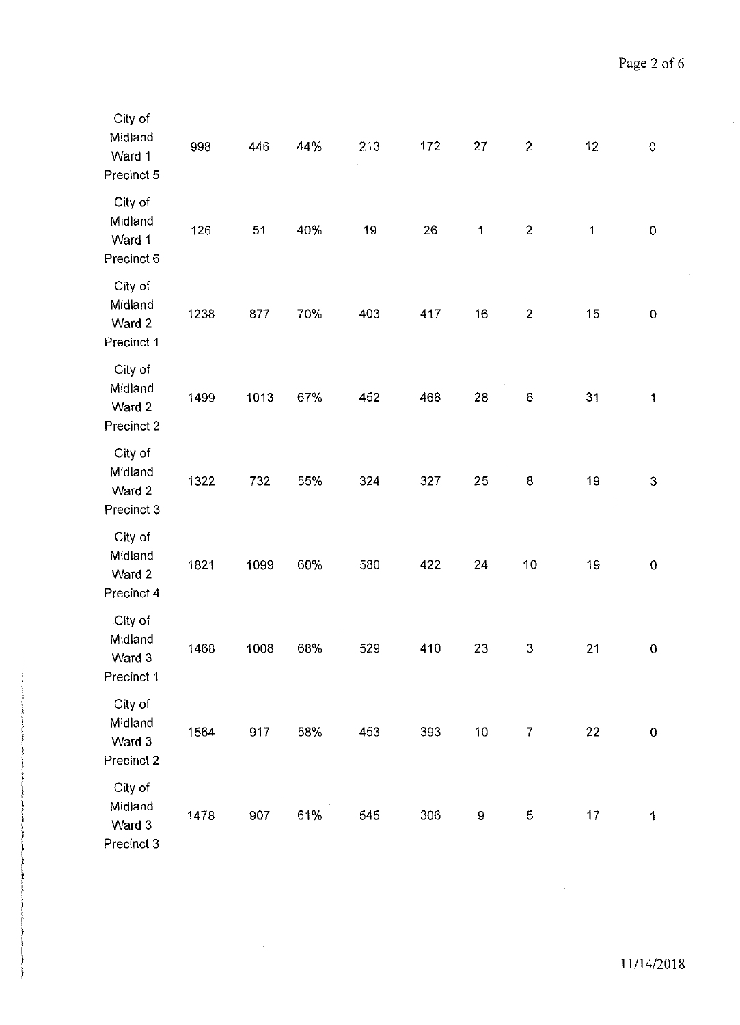| City of<br>Midland<br>Ward 1<br>Precinct 5 | 998  | 446  | 44%  | 213 | 172 | 27          | $\mathbf{2}$     | 12           | $\pmb{0}$               |
|--------------------------------------------|------|------|------|-----|-----|-------------|------------------|--------------|-------------------------|
| City of<br>Midland<br>Ward 1<br>Precinct 6 | 126  | 51   | 40%. | 19  | 26  | $\mathbf 1$ | $\overline{c}$   | $\mathbf{1}$ | $\pmb{0}$               |
| City of<br>Midland<br>Ward 2<br>Precinct 1 | 1238 | 877  | 70%  | 403 | 417 | 16          | $\mathbf{2}$     | 15           | $\pmb{0}$               |
| City of<br>Midland<br>Ward 2<br>Precinct 2 | 1499 | 1013 | 67%  | 452 | 468 | 28          | $\,6\,$          | 31           | $\overline{\mathbf{1}}$ |
| City of<br>Midland<br>Ward 2<br>Precinct 3 | 1322 | 732  | 55%  | 324 | 327 | 25          | 8                | 19           | 3                       |
| City of<br>Midland<br>Ward 2<br>Precinct 4 | 1821 | 1099 | 60%  | 580 | 422 | 24          | 10               | 19           | $\pmb{0}$               |
| City of<br>Midland<br>Ward 3<br>Precinct 1 | 1468 | 1008 | 68%  | 529 | 410 | 23          | $\boldsymbol{3}$ | 21           | $\mathbf 0$             |
| City of<br>Midland<br>Ward 3<br>Precinct 2 | 1564 | 917  | 58%  | 453 | 393 | 10          | 7                | 22           | $\pmb{0}$               |
| City of<br>Midland<br>Ward 3<br>Precinct 3 | 1478 | 907  | 61%  | 545 | 306 | 9           | 5                | 17           | 1                       |

 $\sim$   $\omega$ 

 $\bar{\phantom{a}}$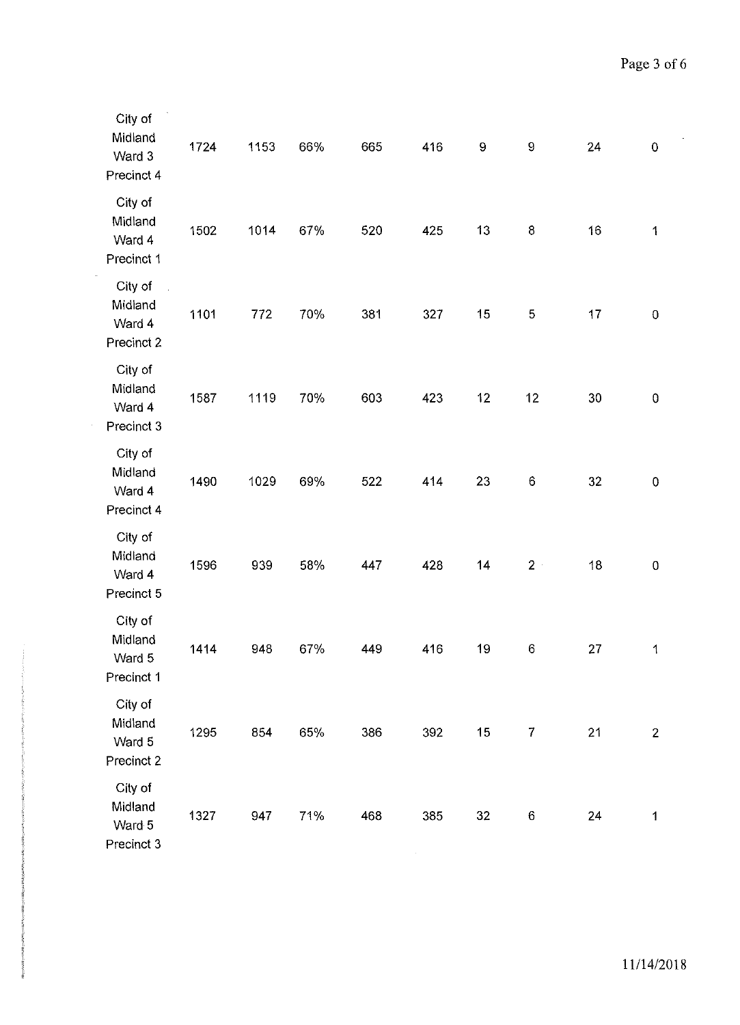| City of<br>Midland<br>Ward 3<br>Precinct 4 | 1724 | 1153 | 66% | 665 | 416 | 9                 | $\mathbf 9$      | 24 | $\pmb{0}$        |
|--------------------------------------------|------|------|-----|-----|-----|-------------------|------------------|----|------------------|
| City of<br>Midland<br>Ward 4<br>Precinct 1 | 1502 | 1014 | 67% | 520 | 425 | 13                | $\bf8$           | 16 | $\mathbf{1}$     |
| City of<br>Midland<br>Ward 4<br>Precinct 2 | 1101 | 772  | 70% | 381 | 327 | 15                | 5                | 17 | $\pmb{0}$        |
| City of<br>Midland<br>Ward 4<br>Precinct 3 | 1587 | 1119 | 70% | 603 | 423 | $12 \overline{ }$ | 12               | 30 | $\boldsymbol{0}$ |
| City of<br>Midland<br>Ward 4<br>Precinct 4 | 1490 | 1029 | 69% | 522 | 414 | 23                | $\boldsymbol{6}$ | 32 | $\pmb{0}$        |
| City of<br>Midland<br>Ward 4<br>Precinct 5 | 1596 | 939  | 58% | 447 | 428 | 14                | $2 +$            | 18 | $\boldsymbol{0}$ |
| City of<br>Midland<br>Ward 5<br>Precinct 1 | 1414 | 948  | 67% | 449 | 416 | 19                | 6                | 27 | 1                |
| City of<br>Midland<br>Ward 5<br>Precinct 2 | 1295 | 854  | 65% | 386 | 392 | 15                | $\overline{7}$   | 21 | $\overline{2}$   |
| City of<br>Midland<br>Ward 5<br>Precinct 3 | 1327 | 947  | 71% | 468 | 385 | 32                | 6                | 24 | $\mathbf{1}$     |

 $\overline{a}$ 

 $\sim$ 

 $\ddot{\phantom{a}}$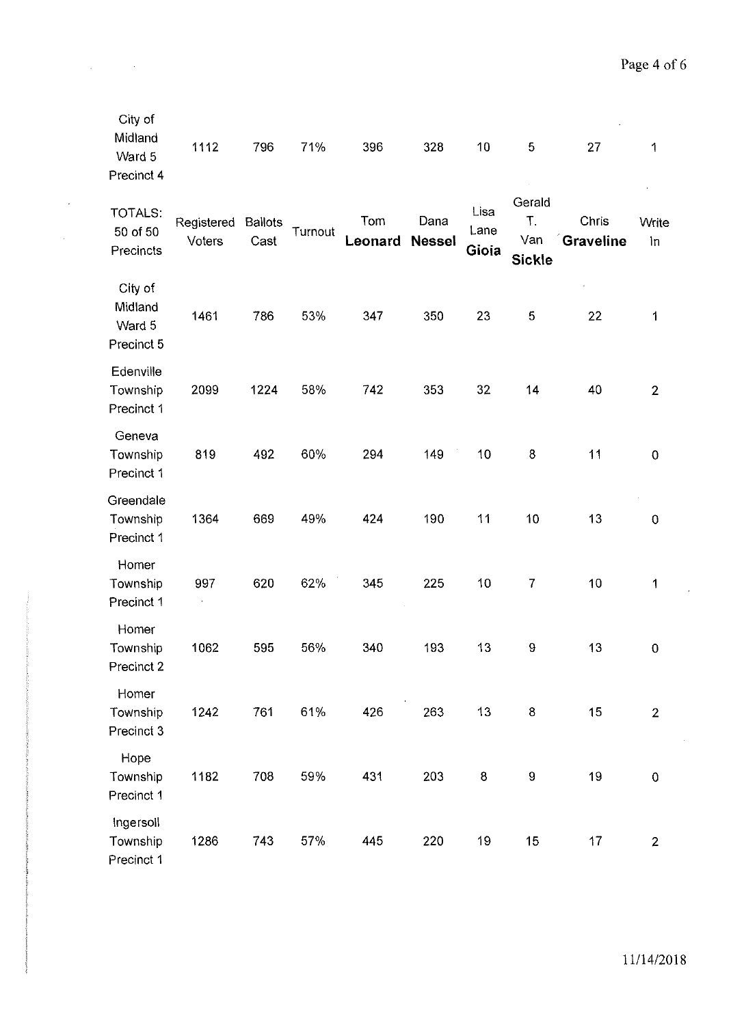| City of<br>Midland<br>Ward 5<br>Precinct 4 | 1112                 | 796                    | 71%     | 396            | 328                   | 10                    | 5                                    | 27                 | 1              |
|--------------------------------------------|----------------------|------------------------|---------|----------------|-----------------------|-----------------------|--------------------------------------|--------------------|----------------|
| <b>TOTALS:</b><br>50 of 50<br>Precincts    | Registered<br>Voters | <b>Ballots</b><br>Cast | Turnout | Tom<br>Leonard | Dana<br><b>Nessel</b> | Lisa<br>Lane<br>Gioia | Gerald<br>Τ.<br>Van<br><b>Sickle</b> | Chris<br>Graveline | Write<br>in    |
| City of<br>Midland<br>Ward 5<br>Precinct 5 | 1461                 | 786                    | 53%     | 347            | 350                   | 23                    | 5                                    | 22                 | 1              |
| Edenville<br>Township<br>Precinct 1        | 2099                 | 1224                   | 58%     | 742            | 353                   | 32                    | 14                                   | 40                 | $\overline{2}$ |
| Geneva<br>Township<br>Precinct 1           | 819                  | 492                    | 60%     | 294            | 149                   | 10                    | 8                                    | 11                 | $\mathbf 0$    |
| Greendale<br>Township<br>Precinct 1        | 1364                 | 669                    | 49%     | 424            | 190                   | 11                    | 10                                   | 13                 | $\mathbf 0$    |
| Homer<br>Township<br>Precinct 1            | 997                  | 620                    | 62%     | 345            | 225                   | 10                    | 7                                    | 10                 | 1              |
| Homer<br>Township<br>Precinct 2            | 1062                 | 595                    | 56%     | 340            | 193                   | 13                    | $\bf 9$                              | 13                 | $\pmb{0}$      |
| Homer<br>Township<br>Precinct 3            | 1242                 | 761                    | 61%     | 426            | 263                   | 13                    | 8                                    | 15                 | $\overline{2}$ |
| Hope<br>Township<br>Precinct 1             | 1182                 | 708                    | 59%     | 431            | 203                   | $\bf 8$               | $\boldsymbol{9}$                     | 19                 | $\pmb{0}$      |
| Ingersoll<br>Township<br>Precinct 1        | 1286                 | 743                    | 57%     | 445            | 220                   | 19                    | 15                                   | 17                 | $\overline{2}$ |

 $\Delta \phi = 0.000$  and  $\phi$ 

 $\bar{\beta}$ 

11/14/2018

 $\bar{z}$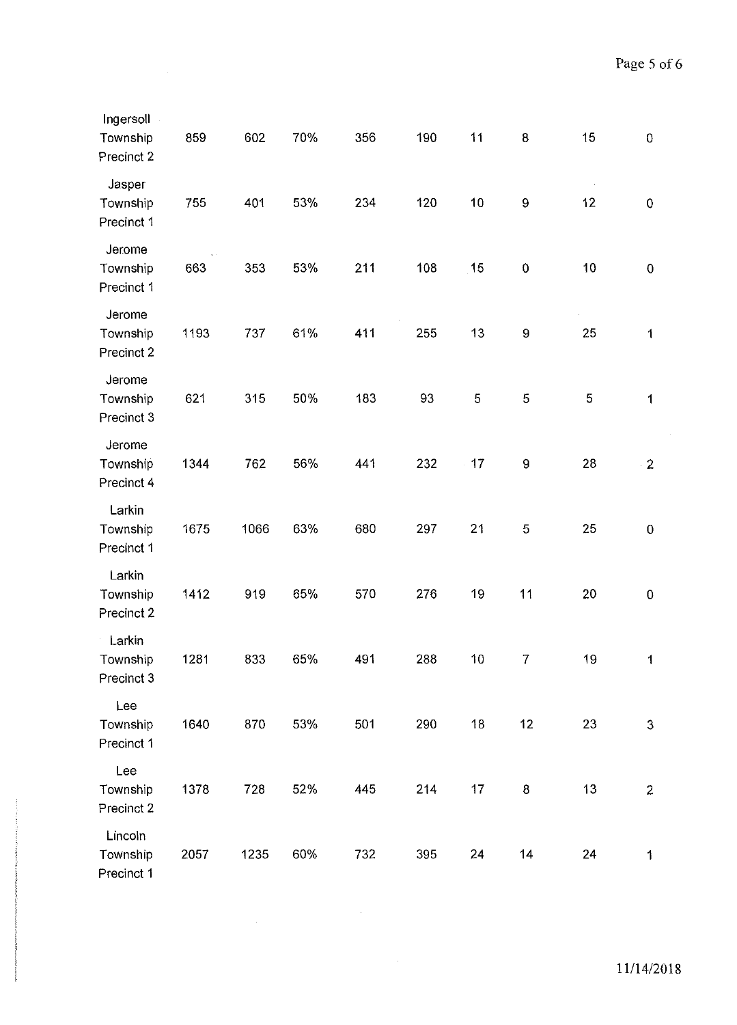| Ingersoll<br>Township<br>Precinct 2 | 859  | 602  | 70% | 356 | 190 | 11 | 8                | 15          | $\boldsymbol{0}$ |
|-------------------------------------|------|------|-----|-----|-----|----|------------------|-------------|------------------|
| Jasper<br>Township<br>Precinct 1    | 755  | 401  | 53% | 234 | 120 | 10 | $\boldsymbol{9}$ | 12          | $\pmb{0}$        |
| Jerome<br>Township<br>Precinct 1    | 663  | 353  | 53% | 211 | 108 | 15 | $\pmb{0}$        | 10          | $\overline{0}$   |
| Jerome<br>Township<br>Precinct 2    | 1193 | 737  | 61% | 411 | 255 | 13 | 9                | 25          | 1                |
| Jerome<br>Township<br>Precinct 3    | 621  | 315  | 50% | 183 | 93  | 5  | $\mathbf 5$      | $\mathbf 5$ | $\mathbf 1$      |
| Jerome<br>Township<br>Precinct 4    | 1344 | 762  | 56% | 441 | 232 | 17 | $\boldsymbol{9}$ | 28          | $\cdot$ 2        |
| Larkin<br>Township<br>Precinct 1    | 1675 | 1066 | 63% | 680 | 297 | 21 | 5                | 25          | $\mathbf 0$      |
| Larkin<br>Township<br>Precinct 2    | 1412 | 919  | 65% | 570 | 276 | 19 | 11               | 20          | $\mathbf 0$      |
| Larkin<br>Township<br>Precinct 3    | 1281 | 833  | 65% | 491 | 288 | 10 | $\overline{7}$   | 19          | $\mathbf{1}$     |
| Lee<br>Township<br>Precinct 1       | 1640 | 870  | 53% | 501 | 290 | 18 | 12               | 23          | $\mathbf{3}$     |
| Lee<br>Township<br>Precinct 2       | 1378 | 728  | 52% | 445 | 214 | 17 | 8                | 13          | $\overline{2}$   |
| Lincoln<br>Township<br>Precinct 1   | 2057 | 1235 | 60% | 732 | 395 | 24 | 14               | 24          | 1                |

 $\mathcal{L}^{\text{max}}_{\text{max}}$  and  $\mathcal{L}^{\text{max}}_{\text{max}}$ 

 $\mathcal{A}^{\mathcal{A}}$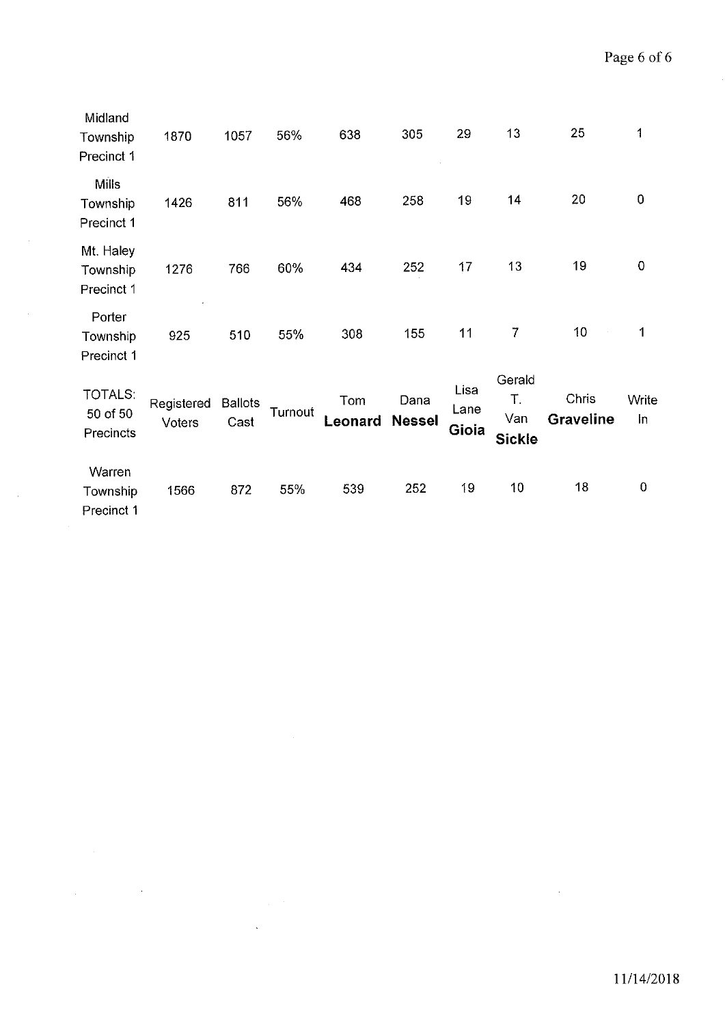| Midland<br>Township<br>Precinct 1       | 1870                 | 1057                   | 56%     | 638            | 305                   | 29                    | 13                                   | 25                 | 1           |
|-----------------------------------------|----------------------|------------------------|---------|----------------|-----------------------|-----------------------|--------------------------------------|--------------------|-------------|
| <b>Mills</b><br>Township<br>Precinct 1  | 1426                 | 811                    | 56%     | 468            | 258                   | 19                    | 14                                   | 20                 | 0           |
| Mt. Haley<br>Township<br>Precinct 1     | 1276                 | 766                    | 60%     | 434            | 252                   | 17                    | 13                                   | 19                 | $\mathbf 0$ |
| Porter<br>Township<br>Precinct 1        | 925                  | 510                    | 55%     | 308            | 155                   | 11                    | $\overline{7}$                       | 10                 | 1           |
| <b>TOTALS:</b><br>50 of 50<br>Precincts | Registered<br>Voters | <b>Ballots</b><br>Cast | Turnout | Tom<br>Leonard | Dana<br><b>Nessel</b> | Lisa<br>Lane<br>Gioia | Gerald<br>T.<br>Van<br><b>Sickle</b> | Chris<br>Graveline | Write<br>In |
| Warren<br>Township<br>Precinct 1        | 1566                 | 872                    | 55%     | 539            | 252                   | 19                    | 10                                   | 18                 | $\pmb{0}$   |

 $\mathcal{A}^{\mathcal{A}}$ 

 $\label{eq:2.1} \frac{1}{\sqrt{2}}\int_{\mathbb{R}^3} \frac{1}{\sqrt{2}}\left(\frac{1}{\sqrt{2}}\right)^2\left(\frac{1}{\sqrt{2}}\right)^2\left(\frac{1}{\sqrt{2}}\right)^2\left(\frac{1}{\sqrt{2}}\right)^2.$ 

 $\label{eq:2.1} \frac{1}{\sqrt{2}}\left(\frac{1}{\sqrt{2}}\right)^{2} \left(\frac{1}{\sqrt{2}}\right)^{2} \left(\frac{1}{\sqrt{2}}\right)^{2} \left(\frac{1}{\sqrt{2}}\right)^{2} \left(\frac{1}{\sqrt{2}}\right)^{2} \left(\frac{1}{\sqrt{2}}\right)^{2} \left(\frac{1}{\sqrt{2}}\right)^{2} \left(\frac{1}{\sqrt{2}}\right)^{2} \left(\frac{1}{\sqrt{2}}\right)^{2} \left(\frac{1}{\sqrt{2}}\right)^{2} \left(\frac{1}{\sqrt{2}}\right)^{2} \left(\$ 

 $\label{eq:2.1} \frac{1}{\sqrt{2}}\int_{\mathbb{R}^3}\frac{1}{\sqrt{2}}\left(\frac{1}{\sqrt{2}}\right)^2\left(\frac{1}{\sqrt{2}}\right)^2\left(\frac{1}{\sqrt{2}}\right)^2\left(\frac{1}{\sqrt{2}}\right)^2\left(\frac{1}{\sqrt{2}}\right)^2\left(\frac{1}{\sqrt{2}}\right)^2.$ 

 $\label{eq:2.1} \frac{1}{\sqrt{2\pi}}\int_{\mathbb{R}^3}\frac{1}{\sqrt{2\pi}}\left(\frac{1}{\sqrt{2\pi}}\right)^2\frac{1}{\sqrt{2\pi}}\frac{1}{\sqrt{2\pi}}\frac{1}{\sqrt{2\pi}}\frac{1}{\sqrt{2\pi}}\frac{1}{\sqrt{2\pi}}\frac{1}{\sqrt{2\pi}}\frac{1}{\sqrt{2\pi}}\frac{1}{\sqrt{2\pi}}\frac{1}{\sqrt{2\pi}}\frac{1}{\sqrt{2\pi}}\frac{1}{\sqrt{2\pi}}\frac{1}{\sqrt{2\pi}}\frac{1}{\sqrt{2\pi}}\frac$ 

 $\mathcal{L}_{\text{max}}$  .

 $\mathcal{L}^{\text{max}}_{\text{max}}$  , where  $\mathcal{L}^{\text{max}}_{\text{max}}$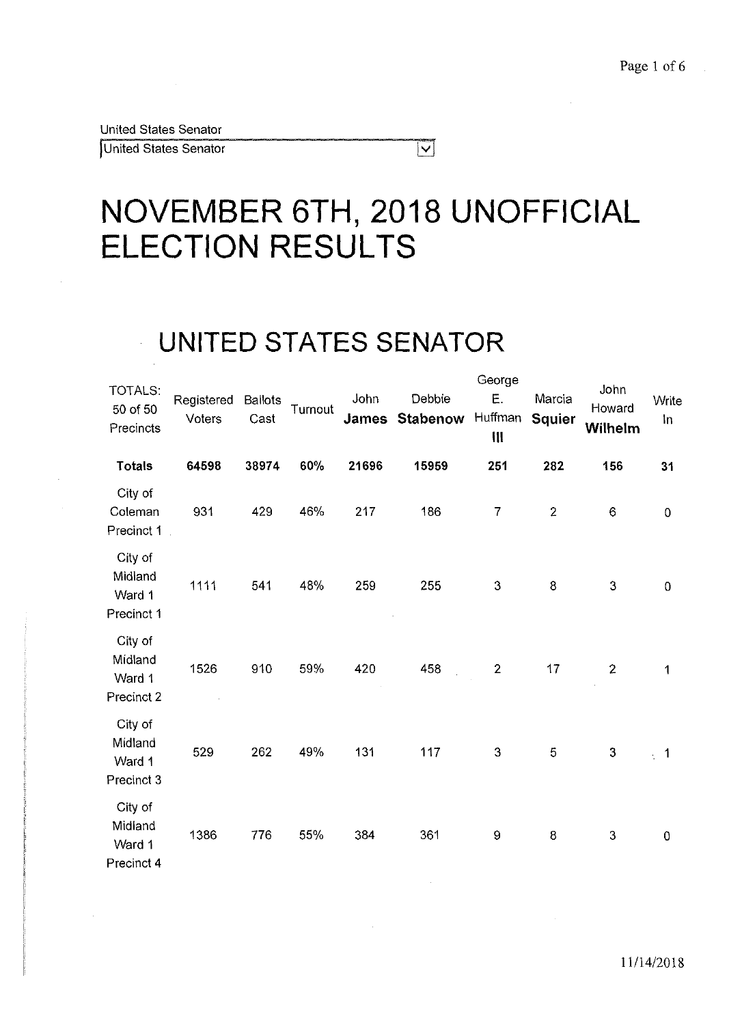United States Senator

United States Senator

# **NOVEMBER 6TH, 2018 UNOFFICIAL ELECTION RESULTS**

 $|\mathbf{v}|$ 

## **UNITED STATES SENATOR**

| TOTALS:<br>50 of 50<br>Precincts           | Registered<br>Voters | <b>Ballots</b><br>Cast | Turnout | John<br><b>James</b> | Debbie<br><b>Stabenow</b> | George<br>Ε.<br>Huffman<br>$\mathbf{III}$ | Marcia<br><b>Squier</b> | John<br>Howard<br>Wilhelm | Write<br>In    |
|--------------------------------------------|----------------------|------------------------|---------|----------------------|---------------------------|-------------------------------------------|-------------------------|---------------------------|----------------|
| <b>Totals</b>                              | 64598                | 38974                  | 60%     | 21696                | 15959                     | 251                                       | 282                     | 156                       | 31             |
| City of<br>Coleman<br>Precinct 1           | 931                  | 429                    | 46%     | 217                  | 186                       | $\overline{7}$                            | $\mathbf{2}$            | $\mathbf 6$               | $\pmb{0}$      |
| City of<br>Midland<br>Ward 1<br>Precinct 1 | 1111                 | 541                    | 48%     | 259                  | 255                       | 3                                         | $\bf 8$                 | 3                         | $\pmb{0}$      |
| City of<br>Midland<br>Ward 1<br>Precinct 2 | 1526                 | 910                    | 59%     | 420                  | 458                       | $\mathbf{2}$                              | 17                      | $\overline{2}$            | 1              |
| City of<br>Midland<br>Ward 1<br>Precinct 3 | 529                  | 262                    | 49%     | 131                  | 117                       | $\mathbf{3}$                              | 5                       | 3                         | $\overline{1}$ |
| City of<br>Midland<br>Ward 1<br>Precinct 4 | 1386                 | 776                    | 55%     | 384                  | 361                       | $\mathbf{9}$                              | 8                       | 3                         | $\pmb{0}$      |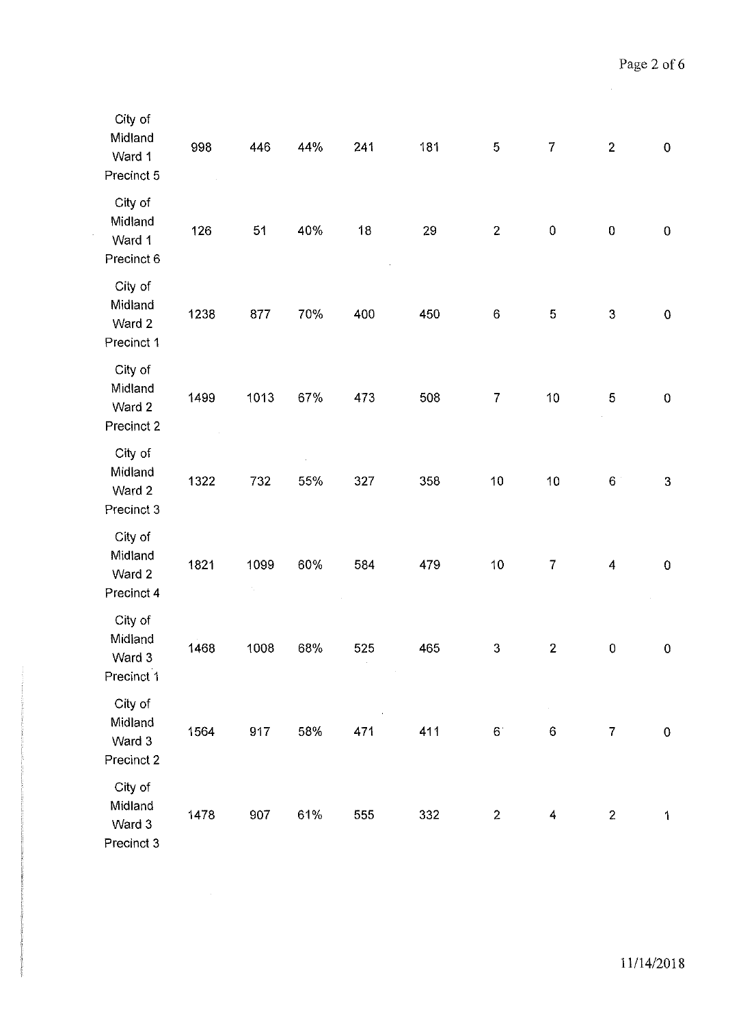| City of<br>Midland<br>Ward 1<br>Precinct 5 | 998  | 446                      | 44% | 241 | 181 | $\mathbf 5$             | $\overline{7}$   | $\overline{2}$ | ${\bf 0}$ |
|--------------------------------------------|------|--------------------------|-----|-----|-----|-------------------------|------------------|----------------|-----------|
| City of<br>Midland<br>Ward 1<br>Precinct 6 | 126  | 51                       | 40% | 18  | 29  | $\overline{\mathbf{c}}$ | $\pmb{0}$        | $\pmb{0}$      | $\pmb{0}$ |
| City of<br>Midland<br>Ward 2<br>Precinct 1 | 1238 | 877                      | 70% | 400 | 450 | $\,6\,$                 | $\mathbf 5$      | $\mathfrak{S}$ | ${\bf 0}$ |
| City of<br>Midland<br>Ward 2<br>Precinct 2 | 1499 | 1013                     | 67% | 473 | 508 | $\overline{7}$          | 10               | 5              | $\pmb{0}$ |
| City of<br>Midland<br>Ward 2<br>Precinct 3 | 1322 | 732                      | 55% | 327 | 358 | 10                      | 10               | 6              | 3         |
| City of<br>Midland<br>Ward 2<br>Precinct 4 | 1821 | 1099<br>$\gamma_{\rm c}$ | 60% | 584 | 479 | 10                      | $\overline{7}$   | $\overline{4}$ | $\pmb{0}$ |
| City of<br>Midland<br>Ward 3<br>Precinct 1 | 1468 | 1008                     | 68% | 525 | 465 | 3                       | $\mathbf{2}$     | 0              | $\pmb{0}$ |
| City of<br>Midland<br>Ward 3<br>Precinct 2 | 1564 | 917                      | 58% | 471 | 411 | $6^{\circ}$             | $\boldsymbol{6}$ | $\overline{7}$ | ${\bf 0}$ |
| City of<br>Midland<br>Ward 3<br>Precinct 3 | 1478 | 907                      | 61% | 555 | 332 | $\boldsymbol{2}$        | 4                | $\overline{2}$ | 1         |

 $\mathcal{L}^{\text{max}}_{\text{max}}$ 

÷,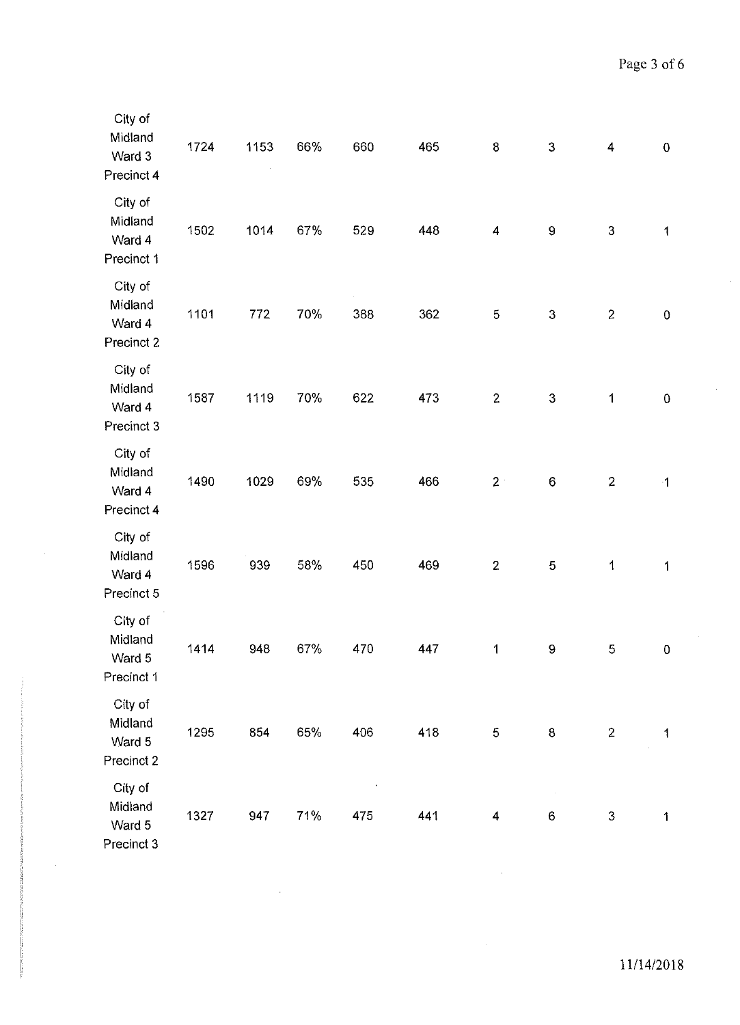| City of<br>Midland<br>Ward 3<br>Precinct 4 | 1724 | 1153 | 66% | 660 | 465 | $\bf 8$                 | $\mathbf{3}$     | $\overline{\mathbf{4}}$ | ${\bf 0}$    |
|--------------------------------------------|------|------|-----|-----|-----|-------------------------|------------------|-------------------------|--------------|
| City of<br>Midland<br>Ward 4<br>Precinct 1 | 1502 | 1014 | 67% | 529 | 448 | $\overline{\mathbf{4}}$ | $\mathbf 9$      | 3                       | $\mathbf{1}$ |
| City of<br>Midland<br>Ward 4<br>Precinct 2 | 1101 | 772  | 70% | 388 | 362 | 5                       | $\mathbf{3}$     | $\overline{2}$          | $\pmb{0}$    |
| City of<br>Midland<br>Ward 4<br>Precinct 3 | 1587 | 1119 | 70% | 622 | 473 | $\overline{c}$          | $\mathbf{3}$     | 1                       | $\pmb{0}$    |
| City of<br>Midland<br>Ward 4<br>Precinct 4 | 1490 | 1029 | 69% | 535 | 466 | 2 <sup>1</sup>          | $\,6\,$          | $\overline{2}$          | $\cdot$ 1    |
| City of<br>Midland<br>Ward 4<br>Precinct 5 | 1596 | 939  | 58% | 450 | 469 | $\overline{2}$          | 5                | $\mathbf{1}$            | $\mathbf{1}$ |
| City of<br>Midland<br>Ward 5<br>Precinct 1 | 1414 | 948  | 67% | 470 | 447 | 1                       | $\boldsymbol{9}$ | 5                       | $\pmb{0}$    |
| City of<br>Midland<br>Ward 5<br>Precinct 2 | 1295 | 854  | 65% | 406 | 418 | 5                       | 8                | $\overline{2}$          | $\mathbf{1}$ |
| City of<br>Midland<br>Ward 5<br>Precinct 3 | 1327 | 947  | 71% | 475 | 441 | 4                       | 6                | $\sqrt{3}$              | $\mathbf{1}$ |

 $\bar{\beta}$ 

 $\bar{z}$ 

 $\hat{\mathcal{A}}$ 

 $\mathcal{A}^{\mathcal{A}}$ 

 $\sim$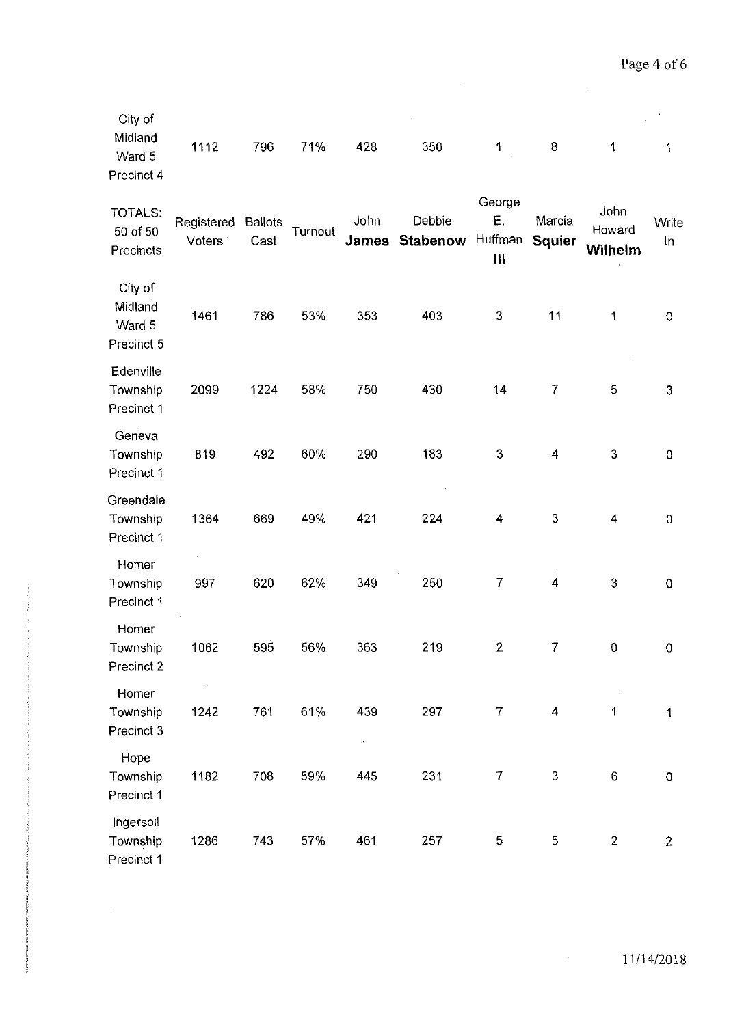| City of<br>Midland<br>Ward 5<br>Precinct 4 | 1112                 | 796                    | 71%     | 428                  | 350                | 1                                       | $\bf 8$                 | 1                         | 1              |
|--------------------------------------------|----------------------|------------------------|---------|----------------------|--------------------|-----------------------------------------|-------------------------|---------------------------|----------------|
| TOTALS:<br>50 of 50<br>Precincts           | Registered<br>Voters | <b>Ballots</b><br>Cast | Turnout | John<br><b>James</b> | Debbie<br>Stabenow | George<br>Ε.<br>Huffman<br>$\mathbf{H}$ | Marcia<br><b>Squier</b> | John<br>Howard<br>Wilhelm | Write<br>In    |
| City of<br>Midland<br>Ward 5<br>Precinct 5 | 1461                 | 786                    | 53%     | 353                  | 403                | 3                                       | 11                      | 1                         | $\pmb{0}$      |
| Edenville<br>Township<br>Precinct 1        | 2099                 | 1224                   | 58%     | 750                  | 430                | 14                                      | $\overline{7}$          | 5                         | $\mathfrak{S}$ |
| Geneva<br>Township<br>Precinct 1           | 819                  | 492                    | 60%     | 290                  | 183                | 3                                       | 4                       | 3                         | $\pmb{0}$      |
| Greendale<br>Township<br>Precinct 1        | 1364                 | 669                    | 49%     | 421                  | 224                | 4                                       | 3                       | $\overline{4}$            | $\pmb{0}$      |
| Homer<br>Township<br>Precinct 1            | 997                  | 620                    | 62%     | 349                  | 250                | 7                                       | 4                       | $\mathfrak{S}$            | $\mathbf 0$    |
| Homer<br>Township<br>Precinct 2            | 1062                 | 595                    | 56%     | 363                  | 219                | $\mathbf{2}$                            | $\boldsymbol{7}$        | $\pmb{0}$                 | $\pmb{0}$      |
| Homer<br>Township<br>Precinct 3            | 1242                 | 761                    | 61%     | 439<br>$\alpha$      | 297                | $\overline{7}$                          | 4                       | 1                         | $\mathbf{1}$   |
| Hope<br>Township<br>Precinct 1             | 1182                 | 708                    | 59%     | 445                  | 231                | $\overline{7}$                          | 3                       | $\,6$                     | $\pmb{0}$      |
| Ingersoll<br>Township<br>Precinct 1        | 1286                 | 743                    | 57%     | 461                  | 257                | 5                                       | 5                       | $\overline{2}$            | $\overline{2}$ |

 $\sim 10^{-1}$ 

 $\sim$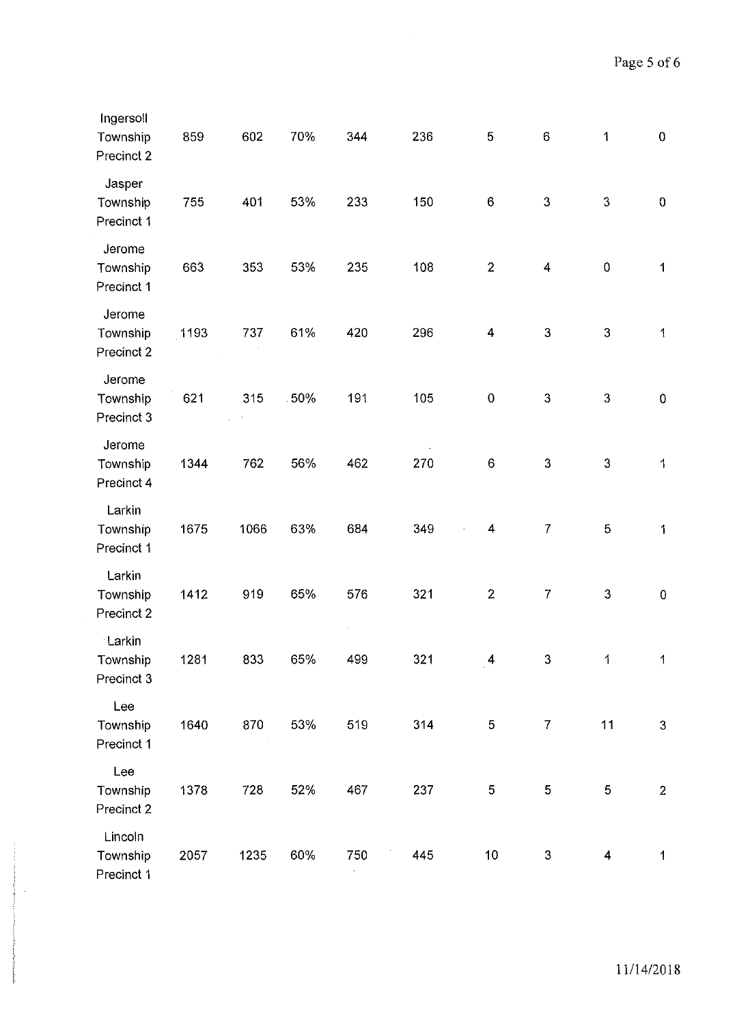| Ingersoll<br>Township<br>Precinct 2 | 859  | 602  | 70% | 344 | 236 | 5                | $\mathbf 6$             | 1            | $\pmb{0}$        |
|-------------------------------------|------|------|-----|-----|-----|------------------|-------------------------|--------------|------------------|
| Jasper<br>Township<br>Precinct 1    | 755  | 401  | 53% | 233 | 150 | $6\phantom{1}$   | 3                       | 3            | $\pmb{0}$        |
| Jerome<br>Township<br>Precinct 1    | 663  | 353  | 53% | 235 | 108 | $\mathbf 2$      | $\overline{\mathbf{4}}$ | $\pmb{0}$    | $\mathbf 1$      |
| Jerome<br>Township<br>Precinct 2    | 1193 | 737  | 61% | 420 | 296 | $\boldsymbol{4}$ | $\mathfrak{Z}$          | $\mathbf{3}$ | $\mathbf{1}$     |
| Jerome<br>Township<br>Precinct 3    | 621  | 315  | 50% | 191 | 105 | $\pmb{0}$        | $\mathbf{3}$            | $\mathbf{3}$ | $\pmb{0}$        |
| Jerome<br>Township<br>Precinct 4    | 1344 | 762  | 56% | 462 | 270 | $\,6\,$          | $\mathfrak{S}$          | $\mathbf{3}$ | $\mathbf 1$      |
| Larkin<br>Township<br>Precinct 1    | 1675 | 1066 | 63% | 684 | 349 | $\overline{4}$   | $\overline{7}$          | 5            | 1                |
| Larkin<br>Township<br>Precinct 2    | 1412 | 919  | 65% | 576 | 321 | $\overline{2}$   | $\overline{7}$          | $\mathbf 3$  | $\pmb{0}$        |
| Larkin<br>Township<br>Precinct 3    | 1281 | 833  | 65% | 499 | 321 | $\overline{4}$   | 3                       | 1            | $\mathbf{1}$     |
| Lee<br>Township<br>Precinct 1       | 1640 | 870  | 53% | 519 | 314 | 5                | $\overline{7}$          | 11           | $\mathfrak{Z}$   |
| Lee<br>Township<br>Precinct 2       | 1378 | 728  | 52% | 467 | 237 | $\overline{5}$   | 5                       | 5            | $\boldsymbol{2}$ |
| Lincoln<br>Township<br>Precinct 1   | 2057 | 1235 | 60% | 750 | 445 | 10               | $\mathbf{3}$            | 4            | $\mathbf{1}$     |

of interfactors are sets, and a  $\frac{1}{2}$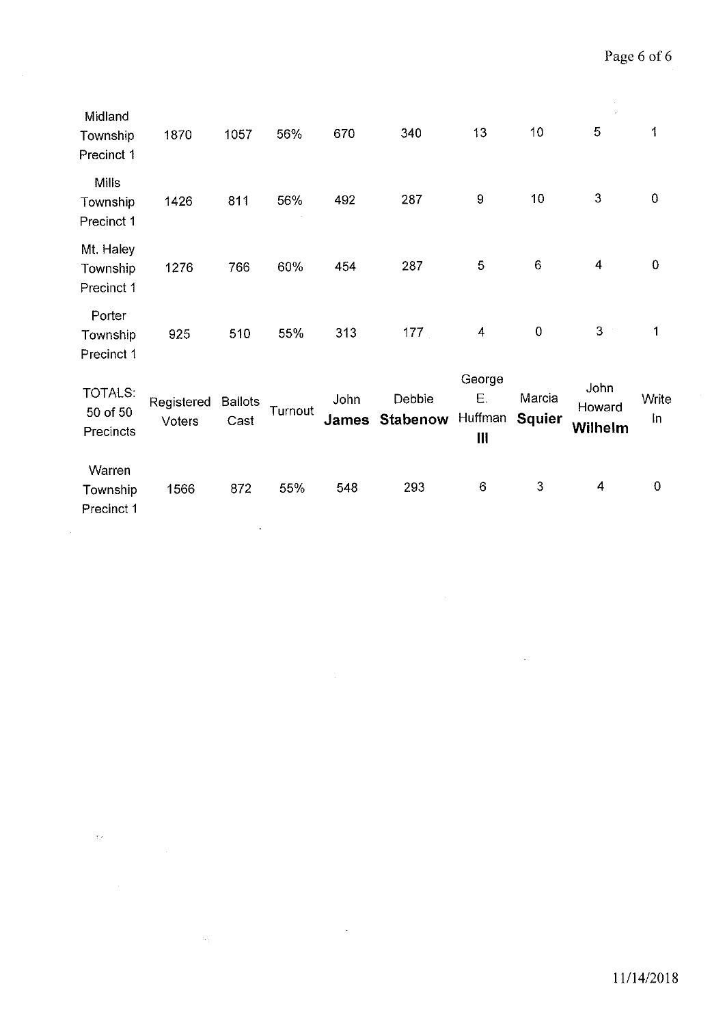$\hat{\boldsymbol{\beta}}$ 

| Midland<br>Township<br>Precinct 1       | 1870                 | 1057                   | 56%     | 670                  | 340                | 13                                        | 10                      | $\vec{x}^{\star}$<br>5    | 1              |
|-----------------------------------------|----------------------|------------------------|---------|----------------------|--------------------|-------------------------------------------|-------------------------|---------------------------|----------------|
| <b>Mills</b><br>Township<br>Precinct 1  | 1426                 | 811                    | 56%     | 492                  | 287                | $\boldsymbol{9}$                          | 10                      | 3                         | $\pmb{0}$      |
| Mt. Haley<br>Township<br>Precinct 1     | 1276                 | 766                    | 60%     | 454                  | 287                | 5                                         | $\,6$                   | 4                         | $\pmb{0}$      |
| Porter<br>Township<br>Precinct 1        | 925                  | 510                    | 55%     | 313                  | 177                | 4                                         | $\mathbf 0$             | 3                         | 1              |
| <b>TOTALS:</b><br>50 of 50<br>Precincts | Registered<br>Voters | <b>Ballots</b><br>Cast | Turnout | John<br><b>James</b> | Debbie<br>Stabenow | George<br>Ε.<br>Huffman<br>$\mathbf{III}$ | Marcia<br><b>Squier</b> | John<br>Howard<br>Wilhelm | Write<br>$\ln$ |
| Warren<br>Township<br>Precinct 1        | 1566                 | 872                    | 55%     | 548                  | 293                | $6\phantom{1}$                            | 3                       | 4                         | $\mathbf 0$    |

 $\hat{\mathcal{A}}$ 

 $\ddot{\phantom{0}}$ 

 $\sim$ 

 $\langle\phi\rangle$ 

 $\hat{\mathcal{A}}$ 

 $\mathcal{H}_{\mathcal{G}}$ 

 $\frac{1}{2}$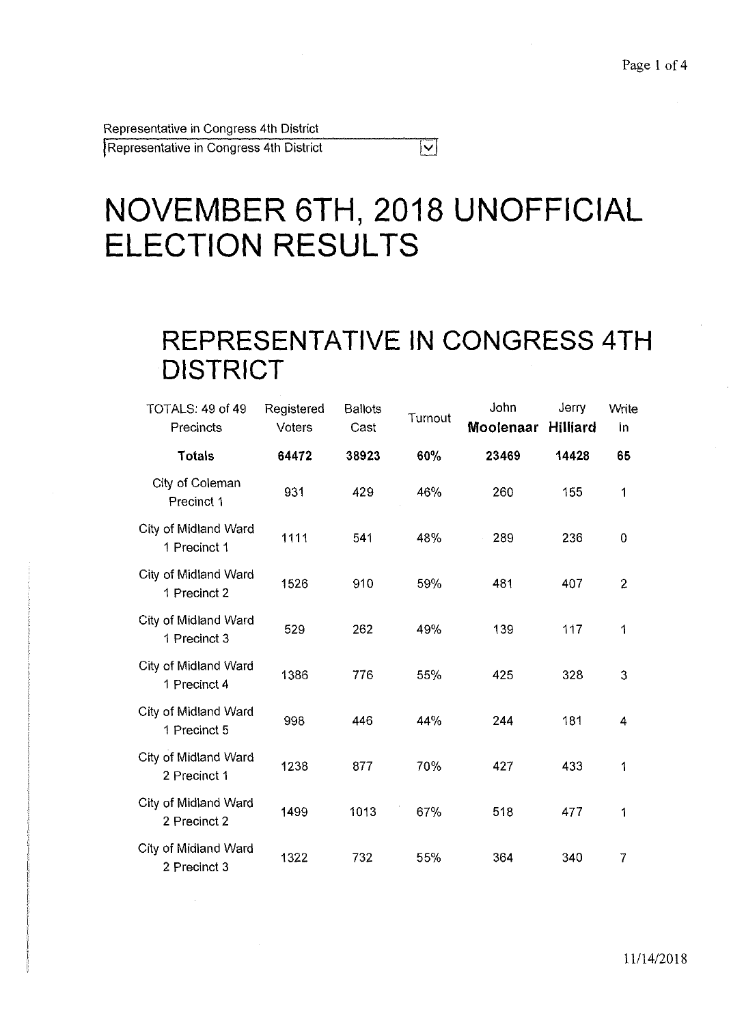Representative in Congress 4th District

I Representative in Congress 4th District

# **NOVEMBER 6TH, 2018 UNOFFICIAL ELECTION RESULTS**

### **REPRESENTATIVE IN CONGRESS 4TH DISTRICT**

 $\overline{|\mathbf{v}|}$ 

| TOTALS: 49 of 49<br>Precincts        | Registered<br>Voters | <b>Ballots</b><br>Cast | Turnout | John<br>Moolenaar | Jerry<br><b>Hilliard</b> | Write<br>In    |
|--------------------------------------|----------------------|------------------------|---------|-------------------|--------------------------|----------------|
| <b>Totals</b>                        | 64472                | 38923                  | 60%     | 23469             | 14428                    | 65             |
| City of Coleman<br>Precinct 1        | 931                  | 429                    | 46%     | 260               | 155                      | 1              |
| City of Midland Ward<br>1 Precinct 1 | 1111                 | 541                    | 48%     | 289               | 236                      | 0              |
| City of Midland Ward<br>1 Precinct 2 | 1526                 | 910                    | 59%     | 481               | 407                      | $\overline{2}$ |
| City of Midland Ward<br>1 Precinct 3 | 529                  | 262                    | 49%     | 139               | 117                      | 1              |
| City of Midland Ward<br>1 Precinct 4 | 1386                 | 776                    | 55%     | 425               | 328                      | 3              |
| City of Midland Ward<br>1 Precinct 5 | 998                  | 446                    | 44%     | 244               | 181                      | 4              |
| City of Midland Ward<br>2 Precinct 1 | 1238                 | 877                    | 70%     | 427               | 433                      | 1              |
| City of Midland Ward<br>2 Precinct 2 | 1499                 | 1013                   | 67%     | 518               | 477                      | 1              |
| City of Midland Ward<br>2 Precinct 3 | 1322                 | 732                    | 55%     | 364               | 340                      | 7              |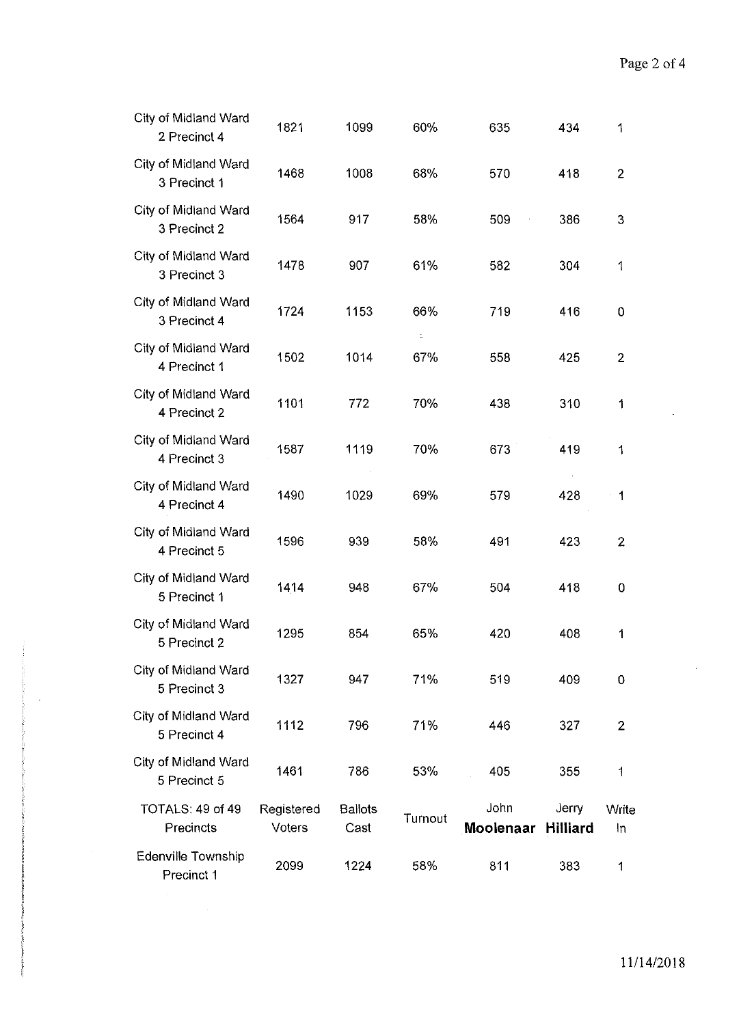| City of Midland Ward<br>2 Precinct 4 | 1821                 | 1099                   | 60%     | 635               | 434                      | 1              |
|--------------------------------------|----------------------|------------------------|---------|-------------------|--------------------------|----------------|
| City of Midland Ward<br>3 Precinct 1 | 1468                 | 1008                   | 68%     | 570               | 418                      | $\overline{2}$ |
| City of Midland Ward<br>3 Precinct 2 | 1564                 | 917                    | 58%     | 509               | 386                      | 3              |
| City of Midland Ward<br>3 Precinct 3 | 1478                 | 907                    | 61%     | 582               | 304                      | 1              |
| City of Midland Ward<br>3 Precinct 4 | 1724                 | 1153                   | 66%     | 719               | 416                      | 0              |
| City of Midland Ward<br>4 Precinct 1 | 1502                 | 1014                   | 67%     | 558               | 425                      | $\overline{2}$ |
| City of Midland Ward<br>4 Precinct 2 | 1101                 | 772                    | 70%     | 438               | 310                      | 1              |
| City of Midland Ward<br>4 Precinct 3 | 1587                 | 1119                   | 70%     | 673               | 419                      | 1              |
| City of Midland Ward<br>4 Precinct 4 | 1490                 | 1029                   | 69%     | 579               | 428                      | 1              |
| City of Midland Ward<br>4 Precinct 5 | 1596                 | 939                    | 58%     | 491               | 423                      | $\overline{2}$ |
| City of Midland Ward<br>5 Precinct 1 | 1414                 | 948                    | 67%     | 504               | 418                      | $\mathbf 0$    |
| City of Midland Ward<br>5 Precinct 2 | 1295                 | 854                    | 65%     | 420               | 408                      | 1              |
| City of Midland Ward<br>5 Precinct 3 | 1327                 | 947                    | 71%     | 519               | 409                      | $\mathbf 0$    |
| City of Midland Ward<br>5 Precinct 4 | 1112                 | 796                    | 71%     | 446               | 327                      | $\overline{2}$ |
| City of Midland Ward<br>5 Precinct 5 | 1461                 | 786                    | 53%     | 405               | 355                      | 1              |
| TOTALS: 49 of 49<br>Precincts        | Registered<br>Voters | <b>Ballots</b><br>Cast | Turnout | John<br>Moolenaar | Jerry<br><b>Hilliard</b> | Write<br>In    |
| Edenville Township<br>Precinct 1     | 2099                 | 1224                   | 58%     | 811               | 383                      | 1              |

 $\bar{z}$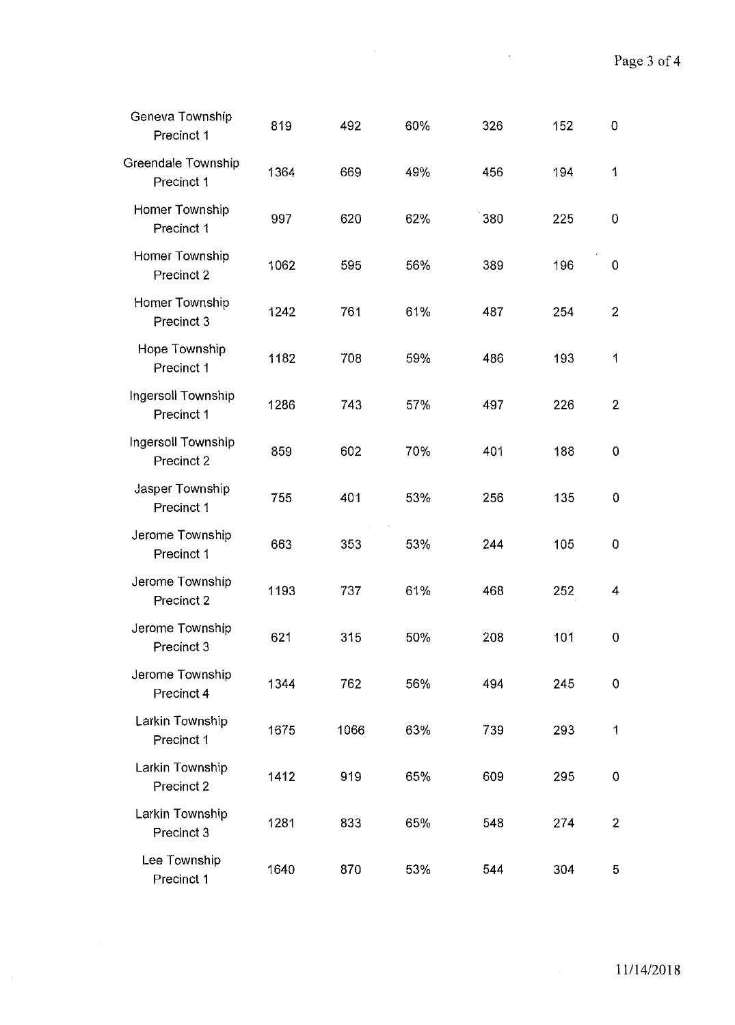$\mathcal{L}(\mathcal{A})$  and  $\mathcal{L}(\mathcal{A})$ 

| Geneva Township<br>Precinct 1    | 819  | 492  | 60% | 326 | 152 | $\mathbf 0$    |
|----------------------------------|------|------|-----|-----|-----|----------------|
| Greendale Township<br>Precinct 1 | 1364 | 669  | 49% | 456 | 194 | 1              |
| Homer Township<br>Precinct 1     | 997  | 620  | 62% | 380 | 225 | 0              |
| Homer Township<br>Precinct 2     | 1062 | 595  | 56% | 389 | 196 | 0              |
| Homer Township<br>Precinct 3     | 1242 | 761  | 61% | 487 | 254 | $\overline{2}$ |
| Hope Township<br>Precinct 1      | 1182 | 708  | 59% | 486 | 193 | 1              |
| Ingersoll Township<br>Precinct 1 | 1286 | 743  | 57% | 497 | 226 | $\overline{2}$ |
| Ingersoll Township<br>Precinct 2 | 859  | 602  | 70% | 401 | 188 | $\mathbf 0$    |
| Jasper Township<br>Precinct 1    | 755  | 401  | 53% | 256 | 135 | 0              |
| Jerome Township<br>Precinct 1    | 663  | 353  | 53% | 244 | 105 | 0              |
| Jerome Township<br>Precinct 2    | 1193 | 737  | 61% | 468 | 252 | 4              |
| Jerome Township<br>Precinct 3    | 621  | 315  | 50% | 208 | 101 | 0              |
| Jerome Township<br>Precinct 4    | 1344 | 762  | 56% | 494 | 245 | 0              |
| Larkin Township<br>Precinct 1    | 1675 | 1066 | 63% | 739 | 293 | 1              |
| Larkin Township<br>Precinct 2    | 1412 | 919  | 65% | 609 | 295 | 0              |
| Larkin Township<br>Precinct 3    | 1281 | 833  | 65% | 548 | 274 | $\overline{2}$ |
| Lee Township<br>Precinct 1       | 1640 | 870  | 53% | 544 | 304 | 5              |

 $\hat{\mathcal{L}}$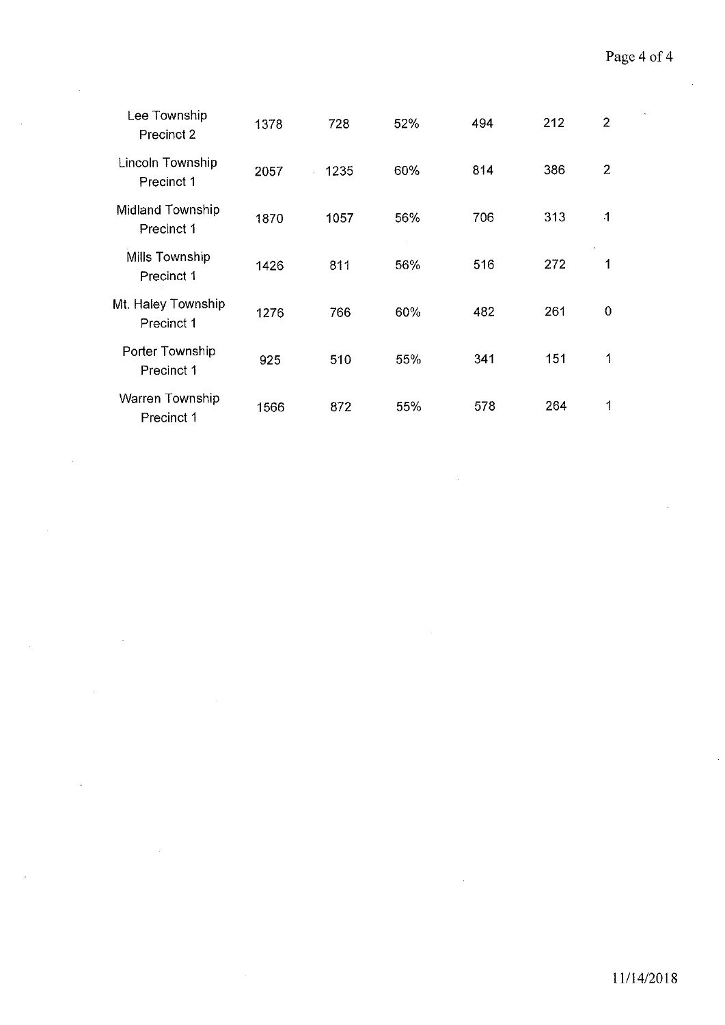| Lee Township<br>Precinct 2       | 1378 | 728  | 52% | 494 | 212 | $\overline{2}$ |
|----------------------------------|------|------|-----|-----|-----|----------------|
| Lincoln Township<br>Precinct 1   | 2057 | 1235 | 60% | 814 | 386 | $\overline{2}$ |
| Midland Township<br>Precinct 1   | 1870 | 1057 | 56% | 706 | 313 | $\overline{1}$ |
| Mills Township<br>Precinct 1     | 1426 | 811  | 56% | 516 | 272 | 1              |
| Mt. Haley Township<br>Precinct 1 | 1276 | 766  | 60% | 482 | 261 | 0              |
| Porter Township<br>Precinct 1    | 925  | 510  | 55% | 341 | 151 | 1              |
| Warren Township<br>Precinct 1    | 1566 | 872  | 55% | 578 | 264 | 1              |

 $\mathcal{L}_{\mathcal{A}}$ 

 $\bar{\mathcal{A}}$ 

l,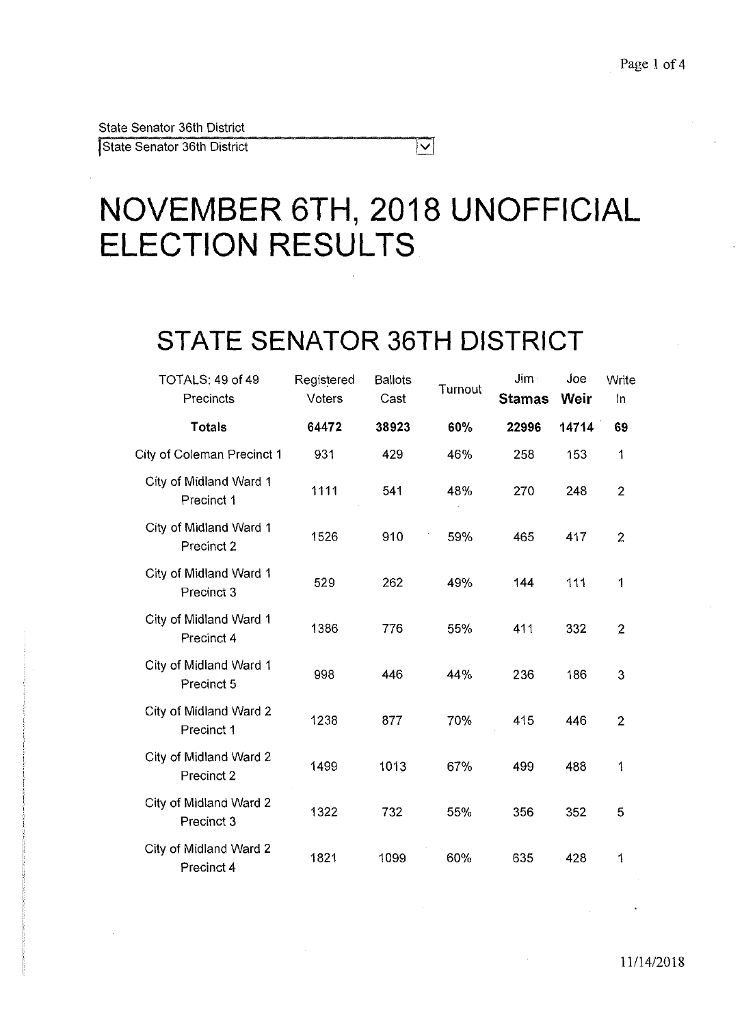State Senator 36th District

## **NOVEMBER 6TH, 2018 UNOFFICIAL ELECTION RESULTS**

 $|\nabla|$ 

## **STATE SENATOR 36TH DISTRICT**

| TOTALS: 49 of 49<br>Precincts        | Registered<br>Voters | <b>Ballots</b><br>Cast | Turnout | Jim-<br><b>Stamas</b> | Joe<br>Weir | Write<br>In    |
|--------------------------------------|----------------------|------------------------|---------|-----------------------|-------------|----------------|
| <b>Totals</b>                        | 64472                | 38923                  | 60%     | 22996                 | 14714       | 69             |
| City of Coleman Precinct 1           | 931                  | 429                    | 46%     | 258                   | 153         | 1              |
| City of Midland Ward 1<br>Precinct 1 | 1111                 | 541                    | 48%     | 270                   | 248         | $\overline{2}$ |
| City of Midland Ward 1<br>Precinct 2 | 1526                 | 910                    | 59%     | 465                   | 417         | $\overline{2}$ |
| City of Midland Ward 1<br>Precinct 3 | 529                  | 262                    | 49%     | 144                   | 111         | 1              |
| City of Midland Ward 1<br>Precinct 4 | 1386                 | 776                    | 55%     | 411                   | 332         | $\overline{2}$ |
| City of Midland Ward 1<br>Precinct 5 | 998                  | 446                    | 44%     | 236                   | 186         | 3              |
| City of Midland Ward 2<br>Precinct 1 | 1238                 | 877                    | 70%     | 415                   | 446         | $\overline{2}$ |
| City of Midland Ward 2<br>Precinct 2 | 1499                 | 1013                   | 67%     | 499                   | 488         | 1              |
| City of Midland Ward 2<br>Precinct 3 | 1322                 | 732                    | 55%     | 356                   | 352         | 5              |
| City of Midland Ward 2<br>Precinct 4 | 1821                 | 1099                   | 60%     | 635                   | 428         | 1              |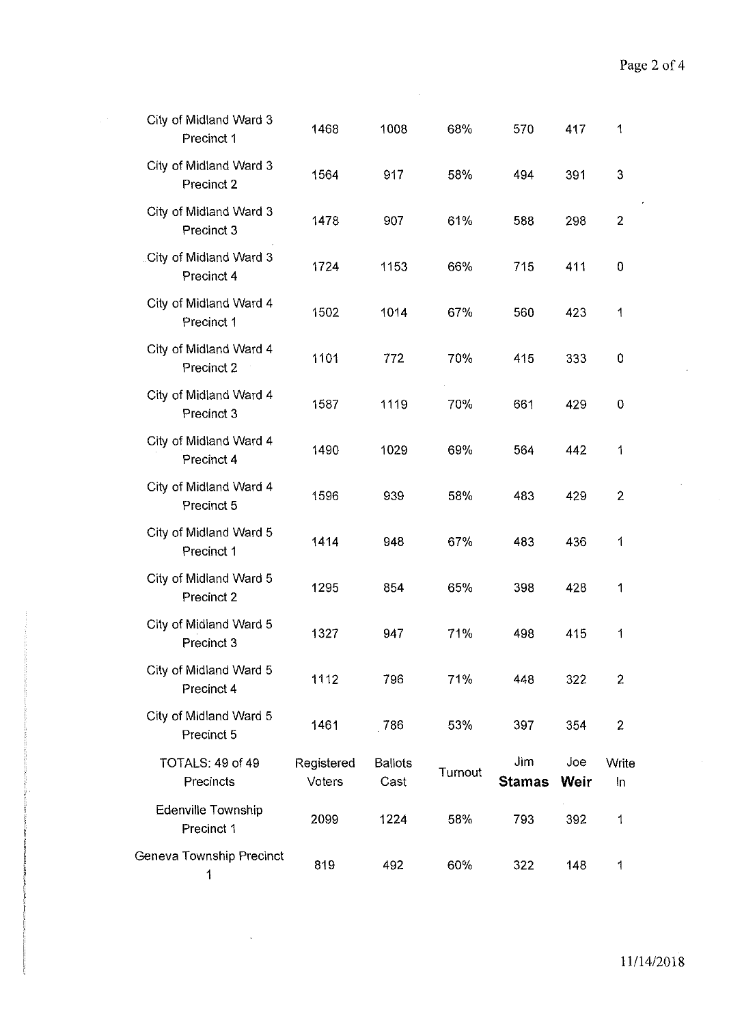| City of Midland Ward 3<br>Precinct 1    | 1468                 | 1008                   | 68%     | 570                  | 417         | 1              |  |
|-----------------------------------------|----------------------|------------------------|---------|----------------------|-------------|----------------|--|
| City of Midland Ward 3<br>Precinct 2    | 1564                 | 917                    | 58%     | 494                  | 391         | 3              |  |
| City of Midland Ward 3<br>Precinct 3    | 1478                 | 907                    | 61%     | 588                  | 298         | $\overline{2}$ |  |
| City of Midland Ward 3<br>Precinct 4    | 1724                 | 1153                   | 66%     | 715                  | 411         | $\mathbf 0$    |  |
| City of Midland Ward 4<br>Precinct 1    | 1502                 | 1014                   | 67%     | 560                  | 423         | 1              |  |
| City of Midland Ward 4<br>Precinct 2    | 1101                 | 772                    | 70%     | 415                  | 333         | $\mathbf 0$    |  |
| City of Midland Ward 4<br>Precinct 3    | 1587                 | 1119                   | 70%     | 661                  | 429         | $\bf{0}$       |  |
| City of Midland Ward 4<br>Precinct 4    | 1490                 | 1029                   | 69%     | 564                  | 442         | 1              |  |
| City of Midland Ward 4<br>Precinct 5    | 1596                 | 939                    | 58%     | 483                  | 429         | $\overline{2}$ |  |
| City of Midland Ward 5<br>Precinct 1    | 1414                 | 948                    | 67%     | 483                  | 436         | 1              |  |
| City of Midland Ward 5<br>Precinct 2    | 1295                 | 854                    | 65%     | 398                  | 428         | 1              |  |
| City of Midland Ward 5<br>Precinct 3    | 1327                 | 947                    | 71%     | 498                  | 415         | 1              |  |
| City of Midland Ward 5<br>Precinct 4    | 1112                 | 796                    | 71%     | 448                  | 322         | $\overline{2}$ |  |
| City of Midland Ward 5<br>Precinct 5    | 1461                 | 786                    | 53%     | 397                  | 354         | $\overline{2}$ |  |
| TOTALS: 49 of 49<br>Precincts           | Registered<br>Voters | <b>Ballots</b><br>Cast | Turnout | Jim<br><b>Stamas</b> | Joe<br>Weir | Write<br>In    |  |
| <b>Edenville Township</b><br>Precinct 1 | 2099                 | 1224                   | 58%     | 793                  | 392         | 1              |  |
| Geneva Township Precinct<br>1           | 819                  | 492                    | 60%     | 322                  | 148         | 1              |  |

 $\mathbb{R}^3$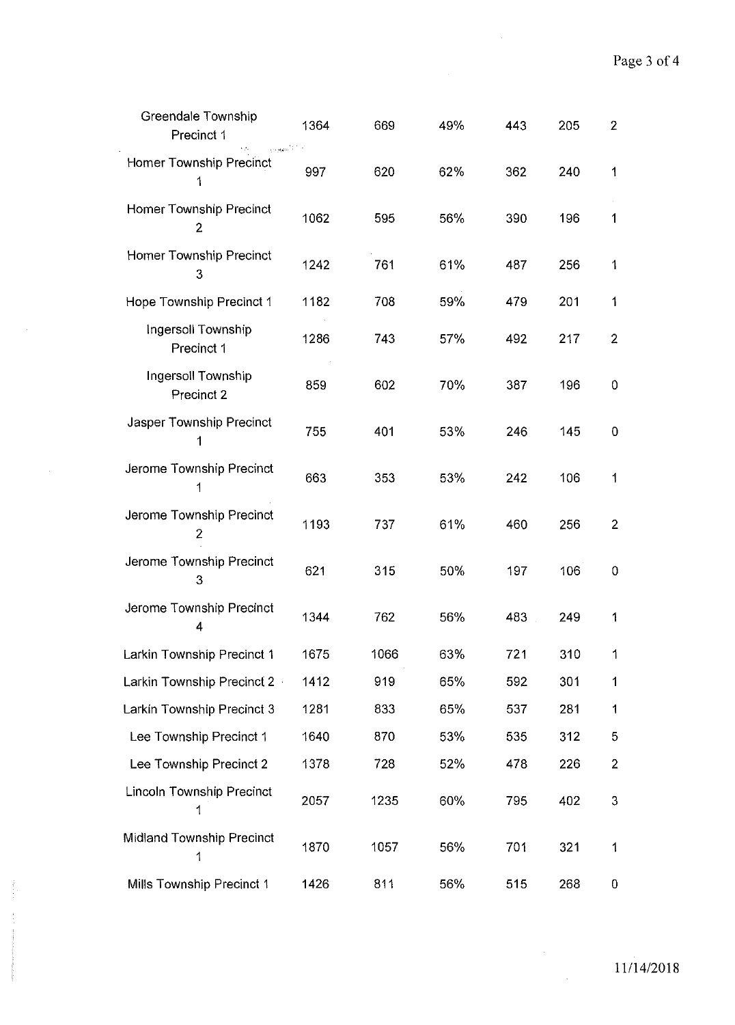$\sim$   $\sim$ 

| Greendale Township<br>Precinct 1<br>فاددتهم | 1364 | 669  | 49% | 443 | 205 | $\overline{2}$ |
|---------------------------------------------|------|------|-----|-----|-----|----------------|
| Homer Township Precinct<br>1                | 997  | 620  | 62% | 362 | 240 | 1              |
| Homer Township Precinct<br>$\overline{2}$   | 1062 | 595  | 56% | 390 | 196 | 1              |
| Homer Township Precinct<br>3                | 1242 | 761  | 61% | 487 | 256 | 1              |
| Hope Township Precinct 1                    | 1182 | 708  | 59% | 479 | 201 | 1              |
| Ingersoll Township<br>Precinct 1            | 1286 | 743  | 57% | 492 | 217 | $\overline{2}$ |
| Ingersoll Township<br>Precinct 2            | 859  | 602  | 70% | 387 | 196 | 0              |
| Jasper Township Precinct<br>1               | 755  | 401  | 53% | 246 | 145 | 0              |
| Jerome Township Precinct<br>1               | 663  | 353  | 53% | 242 | 106 | 1              |
| Jerome Township Precinct<br>$\overline{2}$  | 1193 | 737  | 61% | 460 | 256 | $\overline{2}$ |
| Jerome Township Precinct<br>3               | 621  | 315  | 50% | 197 | 106 | 0              |
| Jerome Township Precinct<br>4               | 1344 | 762  | 56% | 483 | 249 | 1              |
| Larkin Township Precinct 1                  | 1675 | 1066 | 63% | 721 | 310 | 1              |
| Larkin Township Precinct 2                  | 1412 | 919  | 65% | 592 | 301 | 1              |
| Larkin Township Precinct 3                  | 1281 | 833  | 65% | 537 | 281 | 1              |
| Lee Township Precinct 1                     | 1640 | 870  | 53% | 535 | 312 | 5              |
| Lee Township Precinct 2                     | 1378 | 728  | 52% | 478 | 226 | $\overline{2}$ |
| Lincoln Township Precinct<br>1              | 2057 | 1235 | 60% | 795 | 402 | 3              |
| Midland Township Precinct<br>1              | 1870 | 1057 | 56% | 701 | 321 | 1              |
| Mills Township Precinct 1                   | 1426 | 811  | 56% | 515 | 268 | 0              |

 $\frac{1}{2}$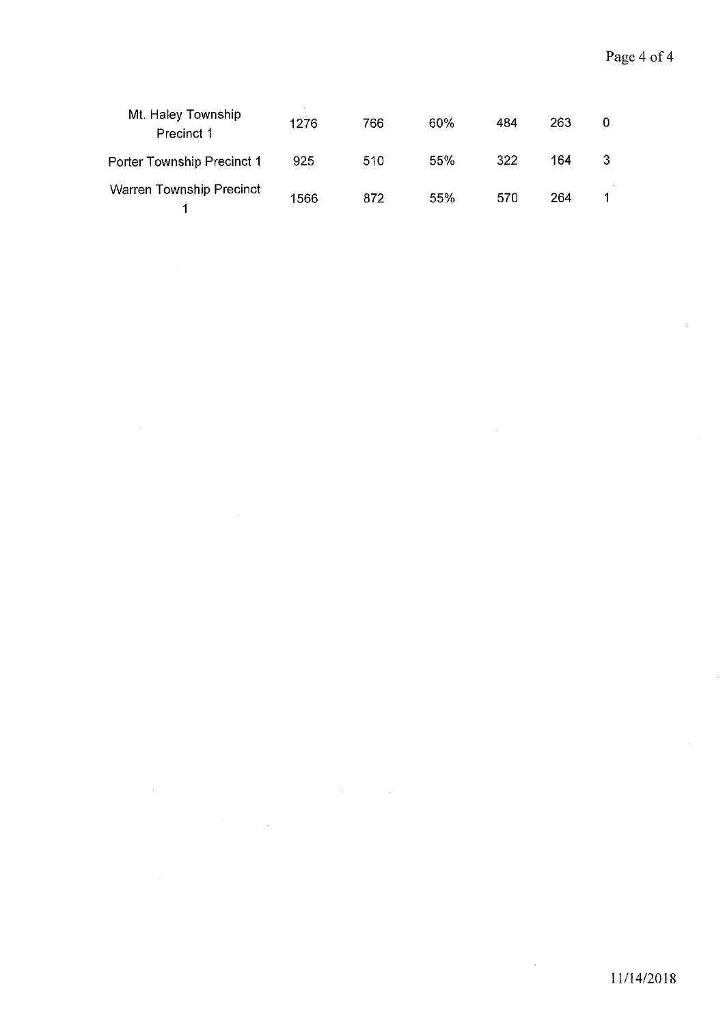| Mt. Haley Township<br>Precinct 1 | 1276 | 766 | 60% | 484 | 263 |  |
|----------------------------------|------|-----|-----|-----|-----|--|
| Porter Township Precinct 1       | 925  | 510 | 55% | 322 | 164 |  |
| Warren Township Precinct         | 1566 | 872 | 55% | 570 | 264 |  |

 $\sim 10$ 

l.

 $\mathcal{L}_{\mathrm{in}}$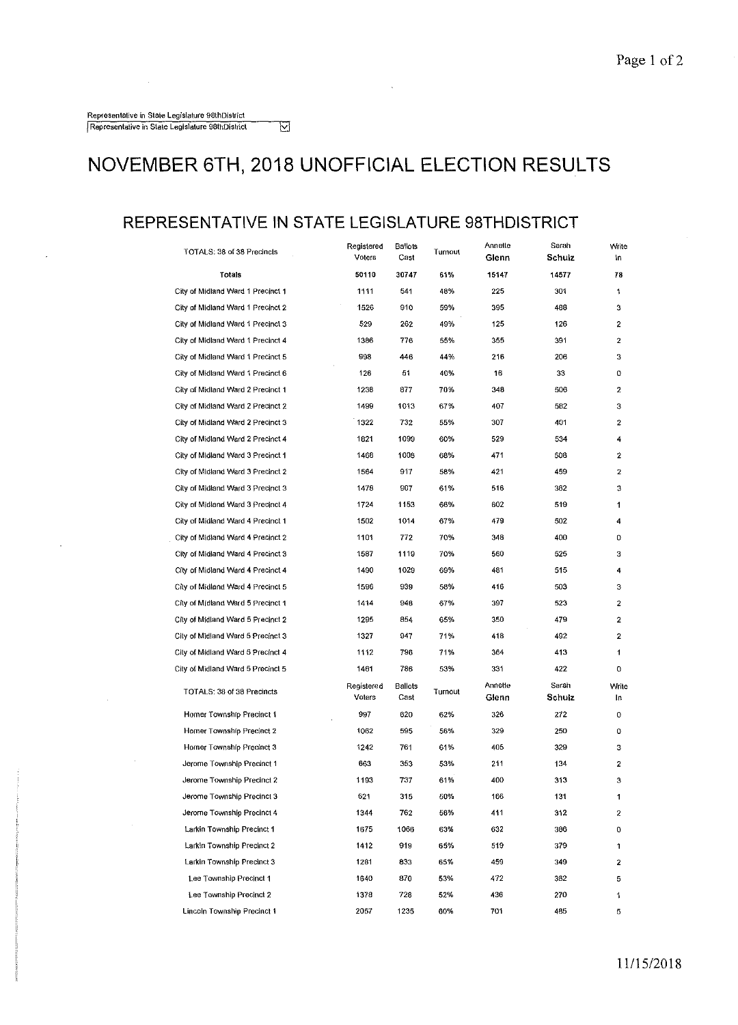#### **NOVEMBER 6TH, 2018 UNOFFICIAL ELECTION RESULTS**

 $\overline{\boxtimes}$ 

#### **REPRESENTATIVE IN STATE LEGISLATURE 98THDISTRICT**

| TOTALS: 38 of 38 Precincts        | Registered<br>Ballots<br>Voters<br>Cast |                 | Turnout | Annette<br>Glenn | Saran<br>Schulz | Write<br>۱n      |
|-----------------------------------|-----------------------------------------|-----------------|---------|------------------|-----------------|------------------|
| Totals                            | 50110                                   | 30747           | 61%     | 15147            | 14577           | 78               |
| City of Midland Ward 1 Precinct 1 | 1111                                    | 541             | 48%     | 225              | 301             | 1                |
| City of Midland Ward 1 Precinct 2 | 1526                                    | 910             | 59%     | 395              | 488             | з                |
| City of Midland Ward 1 Precinct 3 | 529                                     | 262             | 49%     | 125              | 126             | 2                |
| City of Midland Ward 1 Precinct 4 | 1386                                    | 776             | 55%     | 355              | 391             | 2                |
| City of Midland Ward 1 Precinct 5 | 998                                     | 446             | 44%     | 216              | 206             | з                |
| City of Midland Ward 1 Precinct 6 | 126                                     | 51              | 40%     | 16               | 33              | 0                |
| City of Midland Ward 2 Precinct 1 | 1238                                    | 877             | 70%     | 348              | 506             | $\boldsymbol{2}$ |
| City of Midland Ward 2 Precinct 2 | 1499                                    | 1013            | 67%     | 407              | 582             | 3                |
| City of Midland Ward 2 Precinct 3 | 1322                                    | 732             | 55%     | 307              | 401             | 2                |
| City of Midland Ward 2 Precinct 4 | 1821                                    | 1099            | 60%     | 529              | 534             | 4                |
| City of Midland Ward 3 Precinct 1 | 1468                                    | 1008            | 68%     | 471              | 508             | 2                |
| City of Midland Ward 3 Precinct 2 | 1564                                    | 917             | 58%     | 421              | 459             | 2                |
| City of Midland Ward 3 Precinct 3 | 1478                                    | 907             | 61%     | 516              | 362             | 3                |
| City of Midland Ward 3 Precinct 4 | 1724                                    | 1153            | 66%     | 602              | 519             | 1                |
| City of Midland Ward 4 Precinct 1 | 1502                                    | 1014            | 67%     | 479              | 502             | 4                |
| City of Midland Ward 4 Precinct 2 | 1101                                    | 772             | 70%     | 348              | 400             | 0                |
| City of Midland Ward 4 Precinct 3 | 1587                                    | 1119            | 70%     | 560              | 525             | з                |
| City of Midland Ward 4 Precinct 4 | 1490                                    | 1029            | 69%     | 481              | 515             | 4                |
| City of Midland Ward 4 Precinct 5 | 1596                                    | 939             | 58%     | 416              | 503             | з                |
| City of Midland Ward 5 Precinct 1 | 1414                                    | 948             | 67%     | 397              | 523             | $\mathbf{2}$     |
| City of Midland Ward 5 Precinct 2 | 1295                                    | 854             | 65%     | 350              | 479             | 2                |
| City of Midland Ward 5 Precinct 3 | 1327                                    | 947             | 71%     | 418              | 492             | 2                |
| City of Midland Ward 5 Precinct 4 | 1112                                    | 796             | 71%     | 364              | 413             | 1                |
| City of Midland Ward 5 Precinct 5 | 1461                                    | 786             | 53%     | 331              | 422             | ٥                |
| TOTALS: 38 of 38 Precincts        | Registered<br>Voters                    | Ballots<br>Cast | Turnout | Annette<br>Glenn | Sarah<br>Schulz | Write<br>In.     |
| Homer Township Precinct 1         | 997                                     | 620             | 62%     | 326              | 272             | ٥                |
| Homer Township Precinct 2         | 1062                                    | 595             | 56%     | 329              | 250             | 0                |
| Homer Township Precinct 3         | 1242                                    | 761             | 61%     | 405              | 329             | з                |
| Jerome Township Precinct 1        | 663                                     | 353             | 53%     | 211              | 134             | 2                |
| Jerome Township Precinct 2        | 1193                                    | 737             | 61%     | 400              | 313             | 3                |
| Jerome Township Precinct 3        | 621                                     | 315             | 50%     | 166              | 131             | 1                |
| Jerome Township Precinct 4        | 1344                                    | 762             | 56%     | 411              | 312             | 2                |
| Larkin Township Precinct 1        | 1675                                    | 1066            | 63%     | 632              | 386             | 0                |
| Larkin Township Precinct 2        | 1412                                    | 919             | 65%     | 519              | 379             | 1                |
| Larkin Township Precinct 3        | 1281                                    | 833             | 65%     | 459              | 349             | 2                |
| Lee Township Precinct 1           | 1640                                    | 870             | 53%     | 472              | 362             | 5                |
| Lee Township Precinct 2           | 1378                                    | 728             | 52%     | 436              | 270             | 1                |
| Lincoln Township Precinct 1       | 2057                                    | 1235            | 60%     | 701              | 485             | 5                |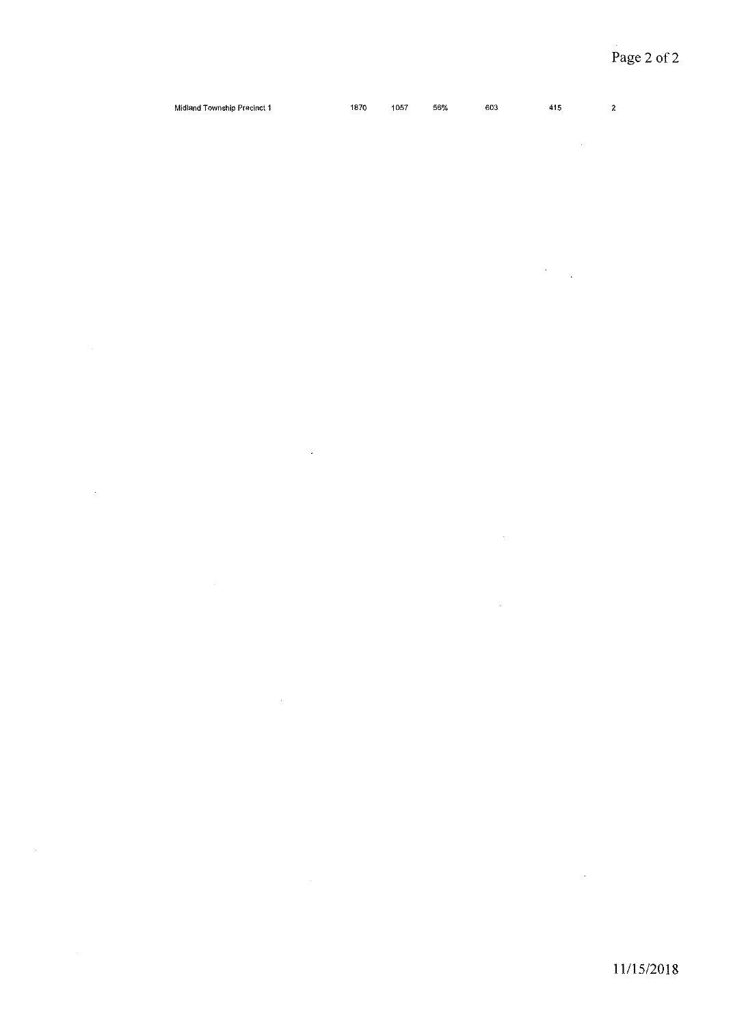$\sim 10^{-1}$  $\bar{\mathcal{A}}$ 

| Midland Township Precinct 1 | 1870 | 1057 | 56% | 603 | 415 | $\sim$ |
|-----------------------------|------|------|-----|-----|-----|--------|
|                             |      |      |     |     |     |        |

 $\hat{\mathbf{z}}$ 

 $\sim$   $\sim$ 

 $\ddot{\phantom{1}}$ 

 $\sim$   $\sim$ 

 $\overline{\phantom{a}}$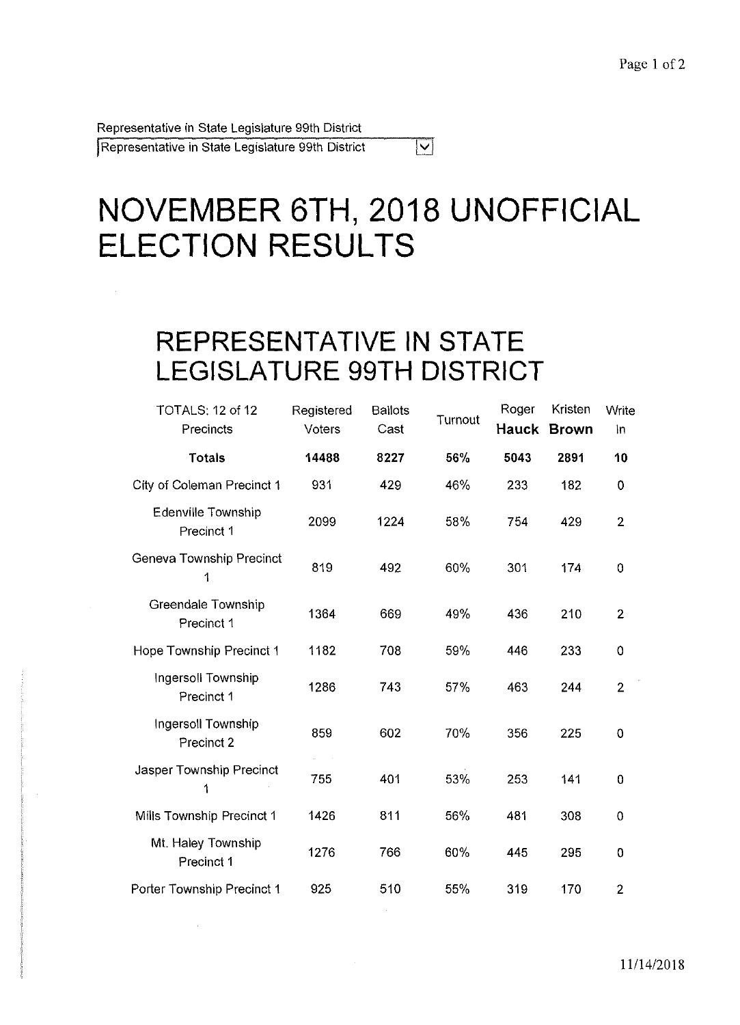Representative in State Legislature 99th District

Representative in State Legislature 99th District

## **NOVEMBER 6TH, 2018 UNOFFICIAL ELECTION RESULTS**

 $|\nabla|$ 

## **REPRESENTATIVE IN STATE LEGISLATURE 99TH DISTRICT**

| TOTALS: 12 of 12<br>Precincts    | Registered<br>Voters | <b>Ballots</b><br>Cast | Turnout | Roger<br>Hauck | Kristen<br><b>Brown</b> | Write<br>In    |
|----------------------------------|----------------------|------------------------|---------|----------------|-------------------------|----------------|
| <b>Totals</b>                    | 14488                | 8227                   | 56%     | 5043           | 2891                    | 10             |
| City of Coleman Precinct 1       | 931                  | 429                    | 46%     | 233            | 182                     | $\mathbf 0$    |
| Edenville Township<br>Precinct 1 | 2099                 | 1224                   | 58%     | 754            | 429                     | $\overline{2}$ |
| Geneva Township Precinct<br>1    | 819                  | 492                    | 60%     | 301            | 174                     | 0              |
| Greendale Township<br>Precinct 1 | 1364                 | 669                    | 49%     | 436            | 210                     | $\overline{2}$ |
| Hope Township Precinct 1         | 1182                 | 708                    | 59%     | 446            | 233                     | 0              |
| Ingersoll Township<br>Precinct 1 | 1286                 | 743                    | 57%     | 463            | 244                     | $\overline{2}$ |
| Ingersoll Township<br>Precinct 2 | 859                  | 602                    | 70%     | 356            | 225                     | 0              |
| Jasper Township Precinct<br>1    | 755                  | 401                    | 53%     | 253            | 141                     | 0              |
| Mills Township Precinct 1        | 1426                 | 811                    | 56%     | 481            | 308                     | $\overline{0}$ |
| Mt. Haley Township<br>Precinct 1 | 1276                 | 766                    | 60%     | 445            | 295                     | 0              |
| Porter Township Precinct 1       | 925                  | 510                    | 55%     | 319            | 170                     | $\overline{2}$ |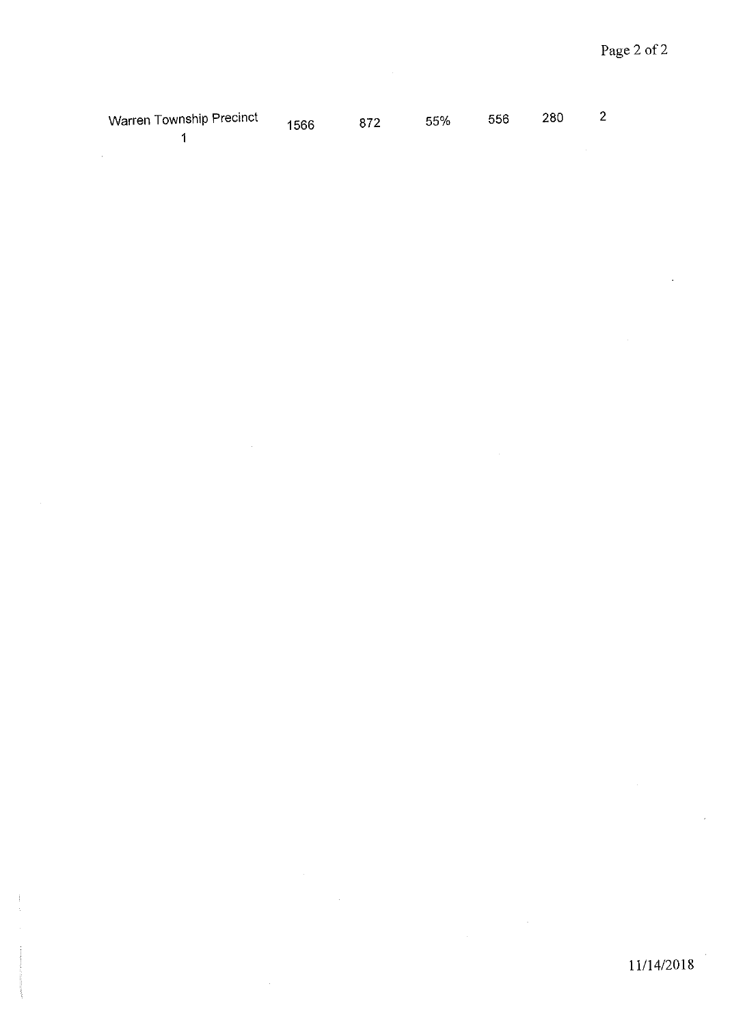| Warren Township Precinct | $^{\circ}$ 1566 872 55% 556 280 . |  |  |  |
|--------------------------|-----------------------------------|--|--|--|
|                          |                                   |  |  |  |

 $\bar{z}$ 

 $\ddot{\phantom{a}}$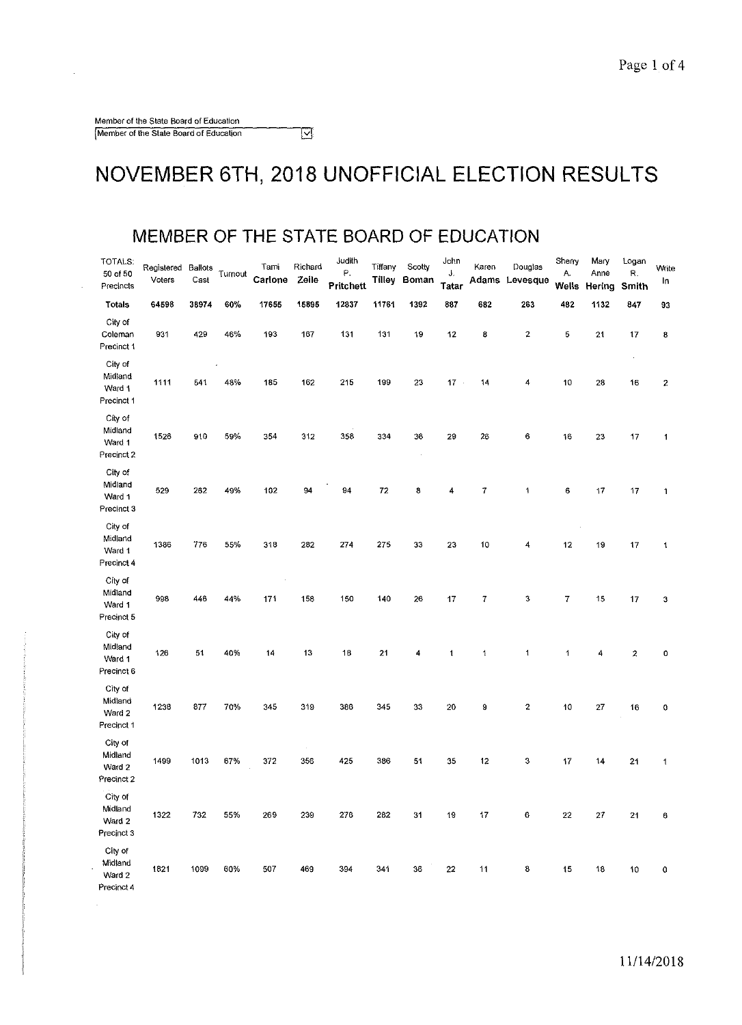$\hat{\boldsymbol{\beta}}$ 

 $\mathbb{Z}^2$ 

#### NOVEMBER 6TH, 2018 UNOFFICIAL ELECTION RESULTS

#### **MEMBER OF THE STATE BOARD OF EDUCATION**

 $\overline{\mathbb{N}}$ 

| TOTALS:<br>50 of 50<br>Precincts           | Registered Ballots<br>Voters | Cast  | Turnout | Tami<br>Carlone | Richard<br>Zeile | Judith<br>Ρ.<br>Pritchett | Tiffany<br><b>Tilley</b> | Scotty<br>Boman | John<br>J.<br>Tatar | Karen | Douglas<br>Adams Levesque | Sherry<br>А.<br>Wells | Mary<br>Anne<br>Hering | Logan<br>R.<br>Smith       | Write<br>In          |
|--------------------------------------------|------------------------------|-------|---------|-----------------|------------------|---------------------------|--------------------------|-----------------|---------------------|-------|---------------------------|-----------------------|------------------------|----------------------------|----------------------|
| Totals                                     | 64598                        | 38974 | 60%     | 17655           | 15895            | 12837                     | 11761                    | 1392            | 887                 | 682   | 263                       | 482                   | 1132                   | 847                        | 93                   |
| City of<br>Coleman<br>Precinct 1           | 931                          | 429   | 46%     | 193             | 167              | 131                       | 131                      | 19              | 12                  | 8     | 2                         | 5                     | 21                     | 17                         | 8                    |
| City of<br>Midiano<br>Ward 1<br>Precinct 1 | 1111                         | 541   | 48%     | 185             | 162              | 215                       | 199                      | 23              | $17 -$              | 14    | 4                         | 10                    | 28                     | $\ddot{\phantom{a}}$<br>16 | $\boldsymbol{2}$     |
| City of<br>Midland<br>Ward 1<br>Precinct 2 | 1526                         | 910   | 59%     | 354             | 312              | 358                       | 334                      | 36              | 29                  | 26    | 6                         | 16                    | 23                     | 17                         | $\mathbf{1}$         |
| City of<br>Midland<br>Ward 1<br>Precinct 3 | 529                          | 262   | 49%     | 102             | 94               | 94                        | 72                       | 8               | 4                   | 7     | 1                         | 6                     | 17                     | 17                         | $\blacktriangleleft$ |
| City of<br>Midland<br>Ward 1<br>Precinct 4 | 1386                         | 776   | 55%     | 318             | 282              | 274                       | 275                      | 33              | 23                  | 10    | 4                         | 12                    | 19                     | 17                         | 1                    |
| City of<br>Midland<br>Ward 1<br>Precinct 5 | 998                          | 446   | 44%     | 171             | 158              | 150                       | 140                      | 26              | 17                  | 7     | 3                         | $\overline{7}$        | 15                     | 17                         | 3                    |
| City of<br>Midland<br>Ward 1<br>Precinct 6 | 126                          | 51    | 40%     | 14              | 13               | 18                        | 21                       | 4               | 1                   | 1     | 1                         | 1                     | 4                      | $\boldsymbol{z}$           | $\mathbf 0$          |
| City of<br>Midland<br>Ward 2<br>Precinct 1 | 1238                         | 877   | 70%     | 345             | 319              | 386                       | 345                      | 33              | 20                  | 9     | 2                         | 10                    | 27                     | 16                         | $\pmb{\mathsf{O}}$   |
| City of<br>Midland<br>Ward 2<br>Precinct 2 | 1499                         | 1013  | 67%     | 372             | 356              | 425                       | 386                      | 51              | 35                  | 12    | 3                         | 17                    | 14                     | 21                         | 1                    |
| City of<br>Midland<br>Ward 2<br>Precinct 3 | 1322                         | 732   | 55%     | 269             | 239              | 276                       | 282                      | 31              | 19                  | 17    | 6                         | 22                    | 27                     | 21                         | 6                    |
| City of<br>Midland<br>Ward 2<br>Precinct 4 | 1821                         | 1099  | 60%     | 507             | 469              | 394                       | 341                      | 36              | $22\,$              | 11    | 8                         | 15                    | 18                     | 10                         | 0                    |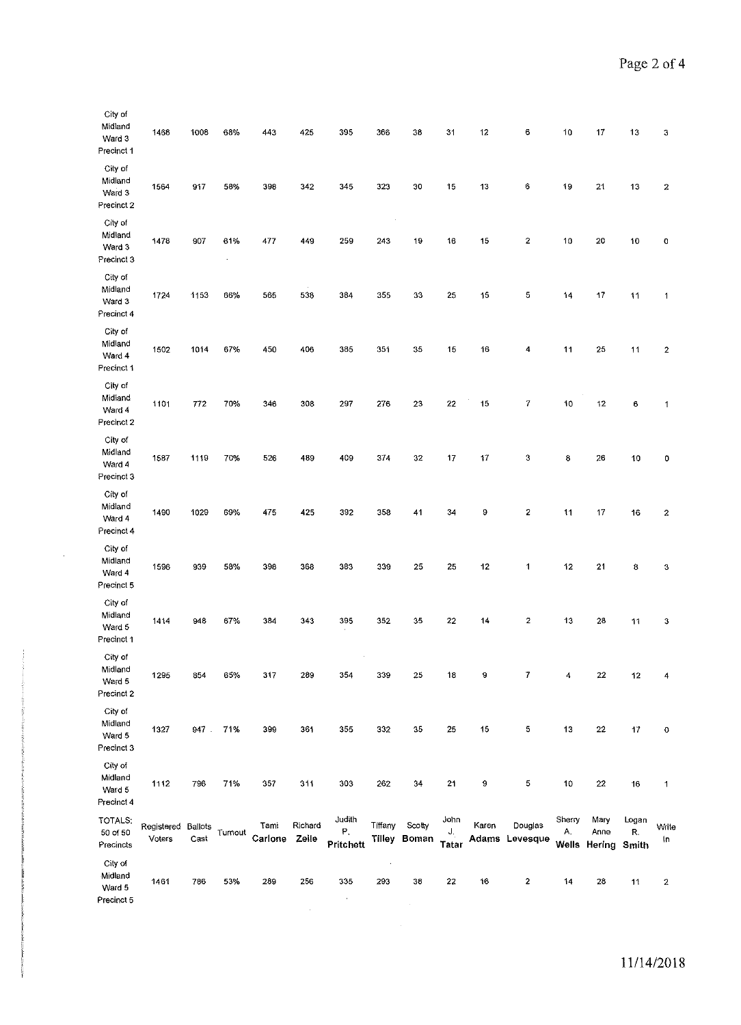| City of<br>Midland<br>Ward 3<br>Precinct 1 | 1468                 | 1008            | 63%               | 443             | 425              | 395                              | 366                  | 38                     | 31                         | 12    | 6                         | 10           | 17                                 | 13          | 3                       |
|--------------------------------------------|----------------------|-----------------|-------------------|-----------------|------------------|----------------------------------|----------------------|------------------------|----------------------------|-------|---------------------------|--------------|------------------------------------|-------------|-------------------------|
| City of<br>Midland<br>Ward 3<br>Precinct 2 | 1564                 | 917             | 58%               | 398             | 342              | 345                              | 323                  | 30                     | 15                         | 13    | 6                         | 19           | 21                                 | 13          | $\boldsymbol{z}$        |
| City of<br>Midland<br>Ward 3<br>Precinct 3 | 1478                 | 907             | 61%<br>$\epsilon$ | 477             | 449              | 259                              | 243                  | 19                     | 16                         | 15    | 2                         | 10           | 20                                 | 10          | 0                       |
| City of<br>Midland<br>Ward 3<br>Precinct 4 | 1724                 | 1153            | 66%               | 565             | 538              | 384                              | 355                  | 33                     | 25                         | 15    | 5                         | 14           | 17                                 | 11          | $\mathbf{1}$            |
| City of<br>Midland<br>Ward 4<br>Precinct 1 | 1502                 | 1014            | 67%               | 450             | 406              | 385                              | 351                  | 35                     | 15                         | 16    | 4                         | 11           | 25                                 | 11          | $\overline{\mathbf{2}}$ |
| City of<br>Midiand<br>Ward 4<br>Precinct 2 | 1101                 | 772             | 70%               | 346             | 308              | 297                              | 276                  | 23                     | 22                         | 15    | 7                         | 10           | 12                                 | 6           | $\mathbf 1$             |
| City of<br>Midland<br>Ward 4<br>Precinct 3 | 1587                 | 1119            | 70%               | 526             | 489              | 409                              | 374                  | 32                     | 17                         | 17    | 3                         | 8            | 26                                 | 10          | 0                       |
| City of<br>Midland<br>Ward 4<br>Precinct 4 | 1490                 | 1029            | 69%               | 475             | 425              | 392                              | 358                  | 41                     | 34                         | 9     | 2                         | 11           | 17                                 | 16          | $\boldsymbol{2}$        |
| City of<br>Midland<br>Ward 4<br>Precinct 5 | 1596                 | 939             | 58%               | 398             | 368              | 383                              | 339                  | 25                     | 25                         | 12    | 1                         | 12           | 21                                 | 8           | 3                       |
| City of<br>Midland<br>Ward 5<br>Precinct 1 | 1414                 | 948             | 67%               | 384             | 343              | 395                              | 352                  | 35                     | 22                         | 14    | 2                         | 13           | 28                                 | 11          | 3                       |
| City of<br>Midland<br>Ward 5<br>Precinct 2 | 1295                 | 854             | 65%               | 317             | 289              | 354                              | 339                  | 25                     | 18                         | 9     | $\overline{7}$            | 4            | 22                                 | 12          | 4                       |
| City of<br>Midland<br>Ward 5<br>Precinct 3 | 1327                 | 947.            | 71%               | 399             | 361              | 355                              | 332                  | 35                     | 25                         | 15    | 5                         | 13           | 22                                 | 17          | 0                       |
| City of<br>Midland<br>Ward 5<br>Precinct 4 | 1112                 | 796             | 71%               | 357             | 311              | 303                              | 262                  | 34                     | 21                         | 9     | 5                         | 10           | 22                                 | 16          | 1                       |
| TOTALS:<br>50 of 50<br>Precincts           | Registered<br>Voters | Baliots<br>Cast | Turnout           | Tami<br>Carlone | Richard<br>Zeile | Judith<br>${\sf P}$<br>Pritchett | Tiffany              | Scotty<br>Tilley Boman | John<br>J.<br><b>Tatar</b> | Karen | Douglas<br>Adams Levesque | Sherry<br>А. | Mary<br>Anne<br>Wells Hering Smith | Logan<br>R. | Write<br>łn             |
| City of<br>Midland<br>Ward 5<br>Precinct 5 | 1461                 | 786             | 53%               | 289             | 256              | 335<br>$\sigma$                  | $\rightarrow$<br>293 | 38                     | 22                         | 16    | 2                         | 14           | 28                                 | 11          | $\boldsymbol{z}$        |

 $\sim$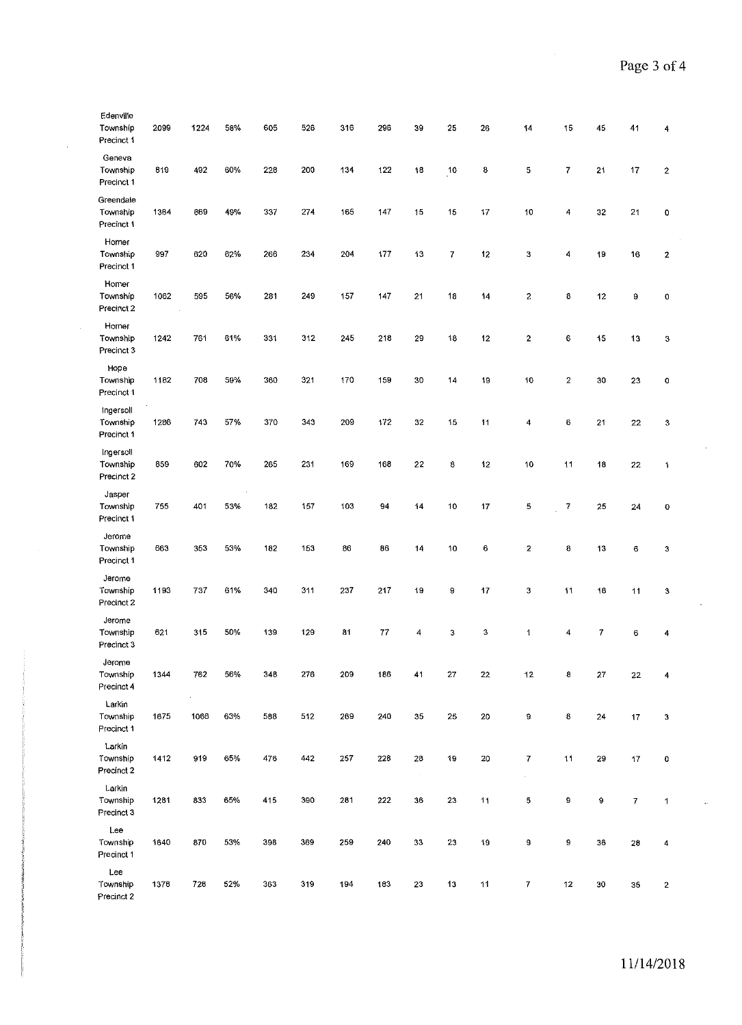| Edenville<br>Township<br>Precinct 1 | 2099 | 1224 | 58% | 605 | 526 | 316 | 296 | 39            | 25                      | 26     | 14                       | 15               | 45 | 41 | 4                       |
|-------------------------------------|------|------|-----|-----|-----|-----|-----|---------------|-------------------------|--------|--------------------------|------------------|----|----|-------------------------|
| Geneva<br>Township<br>Precinct 1    | 819  | 492  | 60% | 228 | 200 | 134 | 122 | 18            | 10                      | 8      | 5                        | $\boldsymbol{7}$ | 21 | 17 | $\overline{\mathbf{c}}$ |
| Greendale<br>Township<br>Precinct 1 | 1364 | 669  | 49% | 337 | 274 | 165 | 147 | 15            | 15                      | 17     | 10                       | 4                | 32 | 21 | 0                       |
| Homer<br>Township<br>Precinct 1     | 997  | 620  | 62% | 266 | 234 | 204 | 177 | 13            | $\overline{\textbf{7}}$ | 12     | 3                        | 4                | 19 | 16 | 2                       |
| Homer<br>Township<br>Precinct 2     | 1062 | 595  | 56% | 281 | 249 | 157 | 147 | 21            | 18                      | 14     | 2                        | 8                | 12 | 9  | $\mathbf 0$             |
| Homer<br>Township<br>Precinct 3     | 1242 | 761  | 61% | 331 | 312 | 245 | 218 | 29            | 18                      | 12     | 2                        | 6                | 15 | 13 | 3                       |
| Hope<br>Township<br>Precinct 1      | 1182 | 708  | 59% | 360 | 321 | 170 | 159 | 30            | 14                      | 19     | 10                       | $\boldsymbol{2}$ | 30 | 23 | $\mathbf 0$             |
| Ingersoll<br>Township<br>Precinct 1 | 1286 | 743  | 57% | 370 | 343 | 209 | 172 | 32            | 15                      | 11     | 4                        | 6                | 21 | 22 | 3                       |
| Ingersoll<br>Township<br>Precinct 2 | 859  | 602  | 70% | 265 | 231 | 169 | 168 | 22            | 8                       | 12     | 10                       | 11               | 18 | 22 | 1                       |
| Jasper<br>Township<br>Precinct 1    | 755  | 401  | 53% | 182 | 157 | 103 | 94  | 14            | 10                      | 17     | 5                        | $\overline{7}$   | 25 | 24 | 0                       |
| Jerome<br>Township<br>Precinct 1    | 663  | 353  | 53% | 182 | 153 | 86  | 86  | 14            | 10                      | 6      | 2                        | 8                | 13 | 6  | 3                       |
| Jerome<br>Township<br>Precinct 2    | 1193 | 737  | 61% | 340 | 311 | 237 | 217 | 19            | 9                       | 17     | 3                        | 11               | 16 | 11 | 3                       |
| Jerome<br>Township<br>Precinct 3    | 621  | 315  | 50% | 139 | 129 | 81  | 77  | 4             | 3                       | 3      | 1                        | 4                | 7  | 6  | 4                       |
| Jerome<br>Township<br>Precinct 4    | 1344 | 762  | 56% | 348 | 276 | 209 | 186 | 41            | 27                      | $22\,$ | 12                       | 8                | 27 | 22 | 4                       |
| Larkin<br>Township<br>Precinct 1    | 1675 | 1066 | 63% | 583 | 512 | 269 | 240 | 35            | 25                      | 20     | 9                        | 8                | 24 | 17 | 3                       |
| Larkin<br>Township<br>Precinct 2    | 1412 | 919  | 65% | 476 | 442 | 257 | 228 | 28<br>$\cdot$ | 19                      | $20\,$ | 7<br>$\mathcal{O}$       | 11               | 29 | 17 | 0                       |
| Larkin<br>Township<br>Precinct 3    | 1281 | 833  | 65% | 415 | 390 | 281 | 222 | 36            | 23                      | 11     | 5                        | 9                | 9  | 7  | 1                       |
| Lee<br>Township<br>Precinct 1       | 1640 | 870  | 53% | 398 | 369 | 259 | 240 | 33            | 23                      | 19     | 9                        | 9                | 36 | 28 | 4                       |
| Lee<br>Township<br>Precinct 2       | 1378 | 728  | 52% | 363 | 319 | 194 | 183 | 23            | 13                      | 11     | $\overline{\mathcal{L}}$ | 12               | 30 | 35 | $\overline{2}$          |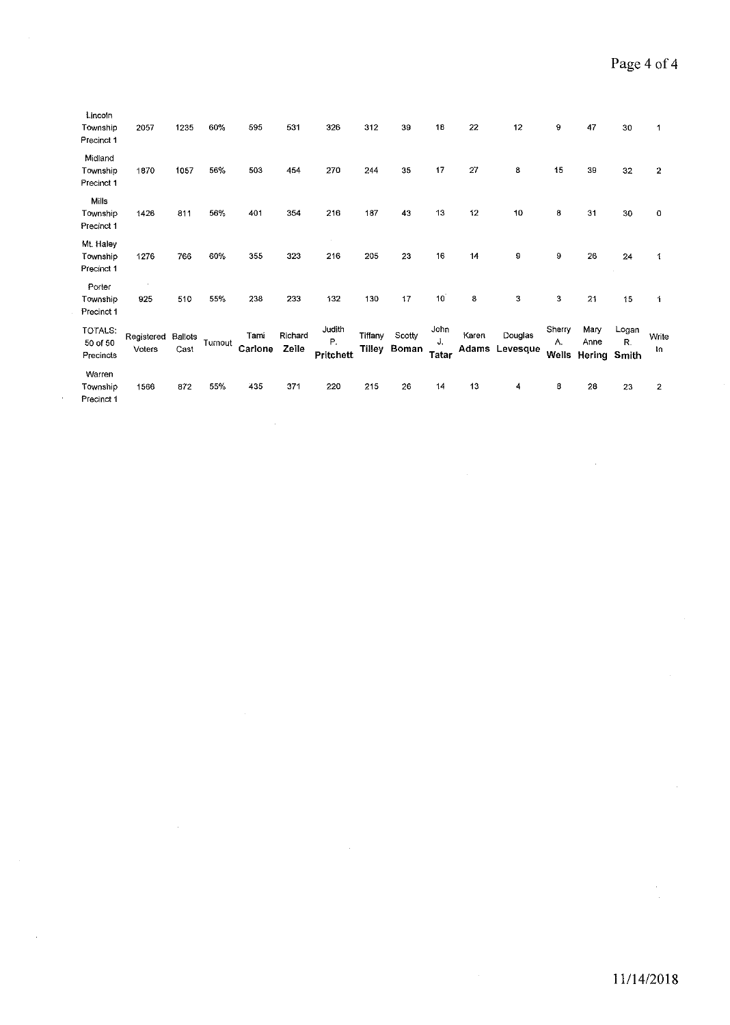$\bar{z}$ 

| Lincoln<br>Township<br>Precinct 1   | 2057                 | 1235                   | 60%     | 595             | 531              | 326                       | 312               | 39              | 18                         | 22    | 12                        | 9                     | 47                     | 30                   | 1            |
|-------------------------------------|----------------------|------------------------|---------|-----------------|------------------|---------------------------|-------------------|-----------------|----------------------------|-------|---------------------------|-----------------------|------------------------|----------------------|--------------|
| Midland<br>Township<br>Precinct 1   | 1870                 | 1057                   | 56%     | 503             | 454              | 270                       | 244               | 35              | 17                         | 27    | 8                         | 15                    | 39                     | 32                   | 2            |
| Mills<br>Township<br>Precinct 1     | 1426                 | 811                    | 56%     | 401             | 354              | 216                       | 187               | 43              | 13                         | 12    | 10                        | 8                     | 31                     | 30                   | 0            |
| Mt. Haley<br>Township<br>Precinct 1 | 1276                 | 766                    | 60%     | 355             | 323              | 216                       | 205               | 23              | 16                         | 14    | 9                         | 9                     | 26                     | 24                   | 1            |
| Porter<br>Township<br>Precinct 1    | 925                  | 510                    | 55%     | 238             | 233              | 132                       | 130               | 17              | 10 <sup>7</sup>            | 8     | з                         | 3                     | 21                     | 15                   | 1            |
| TOTALS:<br>50 of 50<br>Precincts    | Registered<br>Voters | <b>Ballots</b><br>Cast | Turnout | Tami<br>Carlone | Richard<br>Zeile | Judith<br>P.<br>Pritchett | Tiffany<br>Tilley | Scotty<br>Boman | John<br>J.<br><b>Tatar</b> | Karen | Douglas<br>Adams Levesque | Sherry<br>Α.<br>Wells | Mary<br>Anne<br>Hering | Logan<br>R.<br>Smith | Write<br>រ៉ា |
| Warren<br>Township<br>Precinct 1    | 1566                 | 872                    | 55%     | 435             | 371              | 220                       | 215               | 26              | 14                         | 13    | 4                         | 8                     | 28                     | 23                   | $\mathbf{2}$ |

l,

÷,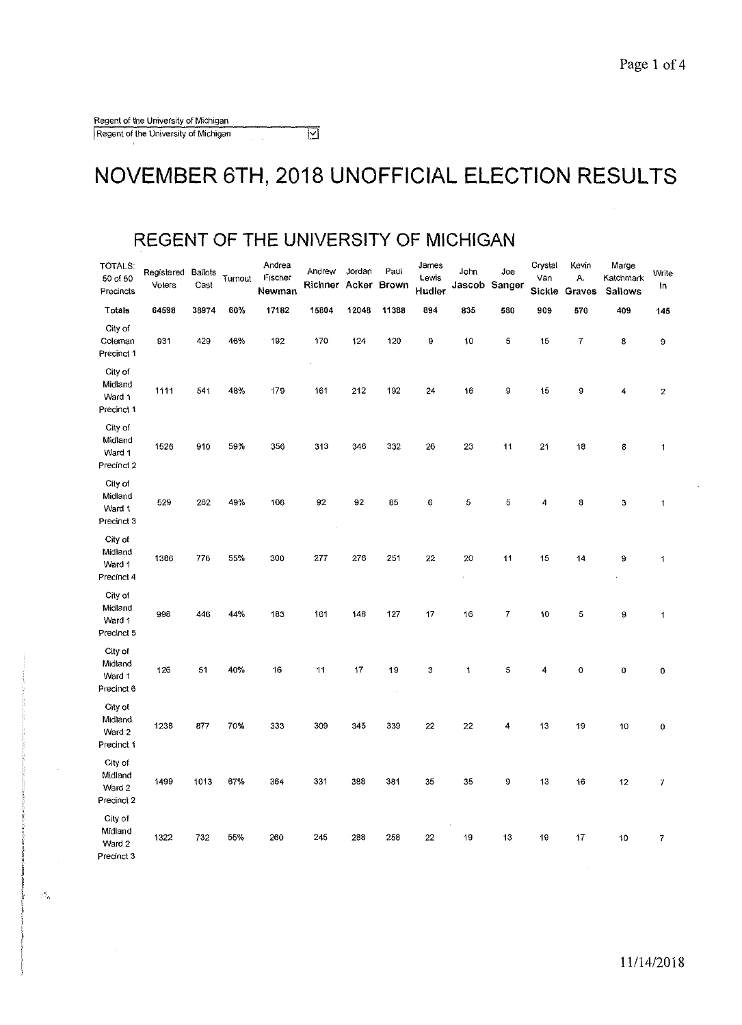$\gamma_{\rm th}^2$ 

#### **NOVEMBER 6TH, 2018 UNOFFICIAL ELECTION RESULTS**

#### **REGENT OF THE UNIVERSITY OF MICHIGAN**

| TOTALS:<br>50 of 50<br>Precincts           | Registered Ballots<br>Voters | Cast  | Turnout | Andrea<br>Fischer<br>Newman | Andrew<br>Richner Acker Brown | Jordan | Paul     | James<br>Lewis<br>Hudler | John       | Joe<br>Jascob Sanger | Crystal<br>Van | Kevin<br>Α.<br>Sickle Graves | Marge<br>Katchmark<br>Sallows | Write<br>in             |
|--------------------------------------------|------------------------------|-------|---------|-----------------------------|-------------------------------|--------|----------|--------------------------|------------|----------------------|----------------|------------------------------|-------------------------------|-------------------------|
| Totals                                     | 64598                        | 38974 | 60%     | 17182                       | 15804                         | 12048  | 11388    | 894                      | 835        | 580                  | 909            | 570                          | 409                           | 145                     |
| City of<br>Coleman<br>Precinct 1           | 931                          | 429   | 46%     | 192                         | 170                           | 124    | 120      | 9                        | 10         | 5                    | 15             | 7                            | 8                             | 9                       |
| City of<br>Midland<br>Ward 1<br>Precinct 1 | 1111                         | 541   | 48%     | 179                         | 161                           | 212    | 192      | 24                       | 16         | 9                    | 15             | 9                            | 4                             | $\overline{\mathbf{c}}$ |
| City of<br>Midland<br>Ward 1<br>Precinct 2 | 1526                         | 910   | 59%     | 356                         | 313                           | 346    | 332      | 26                       | 23         | 11                   | 21             | 18                           | 8                             | 1                       |
| City of<br>Midland<br>Ward 1<br>Precinct 3 | 529                          | 262   | 49%     | 106                         | 92                            | 92     | 85       | 6                        | 5          | 5                    | 4              | 8                            | 3                             | 1                       |
| City of<br>Midland<br>Ward 1<br>Precinct 4 | 1386                         | 776   | 55%     | 300                         | 277                           | 276    | 251      | 22                       | 20         | 11                   | 15             | 14                           | 9                             | 1                       |
| City of<br>Midland<br>Ward 1<br>Precinct 5 | 998                          | 446   | 44%     | 183                         | 161                           | 148    | 127      | 17                       | 16         | 7                    | 10             | 5                            | 9                             | $\mathbf 1$             |
| City of<br>Midland<br>Ward 1<br>Precinct 6 | 126                          | 51    | 40%     | 16                          | 11                            | 17     | 19<br>÷, | 3                        | $\ddagger$ | 5                    | 4              | $\circ$                      | $\mathbf 0$                   | 0                       |
| City of<br>Midland<br>Ward 2<br>Precinct 1 | 1238                         | 877   | 70%     | 333                         | 309                           | 345    | 339      | 22                       | 22         | 4                    | 13             | 19                           | 10                            | 0                       |
| City of<br>Midland<br>Ward 2<br>Precinct 2 | 1499                         | 1013  | 67%     | 364                         | 331                           | 388    | 381      | 35                       | 35         | 9                    | 13             | 16                           | 12                            | 7                       |
| City of<br>Midland<br>Ward 2<br>Precinct 3 | 1322                         | 732   | 55%     | 260                         | 245                           | 288    | 258      | 22                       | 19         | 13                   | 19             | 17                           | 10                            | 7                       |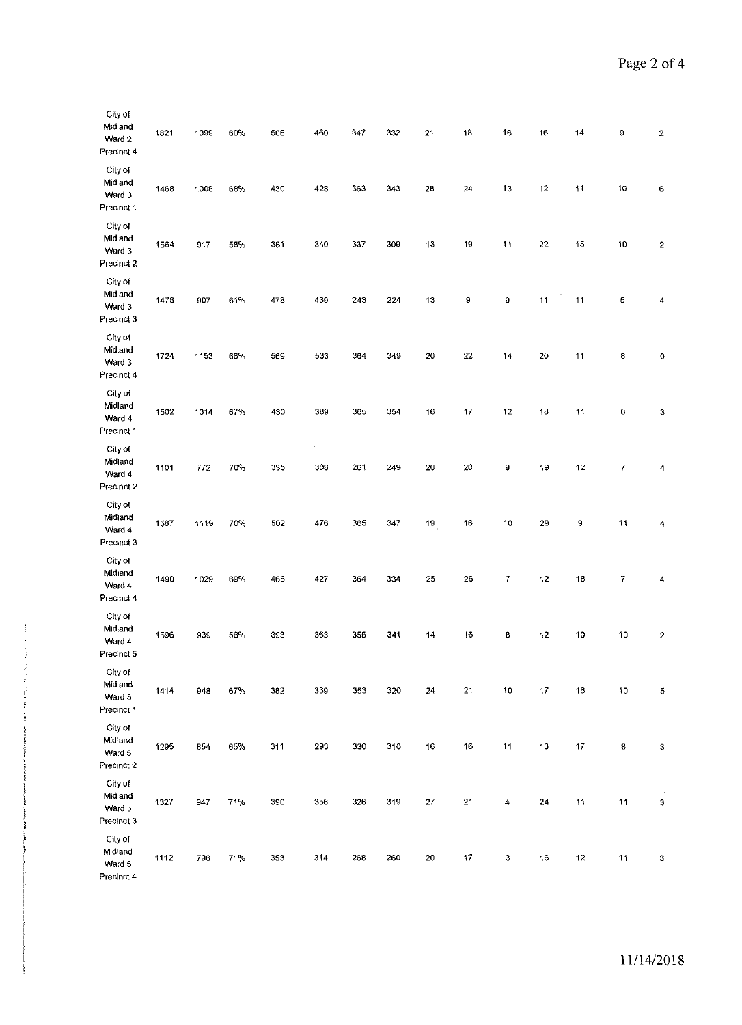| City of<br>Midland<br>Ward 2<br>Precinct 4 | 1821 | 1099 | 60%      | 506 | 460 | 347 | 332 | 21         | 18         | 16 | 16     | 14 | 9                         | 2 |
|--------------------------------------------|------|------|----------|-----|-----|-----|-----|------------|------------|----|--------|----|---------------------------|---|
| City of<br>Midland<br>Ward 3<br>Precinct 1 | 1468 | 1008 | 68%      | 430 | 428 | 363 | 343 | 28         | 24         | 13 | 12     | 11 | 10                        | 6 |
| City of<br>Midland<br>Ward 3<br>Precinct 2 | 1564 | 917  | 58%      | 381 | 340 | 337 | 309 | 13         | 19         | 11 | $22\,$ | 15 | 10                        | 2 |
| City of<br>Midland<br>Ward 3<br>Precinct 3 | 1478 | 907  | 61%      | 478 | 439 | 243 | 224 | 13         | 9          | 9  | 11     | 11 | 5                         | 4 |
| City of<br>Midland<br>Ward 3<br>Precinct 4 | 1724 | 1153 | 66%      | 569 | 533 | 364 | 349 | 20         | 22         | 14 | 20     | 11 | 8                         | 0 |
| City of<br>Midland<br>Ward 4<br>Precinct 1 | 1502 | 1014 | 67%      | 430 | 389 | 365 | 354 | 16         | 17         | 12 | 18     | 11 | 6                         | 3 |
| City of<br>Midland<br>Ward 4<br>Precinct 2 | 1101 | 772  | 70%      | 335 | 308 | 261 | 249 | 20         | 20         | 9  | 19     | 12 | 7                         | 4 |
| City of<br>Midland<br>Ward 4<br>Precinct 3 | 1587 | 1119 | 70%<br>× | 502 | 476 | 365 | 347 | 19         | 16         | 10 | 29     | 9  | 11                        | 4 |
| City of<br>Midiand<br>Ward 4<br>Precinct 4 | 1490 | 1029 | 69%      | 465 | 427 | 364 | 334 | 25         | 26         | 7  | 12     | 18 | $\overline{\mathfrak{c}}$ | 4 |
| City of<br>Midland<br>Ward 4<br>Precinct 5 | 1596 | 939  | 58%      | 393 | 363 | 355 | 341 | 14         | 16         | 8  | 12     | 10 | 10                        | 2 |
| City of<br>Midland<br>Ward 5<br>Precinct 1 | 1414 | 948  | $67\%$   | 382 | 339 | 353 | 320 | ${\bf 24}$ | ${\bf 21}$ | 10 | $17\,$ | 16 | $10$                      | 5 |
| City of<br>Midiand<br>Ward 5<br>Precinct 2 | 1295 | 854  | 65%      | 311 | 293 | 330 | 310 | $16\,$     | 16         | 11 | 13     | 17 | 8                         | 3 |
| City of<br>Midland<br>Ward 5<br>Precinct 3 | 1327 | 947  | 71%      | 390 | 356 | 326 | 319 | $27\,$     | 21         | 4  | $24\,$ | 11 | 11                        | 3 |
| City of<br>Midland<br>Ward 5<br>Precinct 4 | 1112 | 796  | 71%      | 353 | 314 | 268 | 260 | 20         | 17         | 3  | 16     | 12 | 11                        | 3 |

 $\sim 10^{-10}$ 

11/14/2018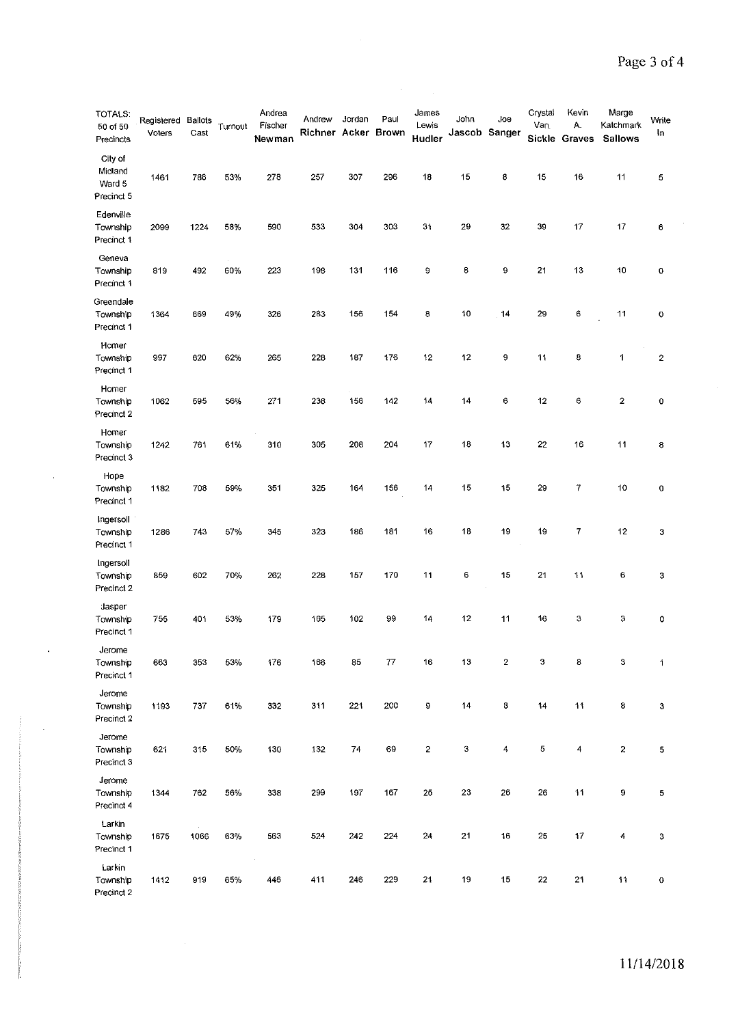$\frac{1}{2}$ 

| <b>TOTALS:</b><br>50 of 50<br>Precincts    | Registered<br>Voters | <b>Ballots</b><br>Cast | Turnout | Andrea<br>Fischer<br>Newman | Andrew<br>Richner Acker Brown | Jordan | Paul | James<br>Lewis<br>Hudler | John<br>Jascob Sanger | Joe              | Crystal<br>Van | Kevin<br>А.<br>Sickle Graves | Marge<br>Katchmark<br>Sallows | Write<br>In.     |
|--------------------------------------------|----------------------|------------------------|---------|-----------------------------|-------------------------------|--------|------|--------------------------|-----------------------|------------------|----------------|------------------------------|-------------------------------|------------------|
| City of<br>Midland<br>Ward 5<br>Precinct 5 | 1461                 | 786                    | 53%     | 278                         | 257                           | 307    | 296  | 18                       | 15                    | 8                | 15             | 16                           | 11                            | 5                |
| Edenville<br>Township<br>Precinct 1        | 2099                 | 1224                   | 58%     | 590                         | 533                           | 304    | 303  | 31                       | 29                    | 32               | 39             | 17                           | 17                            | 6                |
| Geneva<br>Township<br>Precinct 1           | 819                  | 492                    | 60%     | 223                         | 198                           | 131    | 116  | 9                        | 8                     | 9                | 21             | 13                           | 10                            | 0                |
| Greendale<br>Township<br>Precinct 1        | 1364                 | 669                    | 49%     | 326                         | 283                           | 156    | 154  | 8                        | 10                    | 14               | 29             | 6                            | 11                            | 0                |
| Homer<br>Townsnip<br>Precinct 1            | 997                  | 620                    | 62%     | 265                         | 228                           | 187    | 176  | 12                       | 12                    | 9                | 11             | 8                            | 1                             | $\boldsymbol{2}$ |
| Homer<br>Township<br>Precinct 2            | 1062                 | 595                    | 56%     | 271                         | 238                           | 156    | 142  | 14                       | 14                    | 6                | 12             | 6                            | $\mathbf{2}$                  | 0                |
| Homer<br>Township<br>Precinct 3            | 1242                 | 761                    | 61%     | 310                         | 305                           | 208    | 204  | 17                       | 18                    | 13               | 22             | 16                           | 11                            | 8                |
| Hope<br>Township<br>Precinct 1             | 1182                 | 708                    | 59%     | 351                         | 325                           | 164    | 156  | 14                       | 15                    | 15               | 29             | $\overline{7}$               | 10                            | $\pmb{0}$        |
| Ingersoil<br>Township<br>Precinct 1        | 1286                 | 743                    | 57%     | 345                         | 323                           | 186    | 181  | 16                       | 18                    | 19               | 19             | 7                            | 12                            | 3                |
| Ingersoll<br>Township<br>Precinct 2        | 859                  | 602                    | 70%     | 262                         | 228                           | 157    | 170  | 11                       | 6                     | 15               | 21             | 11                           | 6                             | 3                |
| Jasper<br>Township<br>Precinct 1           | 755                  | 401                    | 53%     | 179                         | 165                           | 102    | 99   | 14                       | 12                    | 11               | 16             | 3                            | 3                             | 0                |
| Jerome<br>Township<br>Precinct 1           | 663                  | 353                    | 53%     | 176                         | 166                           | 85     | 77   | 16                       | 13                    | $\boldsymbol{2}$ | 3              | 8                            | $\mathbf 3$                   | 1                |
| Jerome<br>Township<br>Precinct 2           | 1193                 | 737                    | 61%     | 332                         | 311                           | 221    | 200  | 9                        | 14                    | 8                | 14             | 11                           | 8                             | 3                |
| Jerome<br>Township<br>Precinct 3           | 621                  | 315                    | 50%     | 130                         | 132                           | 74     | 69   | $\overline{\mathbf{c}}$  | 3                     | 4                | 5              | $\overline{4}$               | $\overline{c}$                | 5                |
| Jerome<br>Township<br>Precinct 4           | 1344                 | 762                    | 56%     | 338                         | 299                           | 197    | 167  | 25                       | 23                    | 26               | 26             | 11                           | 9                             | 5                |
| Larkin<br>Township<br>Precinct 1           | 1675                 | 1066                   | 63%     | 563                         | 524                           | 242    | 224  | 24                       | 21                    | 16               | 25             | 17                           | 4                             | 3                |
| Larkin<br>Township<br>Precinct 2           | 1412                 | 919                    | 65%     | $\sim$<br>446               | 411                           | 246    | 229  | 21                       | 19                    | 15               | 22             | 21                           | 11                            | $\mathbf O$      |

 $\bar{\beta}$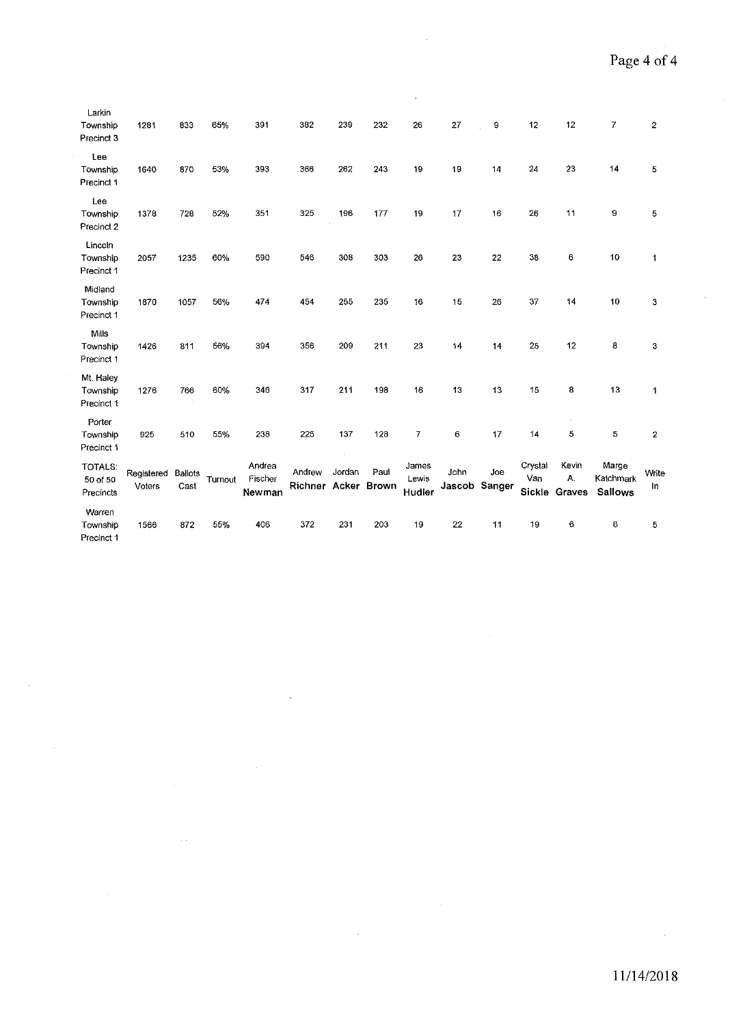$\bar{\gamma}$ 

| Larkin<br>Township<br>Precinct 3    | 1281                 | 833                    | 65%     | 391                         | 382                           | 239    | 232  | 26                       | 27   | 9                    | 12                       | 12                    | 7                                    | $\overline{2}$ |
|-------------------------------------|----------------------|------------------------|---------|-----------------------------|-------------------------------|--------|------|--------------------------|------|----------------------|--------------------------|-----------------------|--------------------------------------|----------------|
| Lee<br>Township<br>Precinct 1       | 1640                 | 870                    | 53%     | 393                         | 366                           | 262    | 243  | 19                       | 19   | 14                   | 24                       | 23                    | 14                                   | 5              |
| Lee<br>Township<br>Precinct 2       | 1378                 | 728                    | 52%     | 351                         | 325                           | 196    | 177  | 19                       | 17   | 16                   | 26                       | 11                    | 9                                    | 5              |
| Lincoln<br>Township<br>Precinct 1   | 2057                 | 1235                   | 60%     | 590                         | 546                           | 308    | 303  | 26                       | 23   | ${\bf 22}$           | 38                       | 6                     | 10                                   | 1              |
| Midland<br>Township<br>Precinct 1   | 1870                 | 1057                   | 56%     | 474                         | 454                           | 255    | 235  | 16                       | 15   | 26                   | 37                       | 14                    | 10                                   | 3              |
| Mills<br>Township<br>Precinct 1     | 1426                 | 811                    | 56%     | 394                         | 356                           | 209    | 211  | 23                       | 14   | 14                   | 25                       | 12                    | 8                                    | 3              |
| Mt. Haley<br>Township<br>Precinct 1 | 1276                 | 766                    | 60%     | 346                         | 317                           | 211    | 198  | 16                       | 13   | 13                   | 15                       | 8                     | 13                                   | 1              |
| Porter<br>Township<br>Precinct 1    | 925                  | 510                    | 55%     | 238                         | 225                           | 137    | 128  | $\overline{7}$           | 6    | 17                   | 14                       | ÷<br>5                | 5                                    | $\mathbf{2}$   |
| TOTALS:<br>50 of 50<br>Precíncts    | Registered<br>Voters | <b>Ballots</b><br>Cast | Turnout | Andrea<br>Fischer<br>Newman | Andrew<br>Richner Acker Brown | Jordan | Paul | James<br>Lewis<br>Hudler | John | Joe<br>Jascob Sanger | Crystal<br>Van<br>Sickle | Kevin<br>Α.<br>Graves | Marge<br>Katchmark<br><b>Sallows</b> | Write<br>In    |
| Warren<br>Township<br>Precinct 1    | 1566                 | 872                    | 55%     | 406                         | 372                           | 231    | 203  | 19                       | 22   | 11                   | 19                       | 6                     | 6                                    | 5              |

 $\bar{\beta}$ 

 $\ddot{\phantom{a}}$ 

 $\sim$ 

 $\sim$  .

 $\sim$ 

 $\sim$ 

 $\bar{z}$ 

 $\ddot{\phantom{0}}$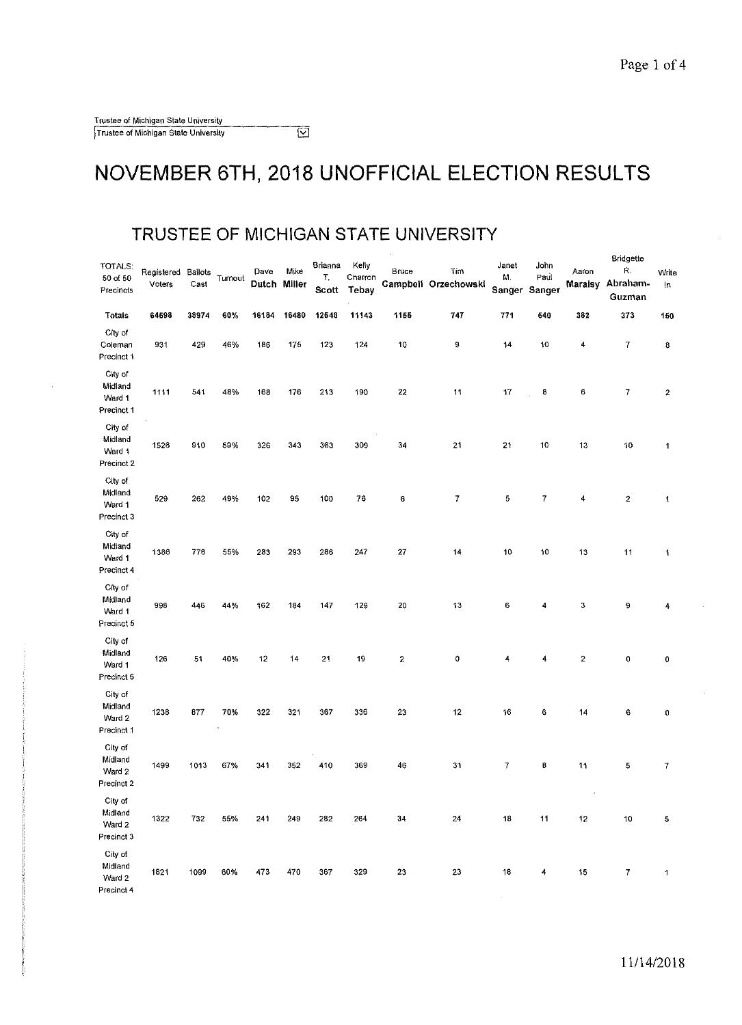#### NOVEMBER 6TH, 2018 UNOFFICIAL ELECTION RESULTS

#### **TRUSTEE OF MICHIGAN STATE UNIVERSITY**

| TOTALS:<br>50 of 50<br>Precincts           | Registered<br>Voters | Ballots<br>Cast | Turnout | Dave<br>Dutch Miller | Mike  | Brianna<br>T.<br>Scott | Kelly<br>Charron<br>Tebay | Bruce            | Tim<br>Campbell Orzechowski | Janet<br>М. | John<br>Paul<br>Sanger Sanger | Aaron<br>Maraisy   | Bridgette<br>R.<br>Abraham-<br>Guzman | Write<br>In      |
|--------------------------------------------|----------------------|-----------------|---------|----------------------|-------|------------------------|---------------------------|------------------|-----------------------------|-------------|-------------------------------|--------------------|---------------------------------------|------------------|
| <b>Totals</b>                              | 64598                | 38974           | 60%     | 16184                | 16480 | 12548                  | 11143                     | 1155             | 747                         | 771         | 540                           | 382                | 373                                   | 150              |
| City of<br>Coleman<br>Precinct 1           | 931                  | 429             | 46%     | 186                  | 175   | 123                    | 124                       | 10               | 9                           | 14          | 10                            | 4                  | 7                                     | 8                |
| City of<br>Midiand<br>Ward 1<br>Precinct 1 | 1111                 | 541             | 48%     | 168                  | 176   | 213                    | 190                       | 22               | 11                          | 17          | 8                             | 6                  | 7                                     | $\boldsymbol{2}$ |
| City of<br>Midland<br>Ward 1<br>Precinct 2 | 1526                 | 910             | 59%     | 326                  | 343   | 363                    | 309                       | 34               | 21                          | 21          | 10                            | 13                 | 10                                    | $\mathbf 1$      |
| City of<br>Midland<br>Ward 1<br>Precinct 3 | 529                  | 262             | 49%     | 102                  | 95    | 100                    | 76                        | 6                | 7                           | 5           | 7                             | 4                  | $\boldsymbol{2}$                      | $\mathbf 1$      |
| City of<br>Midiand<br>Ward 1<br>Precinct 4 | 1386                 | 776             | 55%     | 283                  | 293   | 286                    | 247                       | 27               | 14                          | 10          | 10                            | 13                 | 11                                    | 1                |
| City of<br>Midland<br>Ward 1<br>Precinct 5 | 993                  | 446             | 44%     | 162                  | 184   | 147                    | 129                       | 20               | 13                          | 6           | 4                             | 3                  | 9                                     | 4                |
| City of<br>Midland<br>Ward 1<br>Precinct 6 | 126                  | 51              | 40%     | 12                   | 14    | 21                     | 19                        | $\boldsymbol{2}$ | Ó                           | 4           | 4                             | $\mathbf 2$        | 0                                     | 0                |
| City of<br>Midland<br>Ward 2<br>Precinct 1 | 1238                 | 877             | 70%     | 322                  | 321   | 367                    | 336                       | 23               | 12                          | 16          | 6                             | 14                 | 6                                     | 0                |
| City of<br>Midland<br>Ward 2<br>Precinct 2 | 1499                 | 1013            | 67%     | 341                  | 352   | 410                    | 369                       | 46               | 31                          | 7           | 8                             | 11                 | 5                                     | 7                |
| City of<br>Midland<br>Ward 2<br>Precinct 3 | 1322                 | 732             | 55%     | 241                  | 249   | 282                    | 264                       | 34               | 24                          | 18          | 11                            | $\cdot$<br>$12 \,$ | $10\,$                                | 5                |
| City of<br>Midland<br>Ward 2<br>Precinct 4 | 1821                 | 1099            | 60%     | 473                  | 470   | 367                    | 329                       | 23               | 23                          | 18          | 4                             | 15                 | 7                                     | 1                |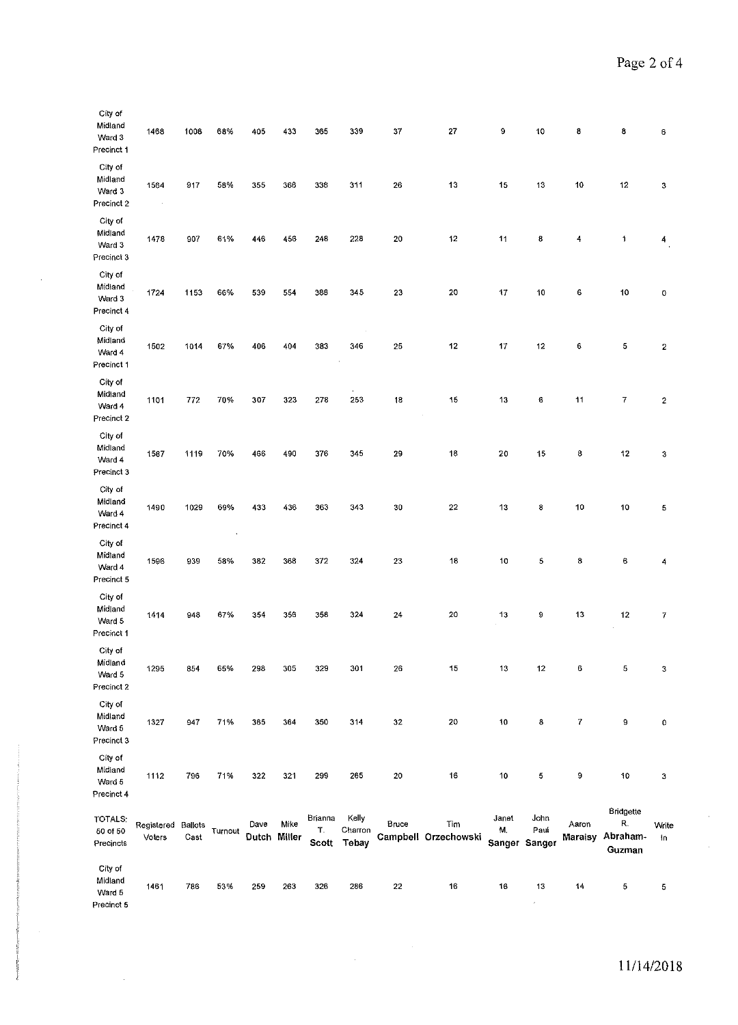| City of<br>Midland<br>Ward 3<br>Precinct 1 | 1468                         | 1008 | 68%            | 405                  | 433  | 365                    | 339                       | 37     | 27                          | 9           | 10                            | 8                | 8                                     | 6                |
|--------------------------------------------|------------------------------|------|----------------|----------------------|------|------------------------|---------------------------|--------|-----------------------------|-------------|-------------------------------|------------------|---------------------------------------|------------------|
| City of<br>Midland<br>Ward 3<br>Precinct 2 | 1564                         | 917  | 58%            | 355                  | 366  | 338                    | 311                       | 26     | 13                          | 15          | 13                            | 10               | 12                                    | 3                |
| City of<br>Midland<br>Ward 3<br>Precinct 3 | 1478                         | 907  | 61%            | 446                  | 456  | 248                    | 228                       | 20     | 12                          | 11          | 8                             | 4                | 1                                     | 4                |
| City of<br>Midland<br>Ward 3<br>Precinct 4 | 1724                         | 1153 | 66%            | 539                  | 554  | 388                    | 345                       | 23     | 20                          | 17          | 10                            | 6                | 10                                    | 0                |
| City of<br>Midland<br>Ward 4<br>Precinct 1 | 1502                         | 1014 | 67%            | 406                  | 404  | 383                    | 346                       | 25     | 12                          | 17          | 12                            | 6                | 5                                     | $\mathbf 2$      |
| City of<br>Midiand<br>Ward 4<br>Precinct 2 | 1101                         | 772  | 70%            | 307                  | 323  | 278                    | 253                       | 18     | 15                          | 13          | 6                             | 11               | 7                                     | $\boldsymbol{2}$ |
| City of<br>Midland<br>Ward 4<br>Precinct 3 | 1587                         | 1119 | 70%            | 466                  | 490  | 376                    | 345                       | 29     | 18                          | 20          | 15                            | 8                | 12                                    | $\bf 3$          |
| City of<br>Midland<br>Ward 4<br>Precinct 4 | 1490                         | 1029 | 69%<br>$\cdot$ | 433                  | 436  | 363                    | 343                       | $30\,$ | 22                          | 13          | 8                             | 10               | 10                                    | 5                |
| City of<br>Midland<br>Ward 4<br>Precinct 5 | 1596                         | 939  | 58%            | 382                  | 368  | 372                    | 324                       | 23     | 18                          | 10          | 5                             | 8                | 6                                     | 4                |
| City of<br>Midland<br>Ward 5<br>Precinct 1 | 1414                         | 948  | 67%            | 354                  | 356  | 358                    | 324                       | 24     | 20                          | 13          | 9                             | 13               | 12                                    | 7                |
| City of<br>Midland<br>Ward 5<br>Precinct 2 | 1295                         | 854  | 65%            | 298                  | 305  | 329                    | 301                       | 26     | 15                          | 13          | 12                            | 6                | 5                                     | 3                |
| City of<br>Midland<br>Ward 5<br>Precinct 3 | 1327                         | 947  | 71%            | 365                  | 364  | 350                    | 314                       | 32     | 20                          | 10          | 8                             | 7                | 9                                     | 0                |
| City of<br>Midiand<br>Ward 5<br>Precinct 4 | 1112                         | 796  | 71%            | 322                  | 321  | 299                    | 265                       | 20     | 16                          | 10          | 5                             | 9                | 10                                    | 3                |
| TOTALS:<br>50 of 50<br>Precincts           | Registered Ballots<br>Voters | Cast | Turnout        | Dave<br>Dutch Miller | Mike | Brianna<br>Т.<br>Scott | Kelly<br>Charron<br>Tebay | Bruce  | Tim<br>Campbell Orzechowski | Janet<br>M. | John<br>Paul<br>Sanger Sanger | Aaron<br>Maraisy | Bridgette<br>R.<br>Abraham-<br>Guzman | Write<br>in.     |
| City of<br>Midland<br>Ward 5<br>Precinct 5 | 1461                         | 786  | 53%            | 259                  | 263  | 326                    | 286                       | 22     | 16                          | 16          | 13<br>$\sigma$                | 14               | 5                                     | 5                |

 $\label{eq:2.1} \frac{1}{\sqrt{2\pi}}\int_{0}^{\infty}\frac{1}{\sqrt{2\pi}}\left(\frac{1}{\sqrt{2\pi}}\right)^{2\alpha} \frac{d\alpha}{\alpha} \,d\beta.$ 

Precinct 5

 $\ddot{\phantom{0}}$ 

 $\hat{\mathcal{L}}$ 

 $\hat{\mathcal{L}}$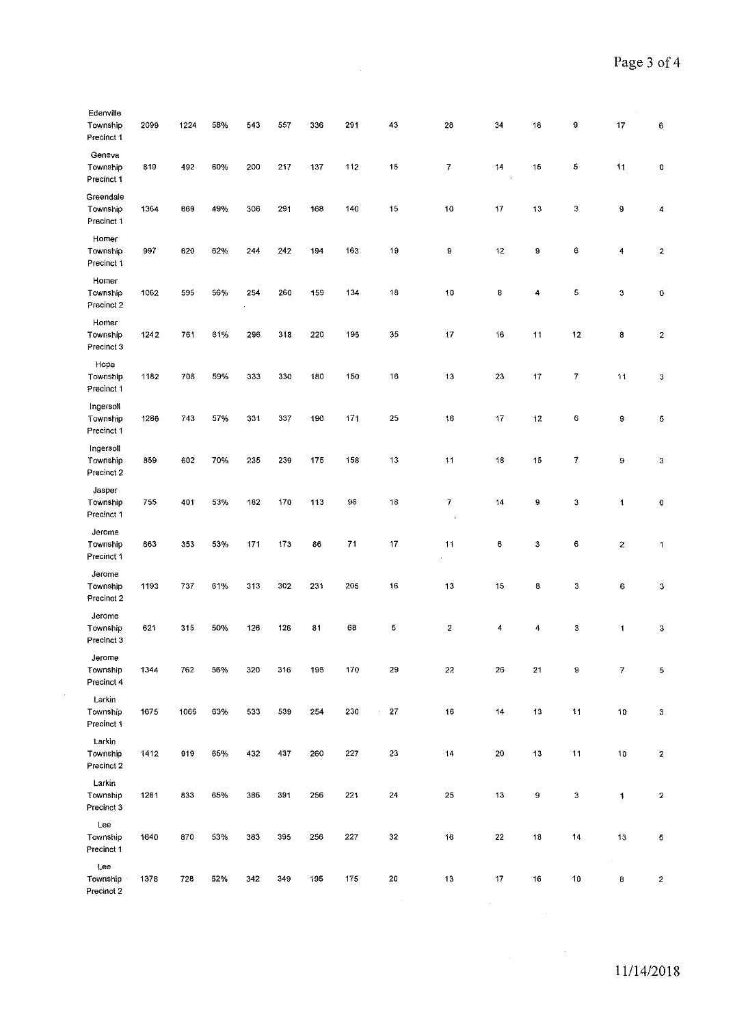| Edenville<br>Township<br>Precinct 1         | 2099 | 1224 | 58% | 543 | 557 | 336 | 291  | 43               | 28                      | 34            | 18 | 9                | 17             | 6                |
|---------------------------------------------|------|------|-----|-----|-----|-----|------|------------------|-------------------------|---------------|----|------------------|----------------|------------------|
| Geneva<br>Township<br>Precinct 1            | 819  | 492  | 60% | 200 | 217 | 137 | 112  | 15               | 7                       | 14            | 15 | 5                | 11             | $\pmb{0}$        |
| Greendale<br>Township<br>Precinct 1         | 1364 | 669  | 49% | 306 | 291 | 168 | 140  | 15               | 10                      | 17            | 13 | $\boldsymbol{3}$ | 9              | 4                |
| Homer<br>Township<br>Precinct 1             | 997  | 620  | 62% | 244 | 242 | 194 | 163  | 19               | 9                       | 12            | 9  | 6                | 4              | 2                |
| Homer<br>Township<br>Precinct 2             | 1062 | 595  | 56% | 254 | 260 | 159 | 134  | 18               | $10\,$                  | 8             | 4  | 5                | 3              | Ó                |
| Homer<br>Townsnip<br>Precinct 3             | 1242 | 761  | 61% | 296 | 318 | 220 | 195  | 35               | 17                      | 16            | 11 | 12               | 8              | 2                |
| Hope<br>Township<br>Precinct 1              | 1182 | 708  | 59% | 333 | 330 | 180 | 150  | 16               | 13                      | 23            | 17 | $\overline{I}$   | 11             | 3                |
| Ingersoll<br>Township<br>Precinct 1         | 1286 | 743  | 57% | 331 | 337 | 196 | 171  | 25               | 16                      | 17            | 12 | $\mathbf 6$      | 9              | 5                |
| Ingersoll<br>Township<br>Precinct 2         | 859  | 602  | 70% | 235 | 239 | 175 | 158  | 13               | 11                      | 18            | 15 | $\boldsymbol{7}$ | 9              | 3                |
| Jasper<br>Township<br>Precinct 1            | 755  | 401  | 53% | 182 | 170 | 113 | 96   | 18               | 7                       | 14            | 9  | 3                | $\mathbf{1}$   | $\pmb{0}$        |
| Jerome<br>Township<br>Precinct 1            | 663  | 353  | 53% | 171 | 173 | 86  | $71$ | 17               | 11                      | 6             | 3  | 6                | $\overline{2}$ | 1                |
| Jerome<br>Township<br>Precinct 2            | 1193 | 737  | 61% | 313 | 302 | 231 | 205  | 16               | 13                      | 15            | 8  | 3                | 6              | 3                |
| Jerome<br>Township<br>Precinct 3            | 621  | 315  | 50% | 126 | 126 | 31  | 68   | 5                | $\overline{\mathbf{c}}$ | 4             | 4  | 3                | 1              | 3                |
| Jerome<br>Township<br>Precinct 4            | 1344 | 762  | 56% | 320 | 316 | 195 | 170  | 29               | 22                      | 26            | 21 | 9                | $\overline{I}$ | 5                |
| Larkin<br>Township<br>Precinct <sub>1</sub> | 1675 | 1066 | 63% | 533 | 539 | 254 | 230  | 27<br>$\epsilon$ | 16                      | 14            | 13 | 11               | 10             | 3                |
| Larkin<br>Township<br>Precinct 2            | 1412 | 919  | 65% | 432 | 437 | 260 | 227  | $23\,$           | 14                      | 20            | 13 | 11               | 10             | $\mathbf{2}$     |
| Larkin<br>Township<br>Precinct 3            | 1281 | 833  | 65% | 386 | 391 | 256 | 221  | 24               | 25                      | 13            | 9  | 3                | $\mathbf{1}$   | $\overline{c}$   |
| Lee<br>Township<br>Precinct 1               | 1640 | 870  | 53% | 383 | 395 | 256 | 227  | 32               | 16                      | 22            | 18 | 14               | 13             | 5                |
| Lee<br>Township<br>Precinct 2               | 1378 | 728  | 52% | 342 | 349 | 195 | 175  | 20               | 13                      | 17            | 16 | 10               | 8              | $\boldsymbol{2}$ |
|                                             |      |      |     |     |     |     |      | $\alpha$         |                         | $\mathcal{L}$ |    |                  |                |                  |

 $\label{eq:2.1} \frac{1}{2}\sum_{i=1}^n\frac{1}{2}\sum_{j=1}^n\frac{1}{2}\sum_{j=1}^n\frac{1}{2}\sum_{j=1}^n\frac{1}{2}\sum_{j=1}^n\frac{1}{2}\sum_{j=1}^n\frac{1}{2}\sum_{j=1}^n\frac{1}{2}\sum_{j=1}^n\frac{1}{2}\sum_{j=1}^n\frac{1}{2}\sum_{j=1}^n\frac{1}{2}\sum_{j=1}^n\frac{1}{2}\sum_{j=1}^n\frac{1}{2}\sum_{j=1}^n\frac{1}{2}\sum_{j=1}^n\$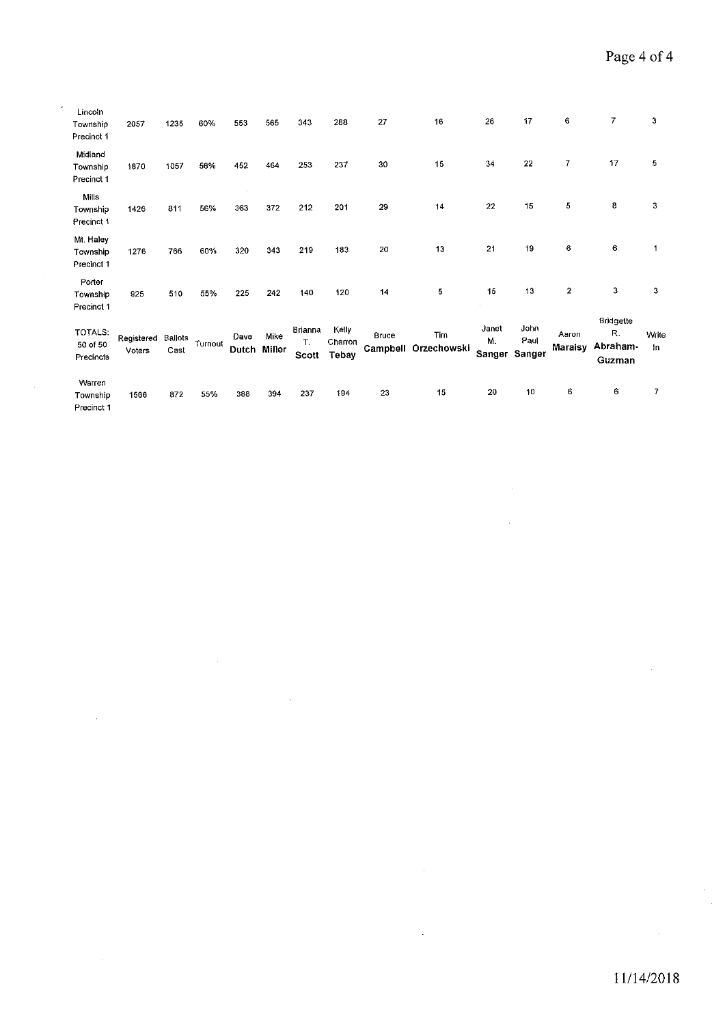| Lincoln<br>Township<br>Precinct 1   | 2057                 | 1235            | 60%     | 553                  | 565  | 343                    | 288                       | 27    | 16                          | 26                    | 17                     | 6                       | 7                                            | 3           |
|-------------------------------------|----------------------|-----------------|---------|----------------------|------|------------------------|---------------------------|-------|-----------------------------|-----------------------|------------------------|-------------------------|----------------------------------------------|-------------|
| Midland<br>Township<br>Precinct 1   | 1870                 | 1057            | 56%     | 452                  | 464  | 253                    | 237                       | 30    | 15                          | 34                    | 22                     | 7                       | 17                                           | 5           |
| Mills<br>Township<br>Precinct 1     | 1426                 | 811             | 56%     | 363                  | 372  | 212                    | 201                       | 29    | 14                          | 22                    | 15                     | 5                       | 8                                            | 3           |
| Mt. Haley<br>Township<br>Precinct 1 | 1276                 | 766             | 60%     | 320                  | 343  | 219                    | 183                       | 20    | 13                          | 21                    | 19                     | 6                       | 6                                            | 1           |
| Porter<br>Township<br>Precinct 1    | 925                  | 510             | 55%     | 225                  | 242  | 140                    | 120                       | 14    | 5                           | 15                    | 13                     | $\overline{\mathbf{z}}$ | 3                                            | 3           |
| TOTALS:<br>50 of 50<br>Precincts    | Registered<br>Voters | Ballots<br>Cast | Turnout | Dave<br>Dutch Miller | Mike | Brianna<br>T.<br>Scott | Kelly<br>Charron<br>Tebay | Bruce | Tim<br>Campbell Orzechowski | Janet<br>Μ.<br>Sanger | John<br>Paul<br>Sanger | Aaron<br><b>Maraisy</b> | <b>Bridgette</b><br>R.<br>Abraham-<br>Guzman | Write<br>In |
| Warren<br>Township<br>Precinct 1    | 1566                 | 872             | 55%     | 388                  | 394  | 237                    | 194                       | 23    | 15                          | 20                    | 10                     | 6                       | 6                                            | 7           |

 $\overline{\phantom{a}}$ 

i,

J.

 $\overline{\phantom{a}}$ 

 $\bar{\mathcal{A}}$ 

 $\hat{\boldsymbol{\theta}}$  $\frac{1}{2}$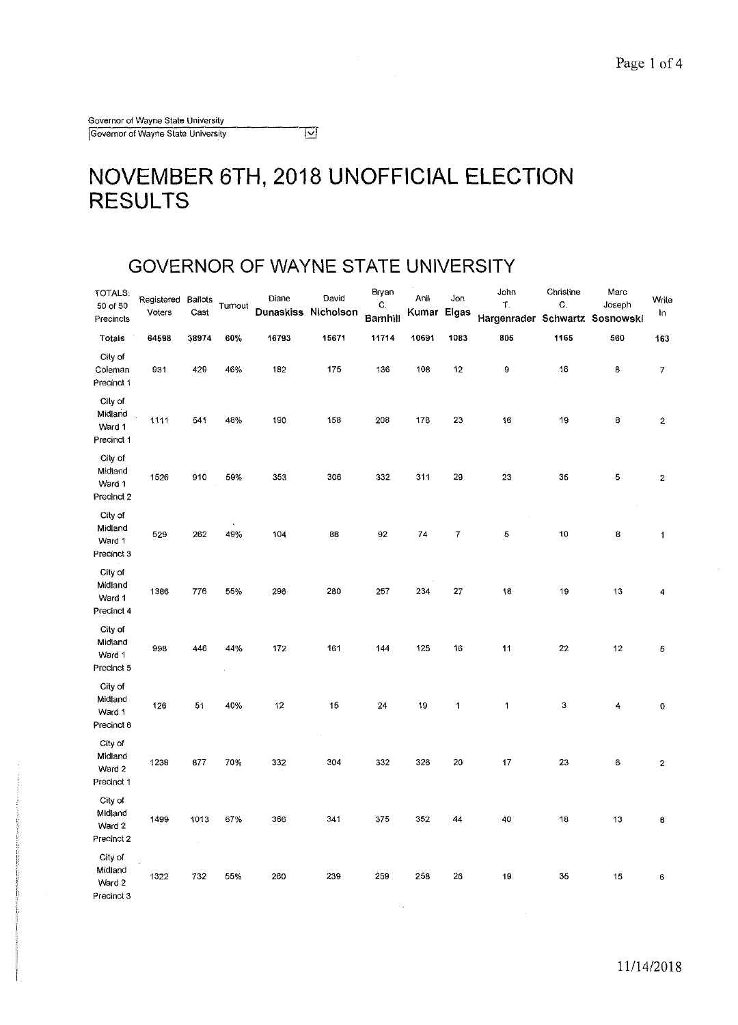#### $\overline{\Xi}$

### **NOVEMBER 6TH, 2018 UNOFFICIAL ELECTION RESULTS**

 $\bar{\omega}$ 

#### **GOVERNOR OF WAYNE STATE UNIVERSITY**

| TOTALS:<br>50 of 50<br>Precincts           | Registered<br>Voters | Baliots<br>Cast | Turnout | Diane<br>Dunaskiss Nicholson | David | Bryan<br>C.<br>Barnhill | Anil<br>Kumar | Jon<br>Elgas | John<br>T.<br>Hargenrader Schwartz Sosnowski | Christine<br>$\mathbf C.$ | Marc<br>Joseph | Write<br>In             |
|--------------------------------------------|----------------------|-----------------|---------|------------------------------|-------|-------------------------|---------------|--------------|----------------------------------------------|---------------------------|----------------|-------------------------|
| <b>Totals</b>                              | 64598                | 38974           | 60%     | 16793                        | 15671 | 11714                   | 10691         | 1083         | 805                                          | 1165                      | 560            | 163                     |
| City of<br>Coleman<br>Precinct 1           | 931                  | 429             | 46%     | 182                          | 175   | 136                     | 108           | 12           | 9                                            | 16                        | 8              | $\boldsymbol{7}$        |
| City of<br>Midland<br>Ward 1<br>Precinct 1 | 1111                 | 541             | 48%     | 190                          | 158   | 208                     | 178           | 23           | 16                                           | 19                        | 8              | $\bf 2$                 |
| City of<br>Midiand<br>Ward 1<br>Precinct 2 | 1526                 | 910             | 59%     | 353                          | 306   | 332                     | 311           | 29           | 23                                           | 35                        | 5              | $\mathbf 2$             |
| City of<br>Midland<br>Ward 1<br>Precinct 3 | 529                  | 262             | 49%     | 104                          | 88    | 92                      | 74            | 7            | 5                                            | 10                        | 8              | 1                       |
| City of<br>Midland<br>Ward 1<br>Precinct 4 | 1386                 | 776             | 55%     | 296                          | 280   | 257                     | 234           | 27           | 18                                           | 19                        | 13             | 4                       |
| City of<br>Midland<br>Ward 1<br>Precinct 5 | 993                  | 446             | 44%     | 172                          | 161   | 144                     | 125           | 16           | 11                                           | 22                        | 12             | 5                       |
| City of<br>Midland<br>Ward 1<br>Precinct 6 | 126                  | 51              | 40%     | 12                           | 15    | 24                      | 19            | $\mathbf{1}$ | 1                                            | 3                         | 4              | 0                       |
| City of<br>Midland<br>Ward 2<br>Precinct 1 | 1238                 | 877             | 70%     | 332                          | 304   | 332                     | 326           | 20           | 17                                           | 23                        | 6              | $\overline{\mathbf{2}}$ |
| City of<br>Midland<br>Ward 2<br>Precinct 2 | 1499                 | 1013            | 67%     | 366                          | 341   | 375                     | 352           | 44           | 40                                           | 18                        | 13             | 6                       |
| City of<br>Midland<br>Ward 2<br>Precinct 3 | 1322                 | 732             | 55%     | 260                          | 239   | 259                     | 258           | 26           | 19                                           | 35                        | 15             | 6                       |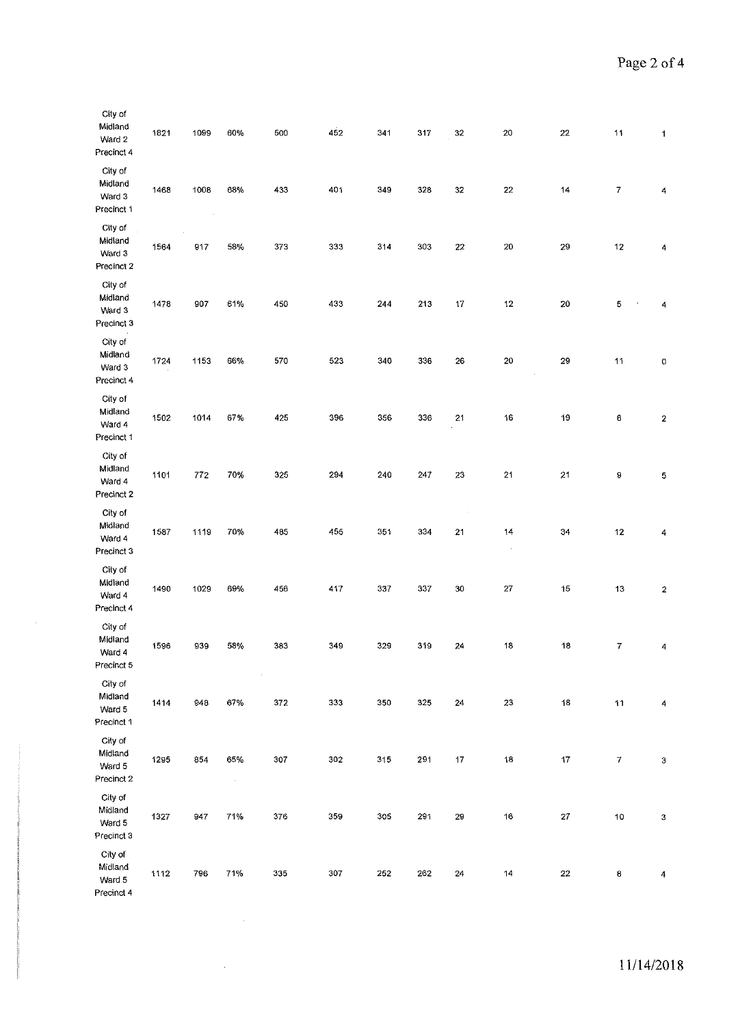| City of<br>Midland<br>Ward 2<br>Precinct 4 | 1821 | 1099    | 60%            | 500                         | 452 | 341 | 317 | 32          | 20                                | $22\,$      | $\overline{11}$  | $\mathbf{1}$              |
|--------------------------------------------|------|---------|----------------|-----------------------------|-----|-----|-----|-------------|-----------------------------------|-------------|------------------|---------------------------|
| City of<br>Midland<br>Ward 3<br>Precinct 1 | 1468 | 1008    | 68%            | 433                         | 401 | 349 | 328 | $3\sqrt{2}$ | $22\,$                            | 14          | $\overline{7}$   | 4                         |
| City of<br>Midland<br>Ward 3<br>Precinct 2 | 1564 | 917     | 58%            | 373                         | 333 | 314 | 303 | 22          | 20                                | 29          | 12               | 4                         |
| City of<br>Midland<br>Ward 3<br>Precinct 3 | 1478 | 907     | 61%            | 450                         | 433 | 244 | 213 | 17          | 12                                | 20          | 5                | 4                         |
| City of<br>Midland<br>Ward 3<br>Precinct 4 | 1724 | 1153    | 66%            | 570                         | 523 | 340 | 336 | 26          | 20                                | 29          | 11               | 0                         |
| City of<br>Midland<br>Ward 4<br>Precinct 1 | 1502 | 1014    | 67%            | 425                         | 396 | 356 | 336 | 21          | 16                                | 19          | 8                | $\boldsymbol{2}$          |
| City of<br>Midland<br>Ward 4<br>Precinct 2 | 1101 | $772\,$ | 70%            | 325                         | 294 | 240 | 247 | $23\,$      | 21                                | 21          | 9                | 5                         |
| City of<br>Midland<br>Ward 4<br>Precinct 3 | 1587 | 1119    | 70%            | 485                         | 455 | 351 | 334 | 21          | 14<br>$\hat{\boldsymbol{\theta}}$ | 34          | 12               | 4                         |
| City of<br>Midiand<br>Ward 4<br>Precinct 4 | 1490 | 1029    | 69%            | 456                         | 417 | 337 | 337 | 30          | $27\,$                            | 15          | 13               | 2                         |
| City of<br>Midland<br>Ward 4<br>Precinct 5 | 1596 | 939     | 58%            | 383                         | 349 | 329 | 319 | 24          | 18                                | 18          | 7                | 4                         |
| City of<br>Midland<br>Ward 5<br>Precinct 1 | 1414 | 948     | 67%            | $\ddot{\phantom{1}}$<br>372 | 333 | 350 | 325 | 24          | $23\,$                            | 18          | 11               | 4                         |
| City of<br>Midland<br>Ward 5<br>Precinct 2 | 1295 | 854     | 65%<br>$\cdot$ | 307                         | 302 | 315 | 291 | 17          | 18                                | $\bf 17$    | $\boldsymbol{7}$ | $\ensuremath{\mathsf{3}}$ |
| City of<br>Midland<br>Ward 5<br>Precinct 3 | 1327 | 947     | 71%            | 376                         | 359 | 305 | 291 | 29          | $16\,$                            | $\bf 27$    | 10               | $\ensuremath{\mathsf{3}}$ |
| City of<br>Midland<br>Ward 5<br>Precinct 4 | 1112 | 796     | 71%            | 335                         | 307 | 252 | 262 | 24          | 14                                | $2\sqrt{2}$ | 8                | $\overline{4}$            |

 $\mathcal{L}^{\text{max}}_{\text{max}}$ 

 $\mathcal{A}^{\mathcal{A}}$ 

 $\sim$   $\sim$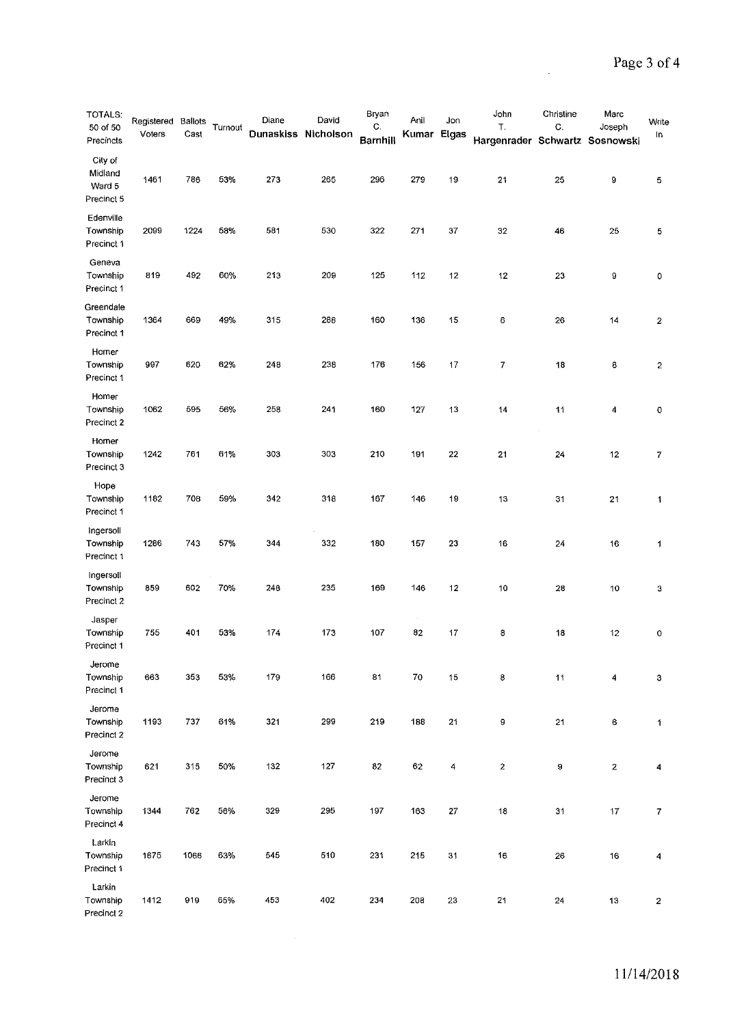$\sim$ 

| <b>TOTALS:</b><br>50 of 50<br>Precincts    | Registered<br>Voters | Ballots<br>Cast | Turnout | Diane<br>Dunaskiss Nicholson | David | Bryan<br>C.<br><b>Barnhill</b> | Anil<br>Kumar Elgas | Jon    | John<br>T.<br>Hargenrader Schwartz Sosnowski | Christine<br>C. | Marc<br>Joseph | Write<br>In             |
|--------------------------------------------|----------------------|-----------------|---------|------------------------------|-------|--------------------------------|---------------------|--------|----------------------------------------------|-----------------|----------------|-------------------------|
| City of<br>Midland<br>Ward 5<br>Precinct 5 | 1461                 | 786             | 53%     | 273                          | 265   | 296                            | 279                 | 19     | 21                                           | 25              | 9              | 5                       |
| Edenville<br>Township<br>Precinct 1        | 2099                 | 1224            | 58%     | 581                          | 530   | 322                            | 271                 | 37     | 32                                           | 46              | 25             | 5                       |
| Geneva<br>Township<br>Precinct 1           | 819                  | 492             | 60%     | 213                          | 209   | 125                            | 112                 | 12     | 12                                           | 23              | 9              | 0                       |
| Greendale<br>Township<br>Precinct 1        | 1364                 | 669             | 49%     | 315                          | 288   | 160                            | 136                 | 15     | 6                                            | 26              | 14             | $\mathbf 2$             |
| Homer<br>Township<br>Precinct 1            | 997                  | 620             | 62%     | 248                          | 238   | 176                            | 156                 | 17     | 7                                            | 18              | 8              | $\overline{\mathbf{c}}$ |
| Homer<br>Township<br>Precinct 2            | 1062                 | 595             | 56%     | 258                          | 241   | 160                            | 127                 | 13     | $\overline{14}$                              | 11              | 4              | 0                       |
| Homer<br>Township<br>Precinct 3            | 1242                 | 761             | 61%     | 303                          | 303   | 210                            | 191                 | 22     | 21                                           | 24              | 12             | 7                       |
| Hope<br>Township<br>Precinct 1             | 1182                 | 708             | 59%     | 342                          | 318   | 167                            | 146                 | 19     | 13                                           | 31              | 21             | 1                       |
| Ingersoll<br>Township<br>Precinct 1        | 1286                 | 743             | 57%     | 344                          | 332   | 180                            | 157                 | 23     | 16                                           | 24              | 16             | 1                       |
| Ingersoli<br>Township<br>Precinct 2        | 859                  | 602             | 70%     | 248                          | 235   | 169                            | 146                 | 12     | 10                                           | 28              | 10             | 3                       |
| Jasper<br>Townsnip<br>Precinct 1           | 755                  | 401             | 53%     | 174                          | 173   | 107                            | 82                  | 17     | 8                                            | 18              | 12             | 0                       |
| Jerome<br>Township<br>Precinct 1           | 663                  | 353             | 53%     | 179                          | 166   | 81                             | 70                  | 15     | 8                                            | 11              | 4              | 3                       |
| Jerome<br>Township<br>Precinct 2           | 1193                 | 737             | 61%     | 321                          | 299   | 219                            | 188                 | 21     | 9                                            | 21              | 6              | 1                       |
| Jerome<br>Townsnip<br>Precinct 3           | 621                  | 315             | 50%     | 132                          | 127   | 82                             | 62                  | 4      | $\boldsymbol{2}$                             | 9               | 2              | 4                       |
| Jerome<br>Township<br>Precinct 4           | 1344                 | 762             | 56%     | 329                          | 295   | 197                            | 163                 | $27\,$ | 18                                           | 31              | 17             | $\boldsymbol{7}$        |
| Larkin<br>Township<br>Precinct 1           | 1675                 | 1066            | 63%     | 545                          | 510   | 231                            | 215                 | 31     | 16                                           | 26              | 16             | 4                       |
| Larkin<br>Township<br>Precinct 2           | 1412                 | 919             | 65%     | 453                          | 402   | 234                            | 208                 | 23     | 21                                           | 24              | 13             | $\mathbf{2}$            |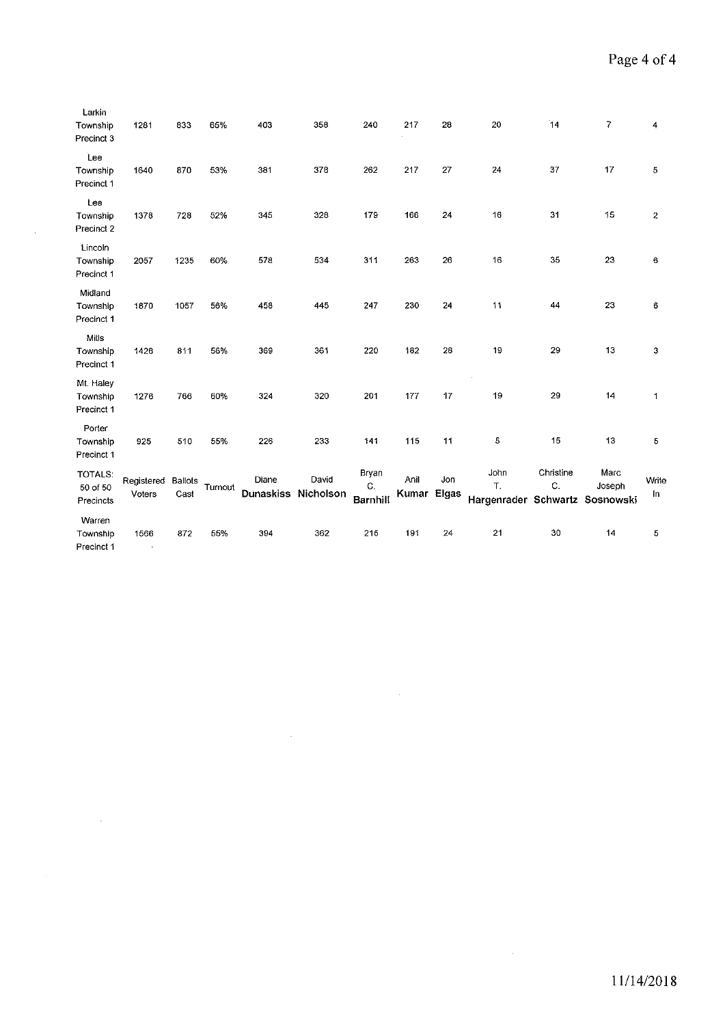| Larkin<br>Township<br>Precinct 3        | 1281                         | 833                    | 65%     | 403                          | 358   | 240                            | 217           | 28           | 20                                           | 14              | 7              | 4              |
|-----------------------------------------|------------------------------|------------------------|---------|------------------------------|-------|--------------------------------|---------------|--------------|----------------------------------------------|-----------------|----------------|----------------|
| Lee<br>Township<br>Precinct 1           | 1640                         | 870                    | 53%     | 381                          | 378   | 262                            | 217           | 27           | 24                                           | 37              | 17             | 5              |
| Lee<br>Township<br>Precinct 2           | 1378                         | 728                    | 52%     | 345                          | 328   | 179                            | 166           | 24           | 16                                           | 31              | 15             | $\overline{c}$ |
| Lincoln<br>Township<br>Precinct 1       | 2057                         | 1235                   | 60%     | 578                          | 534   | 311                            | 263           | 26           | 16                                           | 35              | 23             | 6              |
| Midland<br>Township<br>Precinct 1       | 1870                         | 1057                   | 56%     | 458                          | 445   | 247                            | 230           | 24           | 11                                           | 44              | 23             | 6              |
| Mills<br>Township<br>Precinct 1         | 1426                         | 811                    | 56%     | 369                          | 361   | 220                            | 182           | 28           | 19                                           | 29              | 13             | 3              |
| Mt. Haley<br>Township<br>Precinct 1     | 1276                         | 766                    | 60%     | 324                          | 320   | 201                            | 177           | 17           | 19                                           | 29              | 14             | 1              |
| Porter<br>Township<br>Precinct 1        | 925                          | 510                    | 55%     | 226                          | 233   | 141                            | 115           | 11           | 5                                            | 15              | 13             | 5              |
| <b>TOTALS:</b><br>50 of 50<br>Precincts | Registered<br>Voters         | <b>Ballots</b><br>Cast | Turnout | Diane<br>Dunaskiss Nicholson | David | Bryan<br>C.<br><b>Barnhill</b> | Anil<br>Kumar | Jon<br>Elgas | John<br>T.<br>Hargenrader Schwartz Sosnowski | Christine<br>C. | Marc<br>Joseph | Write<br>In    |
| Warren<br>Township<br>Precinct 1        | 1566<br>$\ddot{\phantom{a}}$ | 872                    | 55%     | 394                          | 362   | 215                            | 191           | 24           | 21                                           | 30              | 14             | 5              |

 $\mathcal{L}^{\text{max}}_{\text{max}}$ 

 $\mathcal{A}^{\pm}$ 

 $\sim 100$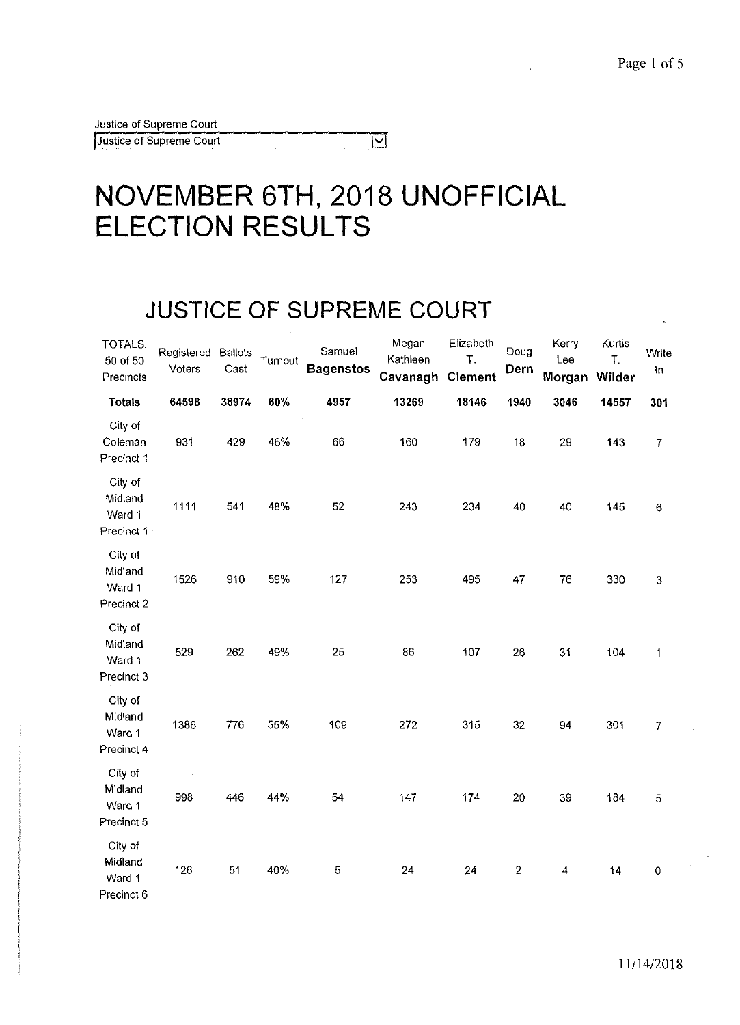# **NOVEMBER 6TH, 2018 UNOFFICIAL ELECTION RESULTS**

 $\overline{\mathbf{V}}$ 

### **JUSTICE OF SUPREME COURT**

| TOTALS:<br>50 of 50<br>Precincts           | Registered<br>Voters | <b>Ballots</b><br>Cast | Turnout | Samuel<br><b>Bagenstos</b> | Megan<br>Kathleen<br>Cavanagh | Elizabeth<br>T.<br><b>Clement</b> | Doug<br>Dern   | Kerry<br>Lee<br>Morgan | Kurtis<br>Τ.<br>Wilder | Write<br>In      |
|--------------------------------------------|----------------------|------------------------|---------|----------------------------|-------------------------------|-----------------------------------|----------------|------------------------|------------------------|------------------|
| <b>Totals</b>                              | 64598                | 38974                  | 60%     | 4957                       | 13269                         | 18146                             | 1940           | 3046                   | 14557                  | 301              |
| City of<br>Coleman<br>Precinct 1           | 931                  | 429                    | 46%     | 66                         | 160                           | 179                               | 18             | 29                     | 143                    | $\boldsymbol{7}$ |
| City of<br>Midland<br>Ward 1<br>Precinct 1 | 1111                 | 541                    | 48%     | 52                         | 243                           | 234                               | 40             | 40                     | 145                    | $\,6$            |
| City of<br>Midland<br>Ward 1<br>Precinct 2 | 1526                 | 910                    | 59%     | 127                        | 253                           | 495                               | 47             | 76                     | 330                    | $\mathbf{3}$     |
| City of<br>Midland<br>Ward 1<br>Precinct 3 | 529                  | 262                    | 49%     | 25                         | 86                            | 107                               | 26             | 31                     | 104                    | 1                |
| City of<br>Midland<br>Ward 1<br>Precinct 4 | 1386                 | 776                    | 55%     | 109                        | 272                           | 315                               | 32             | 94                     | 301                    | $\overline{7}$   |
| City of<br>Midland<br>Ward 1<br>Precinct 5 | 998                  | 446                    | 44%     | 54                         | 147                           | 174                               | 20             | 39                     | 184                    | 5                |
| City of<br>Midland<br>Ward 1<br>Precinct 6 | 126                  | 51                     | 40%     | 5                          | 24<br>$\cdot$                 | 24                                | $\overline{c}$ | 4                      | 14                     | 0                |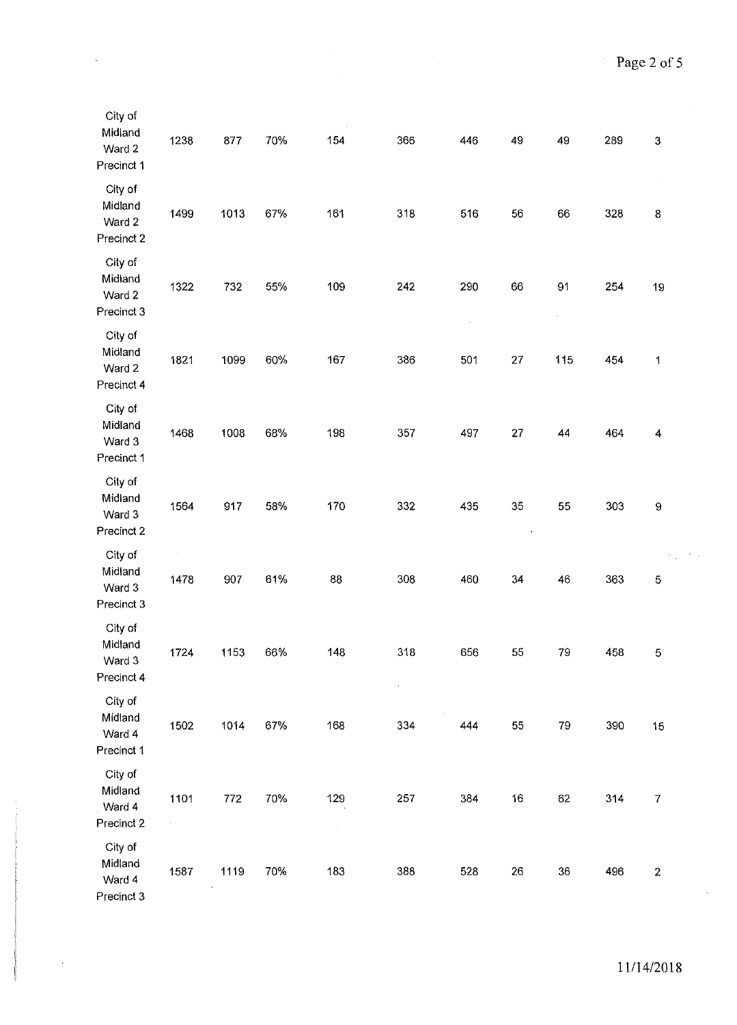$\hat{\mathcal{A}}$ 

Η,

| City of<br>Midland<br>Ward 2<br>Precinct 1 | 1238               | 877  | 70% | 154              | 366       | 446            | 49 | 49  | 289 | $\ensuremath{\mathsf{3}}$ |
|--------------------------------------------|--------------------|------|-----|------------------|-----------|----------------|----|-----|-----|---------------------------|
| City of<br>Midland<br>Ward 2<br>Precinct 2 | 1499               | 1013 | 67% | 161              | 318       | 516            | 56 | 66  | 328 | 8                         |
| City of<br>Midland<br>Ward 2<br>Precinct 3 | 1322               | 732  | 55% | 109              | 242       | 290<br>$\cdot$ | 66 | 91  | 254 | 19                        |
| City of<br>Midland<br>Ward 2<br>Precinct 4 | 1821               | 1099 | 60% | 167              | 386       | 501            | 27 | 115 | 454 | 1                         |
| City of<br>Midland<br>Ward 3<br>Precinct 1 | 1468               | 1008 | 68% | 198              | 357       | 497            | 27 | 44  | 464 | 4                         |
| City of<br>Midland<br>Ward 3<br>Precinct 2 | 1564               | 917  | 58% | 170              | 332       | 435            | 35 | 55  | 303 | $\boldsymbol{9}$          |
| City of<br>Midland<br>Ward 3<br>Precinct 3 | 1478               | 907  | 61% | 88               | 308       | 460            | 34 | 46  | 363 | $\mathbf 5$               |
| City of<br>Midland<br>Ward 3<br>Precinct 4 | 1724               | 1153 | 66% | 148              | 318<br>ä, | 656            | 55 | 79  | 458 | $\mathbf 5$               |
| City of<br>Midland<br>Ward 4<br>Precinct 1 | 1502               | 1014 | 67% | 168              | 334       | 444            | 55 | 79  | 390 | 15                        |
| City of<br>Midland<br>Ward 4<br>Precinct 2 | 1101<br>$\epsilon$ | 772  | 70% | 129<br>$\bar{z}$ | 257       | 384            | 16 | 62  | 314 | $\overline{7}$            |
| City of<br>Midland<br>Ward 4<br>Precinct 3 | 1587               | 1119 | 70% | 183              | 388       | 528            | 26 | 36  | 496 | $\boldsymbol{2}$          |

 $\ddot{\phantom{a}}$ 

 $\hat{\boldsymbol{\theta}}$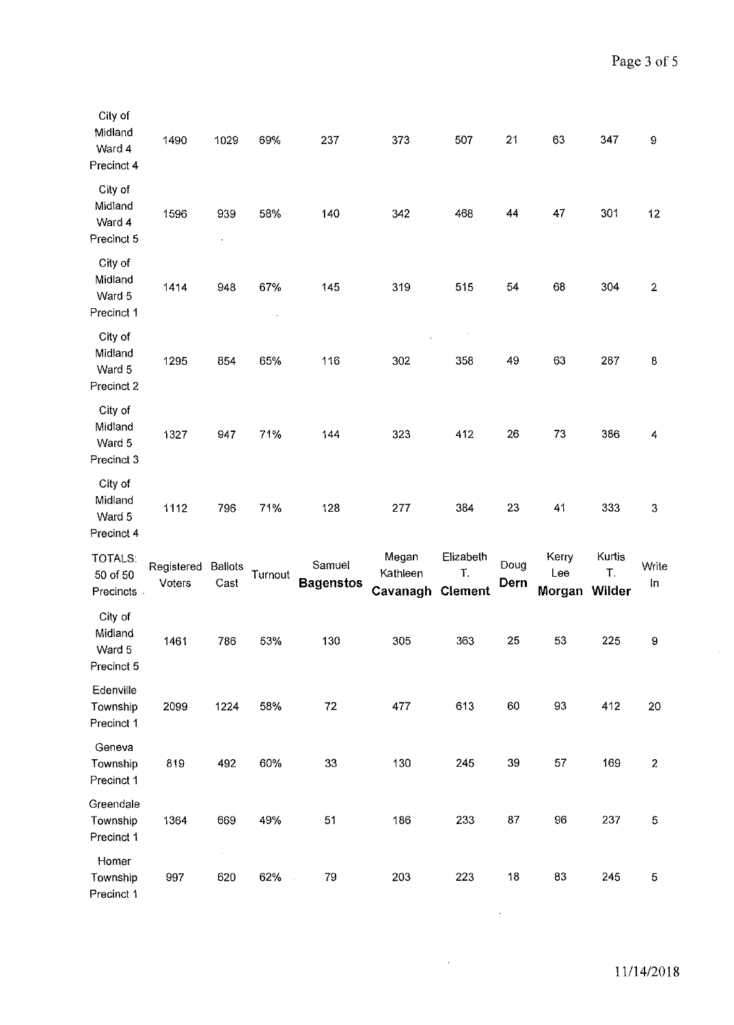| City of<br>Midland<br>Ward 4<br>Precinct 4 | 1490                 | 1029                   | 69%     | 237                        | 373                           | 507                               | 21           | 63                     | 347                    | 9              |
|--------------------------------------------|----------------------|------------------------|---------|----------------------------|-------------------------------|-----------------------------------|--------------|------------------------|------------------------|----------------|
| City of<br>Midland<br>Ward 4<br>Precinct 5 | 1596                 | 939                    | 58%     | 140                        | 342                           | 468                               | 44           | 47                     | 301                    | 12             |
| City of<br>Midland<br>Ward 5<br>Precinct 1 | 1414                 | 948                    | 67%     | 145                        | 319                           | 515                               | 54           | 68                     | 304                    | $\overline{2}$ |
| City of<br>Midland<br>Ward 5<br>Precinct 2 | 1295                 | 854                    | 65%     | 116                        | 302                           | $\chi_{\rm s} = \epsilon$<br>358  | 49           | 63                     | 287                    | 8              |
| City of<br>Midland<br>Ward 5<br>Precinct 3 | 1327                 | 947                    | 71%     | 144                        | 323                           | 412                               | 26           | 73                     | 386                    | 4              |
| City of<br>Midland<br>Ward 5<br>Precinct 4 | 1112                 | 796                    | 71%     | 128                        | 277                           | 384                               | 23           | 41                     | 333                    | $\mathsf S$    |
| TOTALS:<br>50 of 50<br>Precincts           | Registered<br>Voters | <b>Ballots</b><br>Cast | Turnout | Samuel<br><b>Bagenstos</b> | Megan<br>Kathleen<br>Cavanagh | Elizabeth<br>T.<br><b>Clement</b> | Doug<br>Dern | Kerry<br>Lee<br>Morgan | Kurtis<br>T.<br>Wilder | Write<br>In    |
| City of<br>Midland<br>Ward 5<br>Precinct 5 | 1461                 | 786                    | 53%     | 130                        | 305                           | 363                               | 25           | 53                     | 225                    | 9              |
| Edenville<br>Township<br>Precinct 1        | 2099                 | 1224                   | 58%     | 72                         | 477                           | 613                               | 60           | 93                     | 412                    | 20             |
| Geneva<br>Township<br>Precinct 1           | 819                  | 492                    | 60%     | 33                         | 130                           | 245                               | 39           | 57                     | 169                    | $\mathbf{2}$   |
| Greendale<br>Township<br>Precinct 1        | 1364                 | 669                    | 49%     | 51                         | 186                           | 233                               | 87           | 96                     | 237                    | 5              |
| Homer<br>Township<br>Precinct 1            | 997                  | $\epsilon$<br>620      | 62%     | 79                         | 203                           | 223                               | 18           | 83                     | 245                    | $\mathbf 5$    |

 $\sim 10^{11}$ 

 $\sim$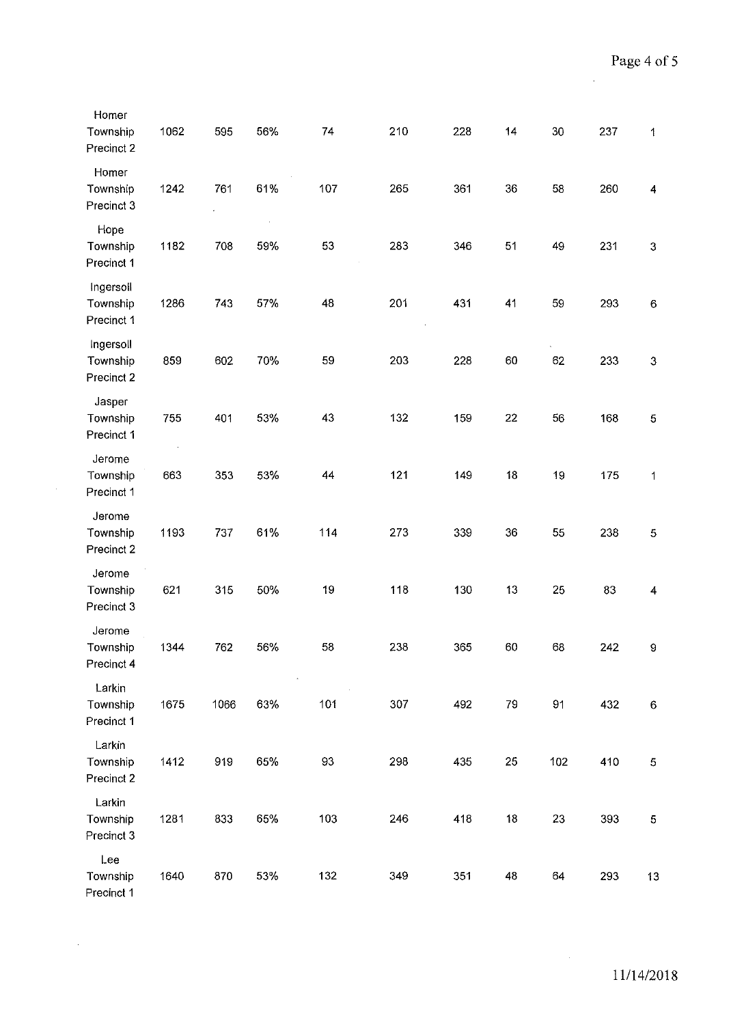$\bar{z}$ 

| Homer<br>Township<br>Precinct 2     | 1062 | 595  | 56% | 74     | 210 | 228 | 14 | 30  | 237 | $\ddagger$          |
|-------------------------------------|------|------|-----|--------|-----|-----|----|-----|-----|---------------------|
| Homer<br>Township<br>Precinct 3     | 1242 | 761  | 61% | 107    | 265 | 361 | 36 | 58  | 260 | 4                   |
| Hope<br>Township<br>Precinct 1      | 1182 | 708  | 59% | 53     | 283 | 346 | 51 | 49  | 231 | $\boldsymbol{3}$    |
| Ingersoll<br>Township<br>Precinct 1 | 1286 | 743  | 57% | 48     | 201 | 431 | 41 | 59  | 293 | $\,6\,$             |
| Ingersoll<br>Township<br>Precinct 2 | 859  | 602  | 70% | 59     | 203 | 228 | 60 | 62  | 233 | $\mathbf{3}$        |
| Jasper<br>Township<br>Precinct 1    | 755  | 401  | 53% | 43     | 132 | 159 | 22 | 56  | 168 | $\overline{5}$      |
| Jerome<br>Township<br>Precinct 1    | 663  | 353  | 53% | 44     | 121 | 149 | 18 | 19  | 175 | $\mathbf 1$         |
| Jerome<br>Township<br>Precinct 2    | 1193 | 737  | 61% | 114    | 273 | 339 | 36 | 55  | 238 | $\overline{5}$      |
| Jerome<br>Township<br>Precinct 3    | 621  | 315  | 50% | 19     | 118 | 130 | 13 | 25  | 83  | $\overline{\bf{4}}$ |
| Jerome<br>Township<br>Precinct 4    | 1344 | 762  | 56% | 58     | 238 | 365 | 60 | 68  | 242 | 9                   |
| Larkin<br>Township<br>Precinct 1    | 1675 | 1066 | 63% | 101    | 307 | 492 | 79 | 91  | 432 | $\,6\,$             |
| Larkin<br>Township<br>Precinct 2    | 1412 | 919  | 65% | $93\,$ | 298 | 435 | 25 | 102 | 410 | $\mathbf 5$         |
| Larkin<br>Township<br>Precinct 3    | 1281 | 833  | 65% | 103    | 246 | 418 | 18 | 23  | 393 | 5                   |
| Lee<br>Township<br>Precinct 1       | 1640 | 870  | 53% | 132    | 349 | 351 | 48 | 64  | 293 | 13                  |

 $\sim 10^6$ 

 $\frac{1}{2} \left( \frac{1}{2} \hat{H} \right)$  ,  $\frac{1}{2} \left( \hat{H} \right)$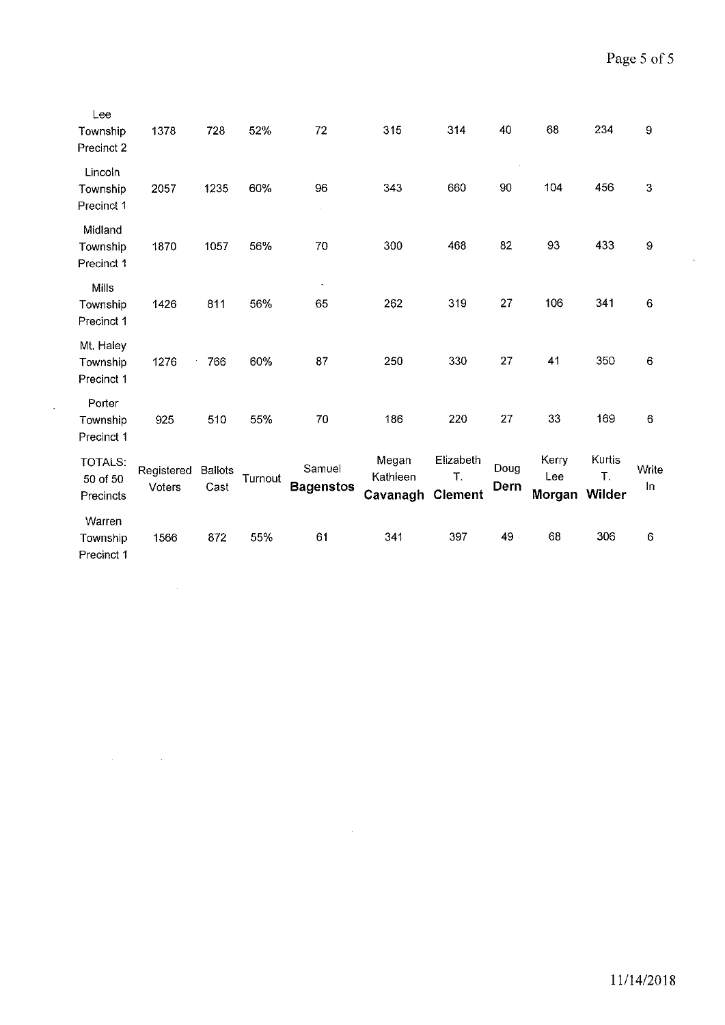$\hat{\mathcal{A}}$ 

| Lee<br>Township<br>Precinct 2       | 1378                 | 728                    | 52%     | 72                         | 315                           | 314                               | 40           | 68                     | 234                    | 9           |
|-------------------------------------|----------------------|------------------------|---------|----------------------------|-------------------------------|-----------------------------------|--------------|------------------------|------------------------|-------------|
| Lincoln<br>Township<br>Precinct 1   | 2057                 | 1235                   | 60%     | 96                         | 343                           | 660                               | 90           | 104                    | 456                    | 3           |
| Midland<br>Township<br>Precinct 1   | 1870                 | 1057                   | 56%     | 70                         | 300                           | 468                               | 82           | 93                     | 433                    | 9           |
| Mills<br>Township<br>Precinct 1     | 1426                 | 811                    | 56%     | 65                         | 262                           | 319                               | 27           | 106                    | 341                    | $\bf 6$     |
| Mt. Haley<br>Township<br>Precinct 1 | 1276                 | 766                    | 60%     | 87                         | 250                           | 330                               | 27           | 41                     | 350                    | 6           |
| Porter<br>Township<br>Precinct 1    | 925                  | 510                    | 55%     | 70                         | 186                           | 220                               | 27           | 33                     | 169                    | $\bf 6$     |
| TOTALS:<br>50 of 50<br>Precincts    | Registered<br>Voters | <b>Ballots</b><br>Cast | Turnout | Samuel<br><b>Bagenstos</b> | Megan<br>Kathleen<br>Cavanagh | Elizabeth<br>T.<br><b>Clement</b> | Doug<br>Dern | Kerry<br>Lee<br>Morgan | Kurtis<br>T.<br>Wilder | Write<br>In |
| Warren<br>Township<br>Precinct 1    | 1566                 | 872                    | 55%     | 61                         | 341                           | 397                               | 49 -         | 68                     | 306                    | $\,6$       |

 $\mathcal{L}^{\text{max}}_{\text{max}}$  and  $\mathcal{L}^{\text{max}}_{\text{max}}$ 

 $\sim 400$ 

 $\label{eq:2.1} \frac{1}{\sqrt{2}}\int_{\mathbb{R}^3} \frac{1}{\sqrt{2}}\left(\frac{1}{\sqrt{2}}\right)^2\frac{1}{\sqrt{2}}\left(\frac{1}{\sqrt{2}}\right)^2\frac{1}{\sqrt{2}}\left(\frac{1}{\sqrt{2}}\right)^2.$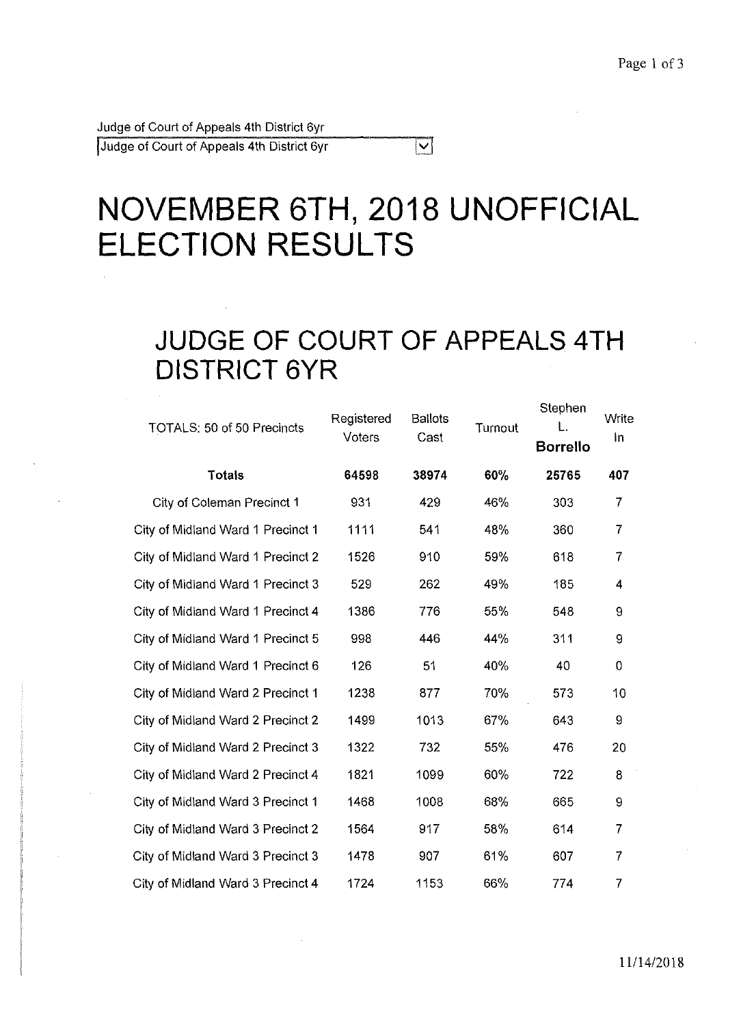Judge of Court of Appeals 4th District 6yr !Judge of Court of Appeals 4th District 6yr

# **NOVEMBER 6TH, 2018 UNOFFICIAL ELECTION RESULTS**

 $\overline{\bm{\triangledown}}$ 

### **JUDGE OF COURT OF APPEALS 4TH DISTRICT 6YR**

| TOTALS: 50 of 50 Precincts        | Registered<br>Voters | <b>Ballots</b><br>Cast | Turnout | Stephen<br><b>Borrello</b> | Write<br>In    |
|-----------------------------------|----------------------|------------------------|---------|----------------------------|----------------|
| <b>Totals</b>                     | 64598                | 38974                  | 60%     | 25765                      | 407            |
| City of Coleman Precinct 1        | 931                  | 429                    | 46%     | 303                        | 7              |
| City of Midland Ward 1 Precinct 1 | 1111                 | 541                    | 48%     | 360                        | $\overline{7}$ |
| City of Midland Ward 1 Precinct 2 | 1526                 | 910                    | 59%     | 618                        | $\overline{7}$ |
| City of Midland Ward 1 Precinct 3 | 529                  | 262                    | 49%     | 185                        | 4              |
| City of Midland Ward 1 Precinct 4 | 1386                 | 776                    | 55%     | 548                        | 9              |
| City of Midland Ward 1 Precinct 5 | 998                  | 446                    | 44%     | 311                        | 9              |
| City of Midland Ward 1 Precinct 6 | 126                  | 51                     | 40%     | 40                         | 0              |
| City of Midland Ward 2 Precinct 1 | 1238                 | 877                    | 70%     | 573                        | 10             |
| City of Midland Ward 2 Precinct 2 | 1499                 | 1013                   | 67%     | 643                        | 9              |
| City of Midland Ward 2 Precinct 3 | 1322                 | 732                    | 55%     | 476                        | 20             |
| City of Midland Ward 2 Precinct 4 | 1821                 | 1099                   | 60%     | 722                        | 8              |
| City of Midland Ward 3 Precinct 1 | 1468                 | 1008                   | 68%     | 665                        | 9              |
| City of Midland Ward 3 Precinct 2 | 1564                 | 917                    | 58%     | 614                        | 7              |
| City of Midland Ward 3 Precinct 3 | 1478                 | 907                    | 61%     | 607                        | $\overline{7}$ |
| City of Midland Ward 3 Precinct 4 | 1724                 | 1153                   | 66%     | 774                        | 7              |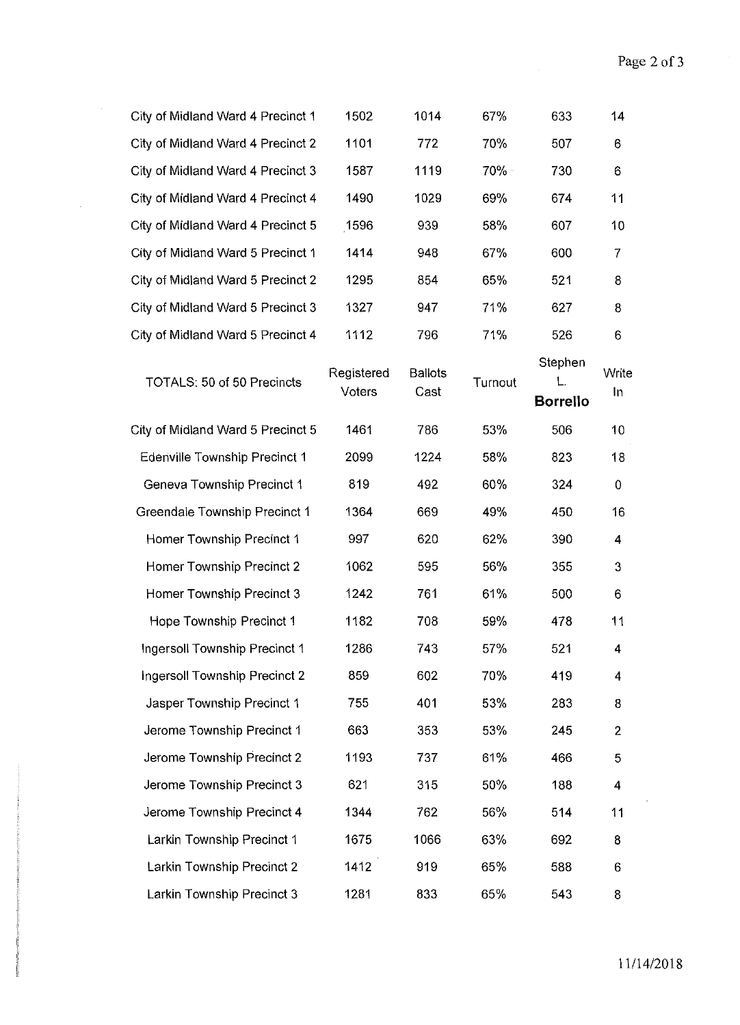$\sim$ 

| City of Midland Ward 4 Precinct 1 | 1502                 | 1014                   | 67%     | 633                        | 14             |
|-----------------------------------|----------------------|------------------------|---------|----------------------------|----------------|
| City of Midland Ward 4 Precinct 2 | 1101                 | 772                    | 70%     | 507                        | 6              |
| City of Midland Ward 4 Precinct 3 | 1587                 | 1119                   | 70% -   | 730                        | 6              |
| City of Midland Ward 4 Precinct 4 | 1490                 | 1029                   | 69%     | 674                        | 11             |
| City of Midland Ward 4 Precinct 5 | 1596                 | 939                    | 58%     | 607                        | 10             |
| City of Midland Ward 5 Precinct 1 | 1414                 | 948                    | 67%     | 600                        | $\overline{7}$ |
| City of Midland Ward 5 Precinct 2 | 1295                 | 854                    | 65%     | 521                        | 8              |
| City of Midland Ward 5 Precinct 3 | 1327                 | 947                    | 71%     | 627                        | 8              |
| City of Midland Ward 5 Precinct 4 | 1112                 | 796                    | 71%     | 526                        | 6              |
| TOTALS: 50 of 50 Precincts        | Registered<br>Voters | <b>Ballots</b><br>Cast | Turnout | Stephen<br><b>Borrello</b> | Write<br>In    |
| City of Midland Ward 5 Precinct 5 | 1461                 | 786                    | 53%     | 506                        | 10             |
| Edenville Township Precinct 1     | 2099                 | 1224                   | 58%     | 823                        | 18             |
| Geneva Township Precinct 1        | 819                  | 492                    | 60%     | 324                        | $\mathbf 0$    |
| Greendale Township Precinct 1     | 1364                 | 669                    | 49%     | 450                        | 16             |
| Homer Township Precinct 1         | 997                  | 620                    | 62%     | 390                        | 4              |
| Homer Township Precinct 2         | 1062                 | 595                    | 56%     | 355                        | 3              |
| Homer Township Precinct 3         | 1242                 | 761                    | 61%     | 500                        | 6              |
| Hope Township Precinct 1          | 1182                 | 708                    | 59%     | 478                        | 11             |
| Ingersoll Township Precinct 1     | 1286                 | 743                    | 57%     | 521                        | 4              |
| Ingersoll Township Precinct 2     | 859                  | 602                    | 70%     | 419                        | 4              |
| Jasper Township Precinct 1        | 755                  | 401                    | 53%     | 283                        | 8              |
| Jerome Township Precinct 1        | 663                  | 353                    | 53%     | 245                        | $\overline{2}$ |
| Jerome Township Precinct 2        | 1193                 | 737                    | 61%     | 466                        | 5              |
| Jerome Township Precinct 3        | 621                  | 315                    | 50%     | 188                        | 4              |
| Jerome Township Precinct 4        | 1344                 | 762                    | 56%     | 514                        | 11             |
| Larkin Township Precinct 1        | 1675                 | 1066                   | 63%     | 692                        | 8              |
| Larkin Township Precinct 2        | 1412                 | 919                    | 65%     | 588                        | 6              |
| Larkin Township Precinct 3        | 1281                 | 833                    | 65%     | 543                        | 8              |

 $\Delta \sim 10^{11}$ 

 $\epsilon$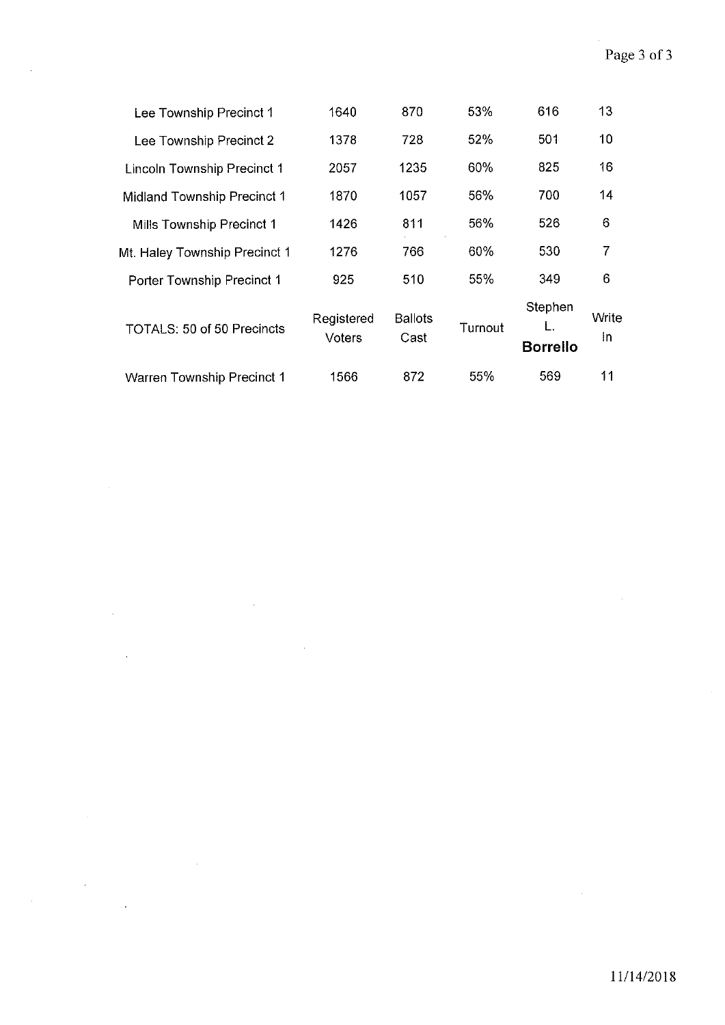| 1640                 | 870                    | 53%     | 616                        | 13           |
|----------------------|------------------------|---------|----------------------------|--------------|
| 1378                 | 728                    | 52%     | 501                        | 10           |
| 2057                 | 1235                   | 60%     | 825                        | 16           |
| 1870                 | 1057                   | 56%     | 700                        | 14           |
| 1426                 | 811                    | 56%     | 526                        | 6            |
| 1276                 | 766                    | 60%     | 530                        | 7            |
| 925                  | 510                    | 55%     | 349                        | 6            |
| Registered<br>Voters | <b>Ballots</b><br>Cast | Turnout | Stephen<br><b>Borrello</b> | Write<br>In. |
| 1566                 | 872                    | 55%     | 569                        | 11           |
|                      |                        |         |                            |              |

 $\sim$ 

 $\sim$   $\sim$ 

 $\bar{\mathcal{A}}$ 

 $\bar{z}$ 

 $\hat{\boldsymbol{\theta}}$ 

 $\mathcal{A}$ 

 $\ddot{\phantom{a}}$ 

 $\mathcal{A}$ 

 $\hat{\mathcal{A}}$ 

 $\hat{\mathcal{L}}$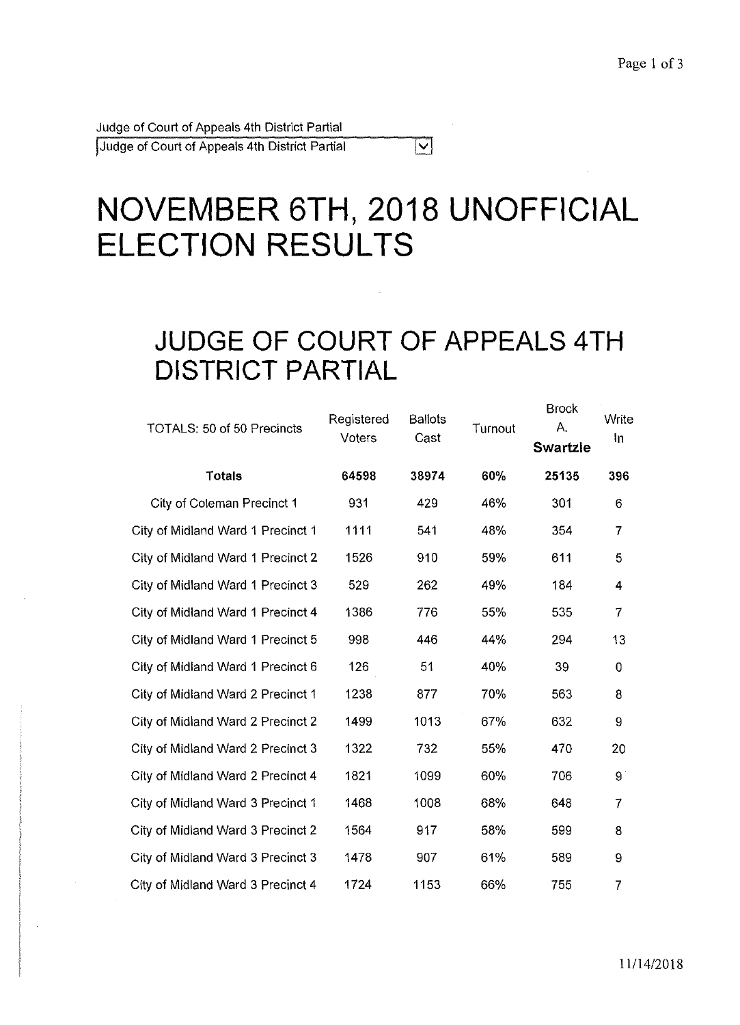Judge of Court of Appeals 4th District Partial !Judge of Court of Appeals 4th District Partial

# **NOVEMBER 6TH, 2018 UNOFFICIAL ELECTION RESULTS**

 $|\nabla|$ 

### **JUDGE OF COURT OF APPEALS 4TH DISTRICT PARTIAL**

| <b>TOTALS: 50 of 50 Precincts</b> | <b>Ballots</b><br>Registered<br>Voters<br>Cast |       | Turnout | <b>Brock</b><br>Α.<br><b>Swartzle</b> | Write<br>In    |
|-----------------------------------|------------------------------------------------|-------|---------|---------------------------------------|----------------|
| <b>Totals</b>                     | 64598                                          | 38974 | 60%     | 25135                                 | 396            |
| City of Coleman Precinct 1        | 931                                            | 429   | 46%     | 301                                   | 6              |
| City of Midland Ward 1 Precinct 1 | 1111                                           | 541   | 48%     | 354                                   | $\overline{7}$ |
| City of Midland Ward 1 Precinct 2 | 1526                                           | 910   | 59%     | 611                                   | 5              |
| City of Midland Ward 1 Precinct 3 | 529                                            | 262   | 49%     | 184                                   | 4              |
| City of Midland Ward 1 Precinct 4 | 1386                                           | 776   | 55%     | 535                                   | $\overline{7}$ |
| City of Midland Ward 1 Precinct 5 | 998                                            | 446   | 44%     | 294                                   | 13             |
| City of Midland Ward 1 Precinct 6 | 126                                            | 51    | 40%     | 39                                    | $\mathbf 0$    |
| City of Midland Ward 2 Precinct 1 | 1238                                           | 877   | 70%     | 563                                   | 8              |
| City of Midland Ward 2 Precinct 2 | 1499                                           | 1013  | 67%     | 632                                   | 9              |
| City of Midland Ward 2 Precinct 3 | 1322                                           | 732   | 55%     | 470                                   | 20             |
| City of Midland Ward 2 Precinct 4 | 1821                                           | 1099  | 60%     | 706                                   | 9              |
| City of Midland Ward 3 Precinct 1 | 1468                                           | 1008  | 68%     | 648                                   | $\overline{7}$ |
| City of Midland Ward 3 Precinct 2 | 1564                                           | 917   | 58%     | 599                                   | 8              |
| City of Midland Ward 3 Precinct 3 | 1478                                           | 907   | 61%     | 589                                   | 9              |
| City of Midland Ward 3 Precinct 4 | 1724                                           | 1153  | 66%     | 755                                   | $\overline{7}$ |
|                                   |                                                |       |         |                                       |                |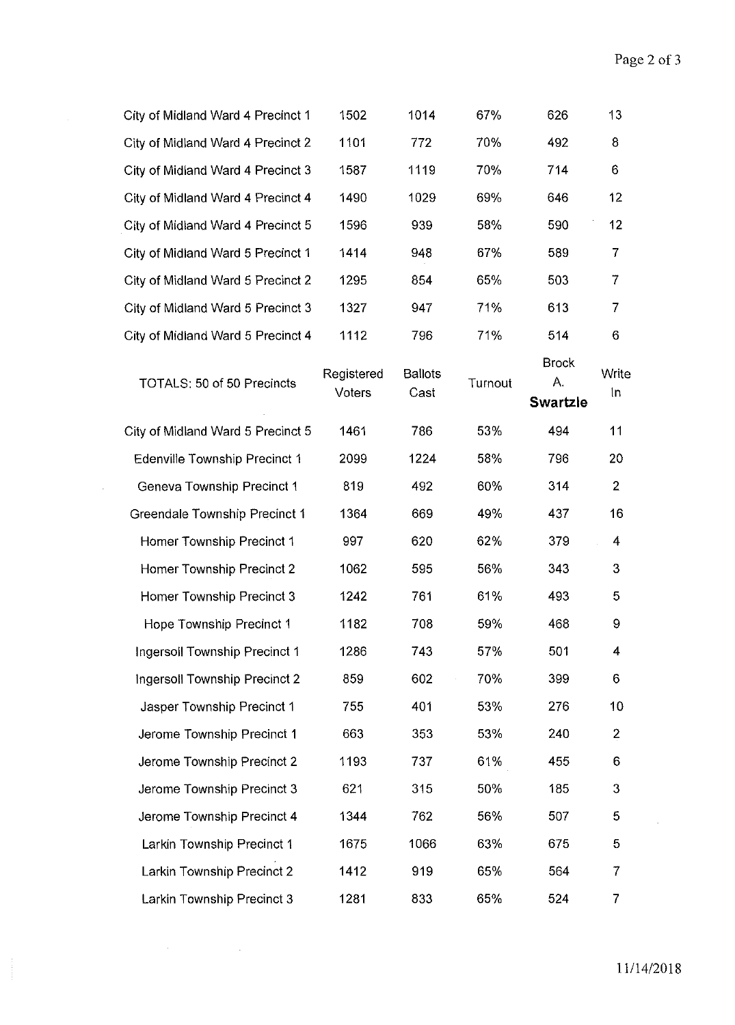| City of Midland Ward 4 Precinct 1    | 1502                 | 1014                   | 67%     | 626                                   | 13             |
|--------------------------------------|----------------------|------------------------|---------|---------------------------------------|----------------|
| City of Midland Ward 4 Precinct 2    | 1101                 | 772                    | 70%     | 492                                   | 8              |
| City of Midland Ward 4 Precinct 3    | 1587                 | 1119                   | 70%     | 714                                   | 6              |
| City of Midland Ward 4 Precinct 4    | 1490                 | 1029                   | 69%     | 646                                   | 12             |
| City of Midland Ward 4 Precinct 5    | 1596                 | 939                    | 58%     | 590                                   | 12             |
| City of Midland Ward 5 Precinct 1    | 1414                 | 948                    | 67%     | 589                                   | 7              |
| City of Midland Ward 5 Precinct 2    | 1295                 | 854                    | 65%     | 503                                   | $\overline{7}$ |
| City of Midland Ward 5 Precinct 3    | 1327                 | 947                    | 71%     | 613                                   | 7              |
| City of Midland Ward 5 Precinct 4    | 1112                 | 796                    | 71%     | 514                                   | 6              |
| <b>TOTALS: 50 of 50 Precincts</b>    | Registered<br>Voters | <b>Ballots</b><br>Cast | Turnout | <b>Brock</b><br>Α.<br><b>Swartzle</b> | Write<br>In    |
| City of Midland Ward 5 Precinct 5    | 1461                 | 786                    | 53%     | 494                                   | 11             |
| <b>Edenville Township Precinct 1</b> | 2099                 | 1224                   | 58%     | 796                                   | 20             |
| Geneva Township Precinct 1           | 819                  | 492                    | 60%     | 314                                   | $\overline{2}$ |
| Greendale Township Precinct 1        | 1364                 | 669                    | 49%     | 437                                   | 16             |
| Homer Township Precinct 1            | 997                  | 620                    | 62%     | 379                                   | 4              |
| Homer Township Precinct 2            | 1062                 | 595                    | 56%     | 343                                   | 3              |
| Homer Township Precinct 3            | 1242                 | 761                    | 61%     | 493                                   | 5              |
| Hope Township Precinct 1             | 1182                 | 708                    | 59%     | 468                                   | 9              |
| <b>Ingersoll Township Precinct 1</b> | 1286                 | 743                    | 57%     | 501                                   | 4              |
| Ingersoll Township Precinct 2        | 859                  | 602                    | 70%     | 399                                   | 6              |
| Jasper Township Precinct 1           | 755                  | 401                    | 53%     | 276                                   | 10             |
| Jerome Township Precinct 1           | 663                  | 353                    | 53%     | 240                                   | 2              |
| Jerome Township Precinct 2           | 1193                 | 737                    | 61%     | 455                                   | 6              |
| Jerome Township Precinct 3           | 621                  | 315                    | 50%     | 185                                   | 3              |
| Jerome Township Precinct 4           | 1344                 | 762                    | 56%     | 507                                   | 5              |
| Larkin Township Precinct 1           | 1675                 | 1066                   | 63%     | 675                                   | 5              |
| Larkin Township Precinct 2           | 1412                 | 919                    | 65%     | 564                                   | 7              |
| Larkin Township Precinct 3           | 1281                 | 833                    | 65%     | 524                                   | 7              |

 $\label{eq:2.1} \mathcal{L}(\mathcal{H}) = \mathcal{L}(\mathcal{H}) \mathcal{L}(\mathcal{H}) = \mathcal{L}(\mathcal{H}) \mathcal{L}(\mathcal{H})$ 

 $\sim 10^6$ 

 $\bar{\bar{z}}$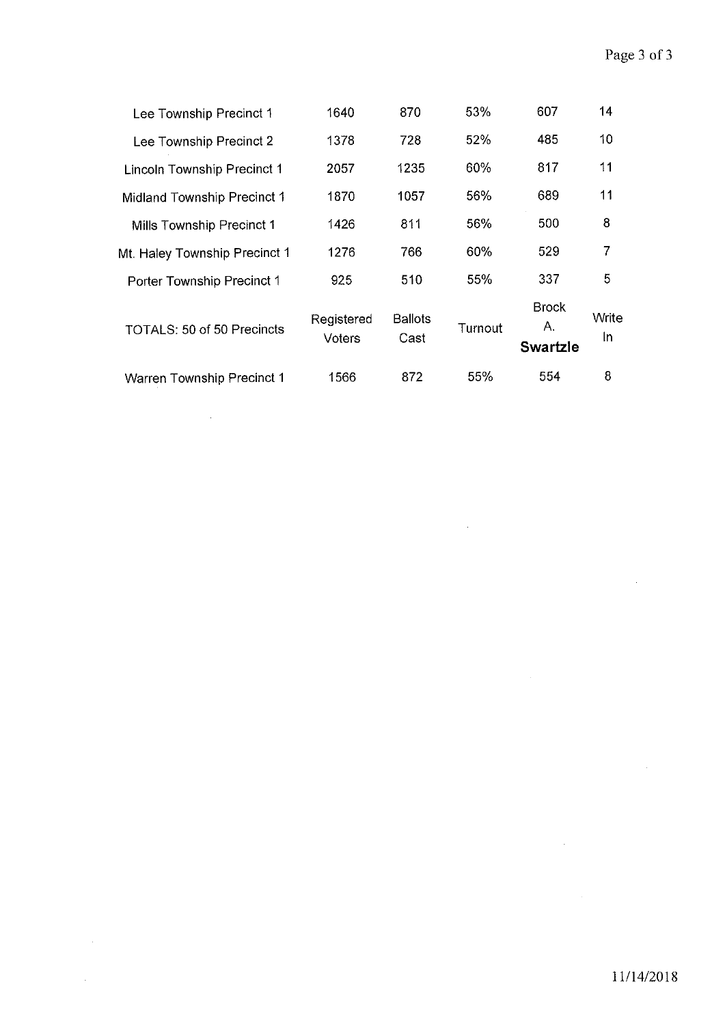| Lee Township Precinct 1            | 1640                        | 870                    | 53%     | 607                                   | 14          |
|------------------------------------|-----------------------------|------------------------|---------|---------------------------------------|-------------|
| Lee Township Precinct 2            | 1378                        | 728                    | 52%     | 485                                   | 10          |
| <b>Lincoln Township Precinct 1</b> | 2057                        | 1235                   | 60%     | 817                                   | 11          |
| Midland Township Precinct 1        | 1870                        | 1057                   | 56%     | 689                                   | 11          |
| Mills Township Precinct 1          | 1426                        | 811                    | 56%     | 500                                   | 8           |
| Mt. Haley Township Precinct 1      | 1276                        | 766                    | 60%     | 529                                   | 7           |
| Porter Township Precinct 1         | 925                         | 510                    | 55%     | 337                                   | 5           |
| TOTALS: 50 of 50 Precincts         | Registered<br><b>Voters</b> | <b>Ballots</b><br>Cast | Turnout | <b>Brock</b><br>А.<br><b>Swartzle</b> | Write<br>۱n |
| <b>Warren Township Precinct 1</b>  | 1566                        | 872                    | 55%     | 554                                   | 8           |

 $\mathcal{A}^{\mathcal{A}}$ 

 $\mathcal{L}^{\mathcal{L}}$ 

 $\sim 10^6$ 

 $\label{eq:2.1} \frac{1}{\sqrt{2}}\int_{\mathbb{R}^3}\frac{1}{\sqrt{2}}\left(\frac{1}{\sqrt{2}}\right)^2\frac{1}{\sqrt{2}}\left(\frac{1}{\sqrt{2}}\right)^2\frac{1}{\sqrt{2}}\left(\frac{1}{\sqrt{2}}\right)^2.$ 

 $\mathcal{L}^{\text{max}}_{\text{max}}$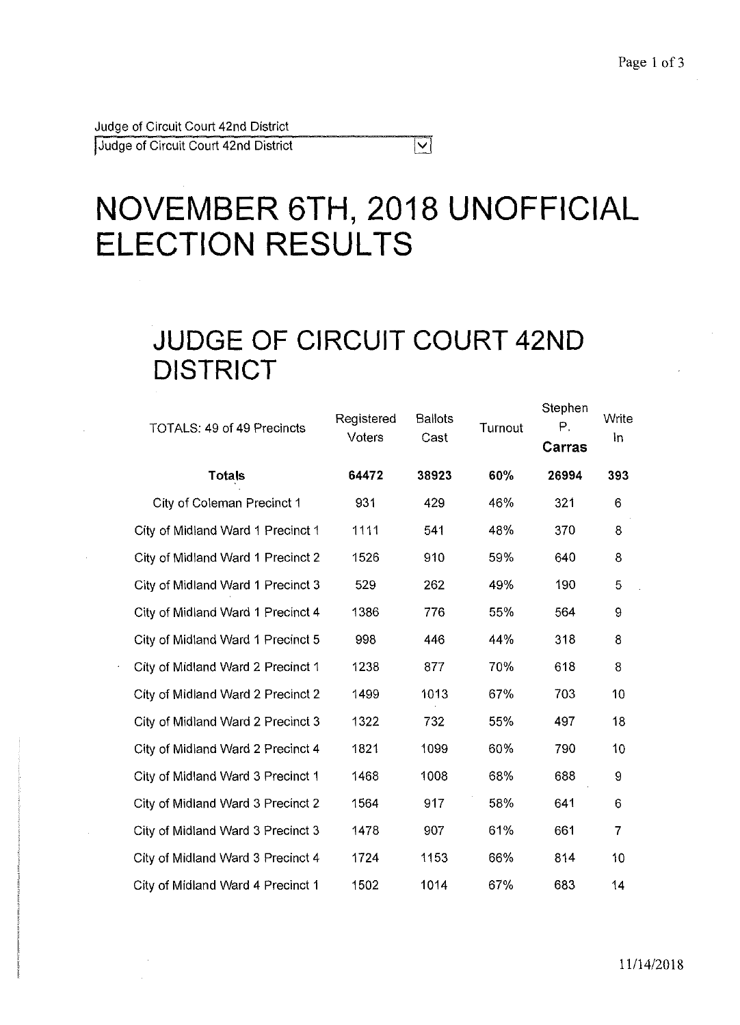Judge of Circuit Court 42nd District

Judge of Circuit Court 42nd District

# **NOVEMBER 6TH, 2018 UNOFFICIAL ELECTION RESULTS**

 $\overline{\nabla}$ 

## **JUDGE OF CIRCUIT COURT 42ND DISTRICT**

| <b>TOTALS: 49 of 49 Precincts</b> | Registered<br>Voters | <b>Ballots</b><br>Cast | Turnout | Stephen<br>Р.<br>Carras | Write<br>In    |
|-----------------------------------|----------------------|------------------------|---------|-------------------------|----------------|
| <b>Totals</b>                     | 64472                | 38923                  | 60%     | 26994                   | 393            |
| City of Coleman Precinct 1        | 931                  | 429                    | 46%     | 321                     | 6              |
| City of Midland Ward 1 Precinct 1 | 1111                 | 541                    | 48%     | 370                     | 8              |
| City of Midland Ward 1 Precinct 2 | 1526                 | 910                    | 59%     | 640                     | 8              |
| City of Midland Ward 1 Precinct 3 | 529                  | 262                    | 49%     | 190                     | 5              |
| City of Midland Ward 1 Precinct 4 | 1386                 | 776                    | 55%     | 564                     | 9              |
| City of Midland Ward 1 Precinct 5 | 998                  | 446                    | 44%     | 318                     | 8              |
| City of Midland Ward 2 Precinct 1 | 1238                 | 877                    | 70%     | 618                     | 8              |
| City of Midland Ward 2 Precinct 2 | 1499                 | 1013                   | 67%     | 703                     | 10             |
| City of Midland Ward 2 Precinct 3 | 1322                 | 732                    | 55%     | 497                     | 18             |
| City of Midland Ward 2 Precinct 4 | 1821                 | 1099                   | 60%     | 790                     | 10             |
| City of Midland Ward 3 Precinct 1 | 1468                 | 1008                   | 68%     | 688                     | 9              |
| City of Midland Ward 3 Precinct 2 | 1564                 | 917                    | 58%     | 641                     | 6              |
| City of Midland Ward 3 Precinct 3 | 1478                 | 907                    | 61%     | 661                     | $\overline{7}$ |
| City of Midland Ward 3 Precinct 4 | 1724                 | 1153                   | 66%     | 814                     | 10             |
| City of Midland Ward 4 Precinct 1 | 1502                 | 1014                   | 67%     | 683                     | 14             |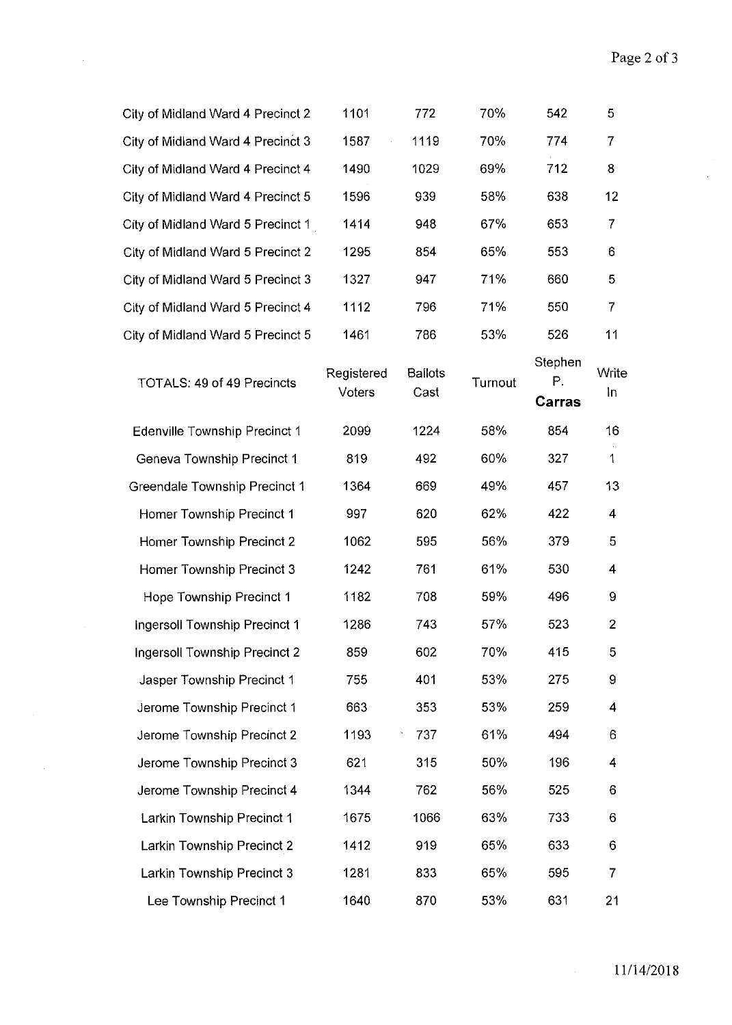$\frac{1}{2}$ 

| City of Midland Ward 4 Precinct 2    | 1101                 | 772                    | 70%     | 542                     | 5                       |
|--------------------------------------|----------------------|------------------------|---------|-------------------------|-------------------------|
| City of Midland Ward 4 Precinct 3    | 1587                 | 1119                   | 70%     | 774                     | $\overline{7}$          |
| City of Midland Ward 4 Precinct 4    | 1490                 | 1029                   | 69%     | 712                     | 8                       |
| City of Midland Ward 4 Precinct 5    | 1596                 | 939                    | 58%     | 638                     | 12                      |
| City of Midland Ward 5 Precinct 1    | 1414                 | 948                    | 67%     | 653                     | $\overline{7}$          |
| City of Midland Ward 5 Precinct 2    | 1295                 | 854                    | 65%     | 553                     | 6                       |
| City of Midland Ward 5 Precinct 3    | 1327                 | 947                    | 71%     | 660                     | 5                       |
| City of Midland Ward 5 Precinct 4    | 1112                 | 796                    | 71%     | 550                     | 7                       |
| City of Midland Ward 5 Precinct 5    | 1461                 | 786                    | 53%     | 526                     | 11                      |
| TOTALS: 49 of 49 Precincts           | Registered<br>Voters | <b>Ballots</b><br>Cast | Turnout | Stephen<br>Ρ.<br>Carras | Write<br>In             |
| Edenville Township Precinct 1        | 2099                 | 1224                   | 58%     | 854                     | 16                      |
| Geneva Township Precinct 1           | 819                  | 492                    | 60%     | 327                     | $\mathbf{1}$            |
| <b>Greendale Township Precinct 1</b> | 1364                 | 669                    | 49%     | 457                     | 13                      |
| Homer Township Precinct 1            | 997                  | 620                    | 62%     | 422                     | $\overline{\mathbf{4}}$ |
| Homer Township Precinct 2            | 1062                 | 595                    | 56%     | 379                     | 5                       |
| Homer Township Precinct 3            | 1242                 | 761                    | 61%     | 530                     | 4                       |
| Hope Township Precinct 1             | 1182                 | 708                    | 59%     | 496                     | 9                       |
| Ingersoll Township Precinct 1        | 1286                 | 743                    | 57%     | 523                     | $\overline{2}$          |
| Ingersoll Township Precinct 2        | 859                  | 602                    | 70%     | 415                     | 5                       |
| Jasper Township Precinct 1           | 755                  | 401                    | 53%     | 275                     | 9                       |
| Jerome Township Precinct 1           | 663                  | 353                    | 53%     | 259                     | 4                       |
| Jerome Township Precinct 2           | 1193                 | 737                    | 61%     | 494                     | 6                       |
| Jerome Township Precinct 3           | 621                  | 315                    | 50%     | 196                     | 4                       |
| Jerome Township Precinct 4           | 1344                 | 762                    | 56%     | 525                     | 6                       |
| Larkin Township Precinct 1           | 1675                 | 1066                   | 63%     | 733                     | 6                       |
| Larkin Township Precinct 2           | 1412                 | 919                    | 65%     | 633                     | 6                       |
| Larkin Township Precinct 3           | 1281                 | 833                    | 65%     | 595                     | 7                       |
| Lee Township Precinct 1              | 1640                 | 870                    | 53%     | 631                     | 21                      |

 $\sim 10^6$ 

 $\frac{1}{2}$ 

 $\mathcal{A}^{\mathcal{A}}$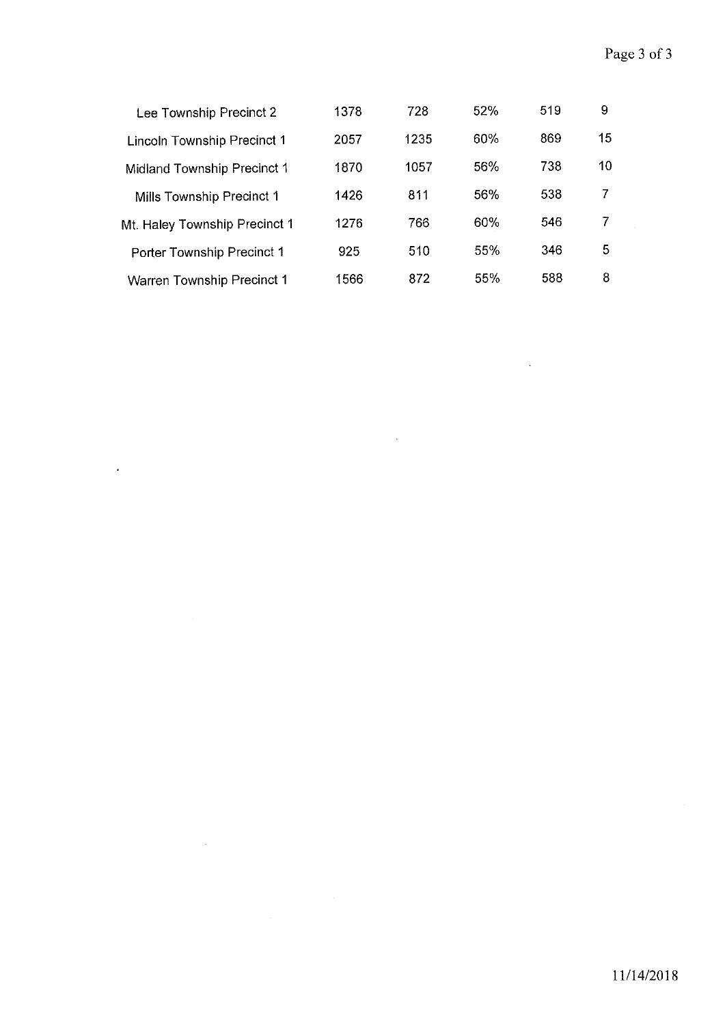$\mathcal{A}$ 

 $\mathcal{A}^{\mathcal{A}}$ 

| Lee Township Precinct 2           | 1378 | 728  | 52% | 519 | 9  |
|-----------------------------------|------|------|-----|-----|----|
| Lincoln Township Precinct 1       | 2057 | 1235 | 60% | 869 | 15 |
| Midland Township Precinct 1       | 1870 | 1057 | 56% | 738 | 10 |
| Mills Township Precinct 1         | 1426 | 811  | 56% | 538 | 7  |
| Mt. Haley Township Precinct 1     | 1276 | 766  | 60% | 546 | 7  |
| Porter Township Precinct 1        | 925  | 510  | 55% | 346 | 5  |
| <b>Warren Township Precinct 1</b> | 1566 | 872  | 55% | 588 | 8  |

 $\hat{\mathcal{A}}$ 

 $\cdot$ 

 $\sim 10^6$ 

 $\sim$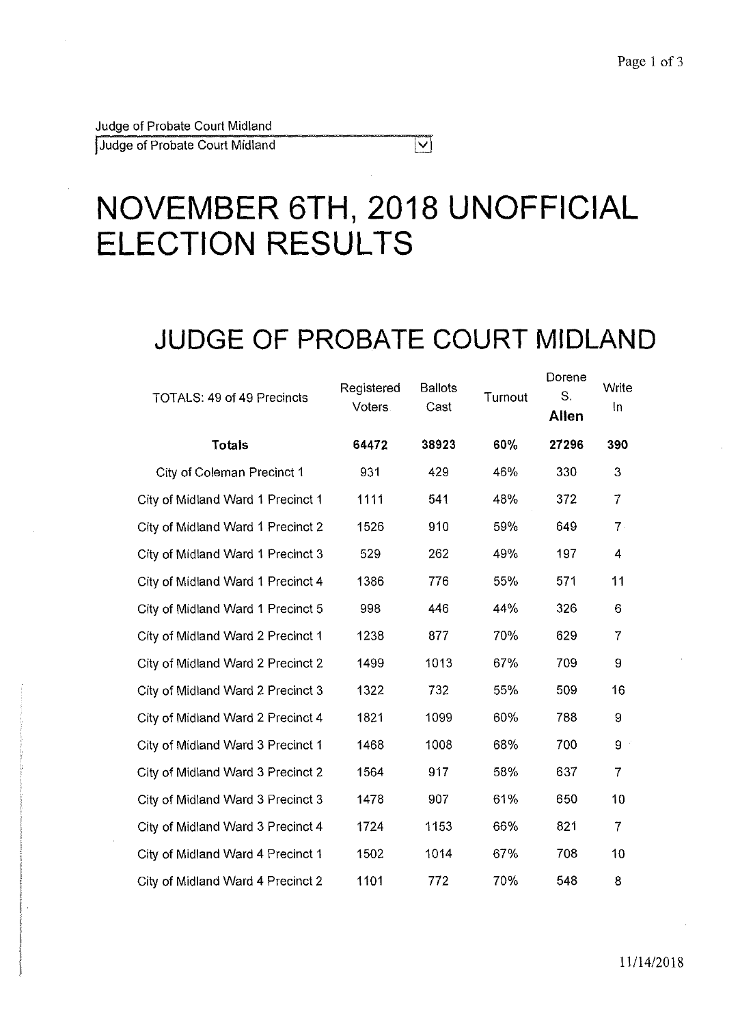Judge of Probate Court Midland

Judge of Probate Court Midland

# **NOVEMBER 6TH, 2018 UNOFFICIAL ELECTION RESULTS**

## **JUDGE OF PROBATE COURT MIDLAND**

 $\overline{\nabla}$ 

| <b>TOTALS: 49 of 49 Precincts</b> | Registered<br><b>Voters</b> | <b>Ballots</b><br>Cast | Turnout | Dorene<br>S.<br><b>Allen</b> | Write<br>In    |
|-----------------------------------|-----------------------------|------------------------|---------|------------------------------|----------------|
| <b>Totals</b>                     | 64472                       | 38923                  | 60%     | 27296                        | 390            |
| City of Coleman Precinct 1        | 931                         | 429                    | 46%     | 330                          | 3              |
| City of Midland Ward 1 Precinct 1 | 1111                        | 541                    | 48%     | 372                          | $\overline{7}$ |
| City of Midland Ward 1 Precinct 2 | 1526                        | 910                    | 59%     | 649                          | $7 -$          |
| City of Midland Ward 1 Precinct 3 | 529                         | 262                    | 49%     | 197                          | 4              |
| City of Midland Ward 1 Precinct 4 | 1386                        | 776                    | 55%     | 571                          | 11             |
| City of Midland Ward 1 Precinct 5 | 998                         | 446                    | 44%     | 326                          | 6              |
| City of Midland Ward 2 Precinct 1 | 1238                        | 877                    | 70%     | 629                          | $\overline{7}$ |
| City of Midland Ward 2 Precinct 2 | 1499                        | 1013                   | 67%     | 709                          | 9              |
| City of Midland Ward 2 Precinct 3 | 1322                        | 732                    | 55%     | 509                          | 16             |
| City of Midland Ward 2 Precinct 4 | 1821                        | 1099                   | 60%     | 788                          | 9              |
| City of Midland Ward 3 Precinct 1 | 1468                        | 1008                   | 68%     | 700                          | 9              |
| City of Midland Ward 3 Precinct 2 | 1564                        | 917                    | 58%     | 637                          | $\overline{7}$ |
| City of Midland Ward 3 Precinct 3 | 1478                        | 907                    | 61%     | 650                          | 10             |
| City of Midland Ward 3 Precinct 4 | 1724                        | 1153                   | 66%     | 821                          | $\overline{7}$ |
| City of Midland Ward 4 Precinct 1 | 1502                        | 1014                   | 67%     | 708                          | 10             |
| City of Midland Ward 4 Precinct 2 | 1101                        | 772                    | 70%     | 548                          | 8              |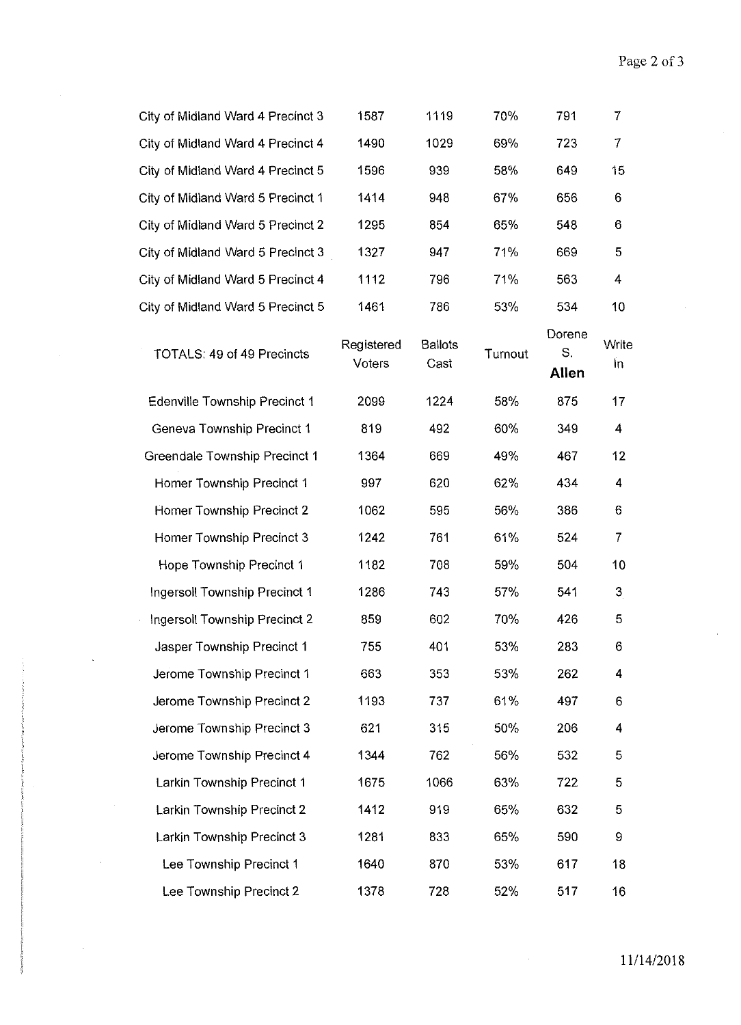| City of Midland Ward 4 Precinct 3    | 1587                 | 1119                   | 70%     | 791                   | 7              |
|--------------------------------------|----------------------|------------------------|---------|-----------------------|----------------|
| City of Midland Ward 4 Precinct 4    | 1490                 | 1029                   | 69%     | 723                   | 7              |
| City of Midland Ward 4 Precinct 5    | 1596                 | 939                    | 58%     | 649                   | 15             |
| City of Midland Ward 5 Precinct 1    | 1414                 | 948                    | 67%     | 656                   | 6              |
| City of Midland Ward 5 Precinct 2    | 1295                 | 854                    | 65%     | 548                   | 6              |
| City of Midland Ward 5 Precinct 3    | 1327                 | 947                    | 71%     | 669                   | 5              |
| City of Midland Ward 5 Precinct 4    | 1112                 | 796                    | 71%     | 563                   | 4              |
| City of Midland Ward 5 Precinct 5    | 1461                 | 786                    | 53%     | 534                   | 10             |
| TOTALS: 49 of 49 Precincts           | Registered<br>Voters | <b>Ballots</b><br>Cast | Turnout | Dorene<br>S.<br>Allen | Write<br>In.   |
| <b>Edenville Township Precinct 1</b> | 2099                 | 1224                   | 58%     | 875                   | 17             |
| Geneva Township Precinct 1           | 819                  | 492                    | 60%     | 349                   | 4              |
| Greendale Township Precinct 1        | 1364                 | 669                    | 49%     | 467                   | 12             |
| Homer Township Precinct 1            | 997                  | 620                    | 62%     | 434                   | 4              |
| Homer Township Precinct 2            | 1062                 | 595                    | 56%     | 386                   | 6              |
| Homer Township Precinct 3            | 1242                 | 761                    | 61%     | 524                   | 7              |
| Hope Township Precinct 1             | 1182                 | 708                    | 59%     | 504                   | 10             |
| Ingersoll Township Precinct 1        | 1286                 | 743                    | 57%     | 541                   | 3 <sub>l</sub> |
| Ingersoll Township Precinct 2        | 859                  | 602                    | 70%     | 426                   | 5              |
| Jasper Township Precinct 1           | 755                  | 401                    | 53%     | 283                   | 6              |
| Jerome Township Precinct 1           | 663                  | 353                    | 53%     | 262                   | 4              |
| Jerome Township Precinct 2           | 1193                 | 737                    | 61%     | 497                   | 6              |
| Jerome Township Precinct 3           | 621                  | 315                    | 50%     | 206                   | 4              |
| Jerome Township Precinct 4           | 1344                 | 762                    | 56%     | 532                   | 5              |
| Larkin Township Precinct 1           | 1675                 | 1066                   | 63%     | 722                   | 5              |
| Larkin Township Precinct 2           | 1412                 | 919                    | 65%     | 632                   | 5              |
| Larkin Township Precinct 3           | 1281                 | 833                    | 65%     | 590                   | 9              |
| Lee Township Precinct 1              | 1640                 | 870                    | 53%     | 617                   | 18             |
| Lee Township Precinct 2              | 1378                 | 728                    | 52%     | 517                   | 16             |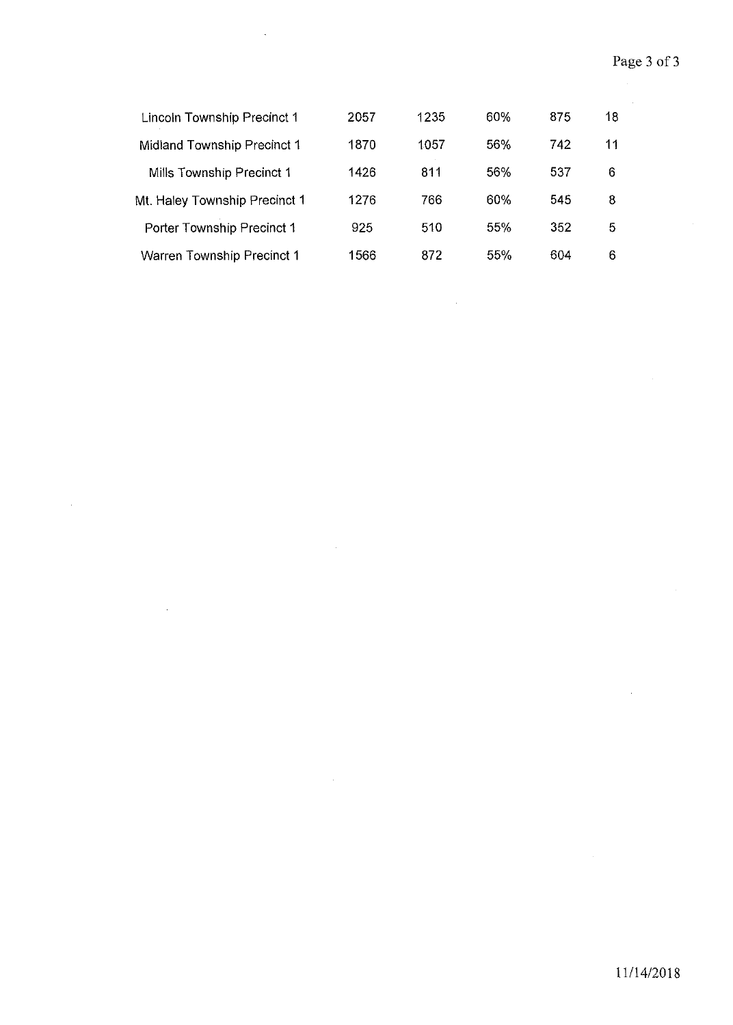$\mathcal{A}$ 

| <b>Lincoln Township Precinct 1</b> | 2057 | 1235 | 60% | 875 | 18 |  |
|------------------------------------|------|------|-----|-----|----|--|
| Midland Township Precinct 1        | 1870 | 1057 | 56% | 742 | 11 |  |
| Mills Township Precinct 1          | 1426 | 811  | 56% | 537 | 6  |  |
| Mt. Haley Township Precinct 1      | 1276 | 766  | 60% | 545 | 8  |  |
| Porter Township Precinct 1         | 925  | 510  | 55% | 352 | 5  |  |
| <b>Warren Township Precinct 1</b>  | 1566 | 872  | 55% | 604 | 6  |  |

 $\sim$ 

 $\bar{\phantom{a}}$ 

 $\hat{\mathcal{A}}$ 

 $\bar{\beta}$ 

 $\ddot{\phantom{a}}$ 

 $\sim$ 

 $\hat{\mathcal{A}}$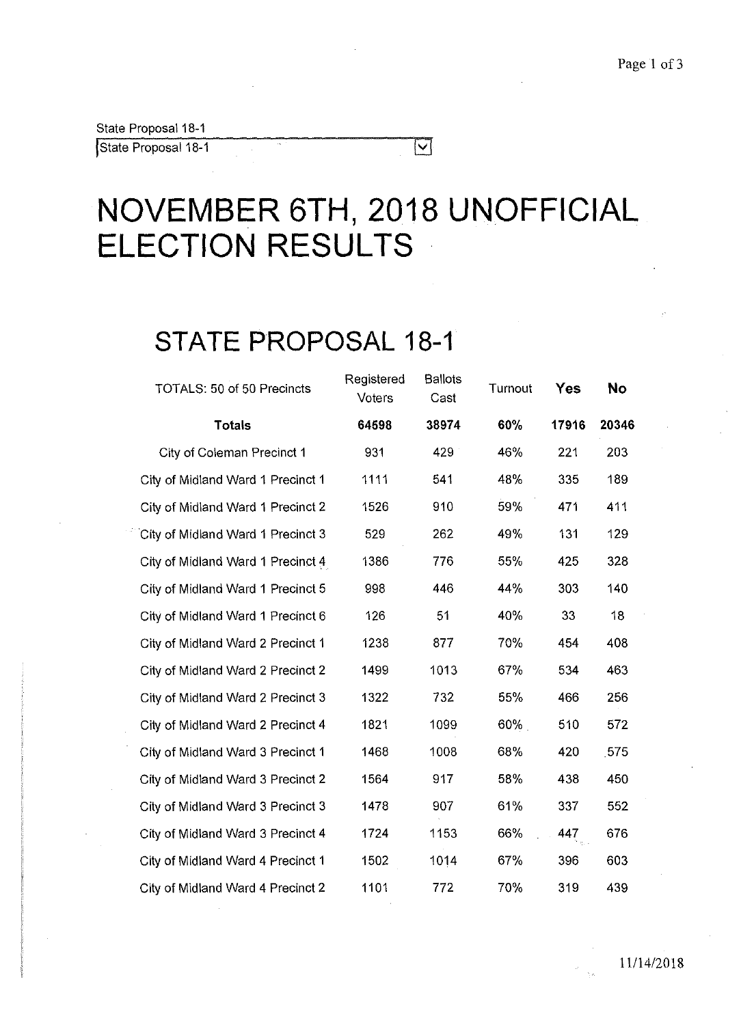State Proposal 18-1

State Proposal 18-1

# **NOVEMBER 6TH, 2018 UNOFFICIAL ELECTION RESULTS**

 $\boxed{\text{v}}$ 

## **STATE PROPOSAL 18-1**

| TOTALS: 50 of 50 Precincts        | Registered<br>Voters | <b>Ballots</b><br>Cast | Turnout | Yes   | <b>No</b> |
|-----------------------------------|----------------------|------------------------|---------|-------|-----------|
| <b>Totals</b>                     | 64598                | 38974                  | 60%     | 17916 | 20346     |
| City of Coleman Precinct 1        | 931                  | 429                    | 46%     | 221   | 203       |
| City of Midland Ward 1 Precinct 1 | 1111                 | 541                    | 48%     | 335   | 189       |
| City of Midland Ward 1 Precinct 2 | 1526                 | 910                    | 59%     | 471   | 411       |
| City of Midland Ward 1 Precinct 3 | 529                  | 262                    | 49%     | 131   | 129       |
| City of Midland Ward 1 Precinct 4 | 1386                 | 776                    | 55%     | 425   | 328       |
| City of Midland Ward 1 Precinct 5 | 998                  | 446                    | 44%     | 303   | 140       |
| City of Midland Ward 1 Precinct 6 | 126                  | 51                     | 40%     | 33    | 18        |
| City of Midland Ward 2 Precinct 1 | 1238                 | 877                    | 70%     | 454   | 408       |
| City of Midland Ward 2 Precinct 2 | 1499                 | 1013                   | 67%     | 534   | 463       |
| City of Midland Ward 2 Precinct 3 | 1322                 | 732                    | 55%     | 466   | 256       |
| City of Midland Ward 2 Precinct 4 | 1821                 | 1099                   | 60%     | 510   | 572       |
| City of Midland Ward 3 Precinct 1 | 1468                 | 1008                   | 68%     | 420   | 575       |
| City of Midland Ward 3 Precinct 2 | 1564                 | 917                    | 58%     | 438   | 450       |
| City of Midland Ward 3 Precinct 3 | 1478                 | 907                    | 61%     | 337   | 552       |
| City of Midland Ward 3 Precinct 4 | 1724                 | 1153                   | 66%     | 447   | 676       |
| City of Midland Ward 4 Precinct 1 | 1502                 | 1014                   | 67%     | 396   | 603       |
| City of Midland Ward 4 Precinct 2 | 1101                 | 772                    | 70%     | 319   | 439       |
|                                   |                      |                        |         |       |           |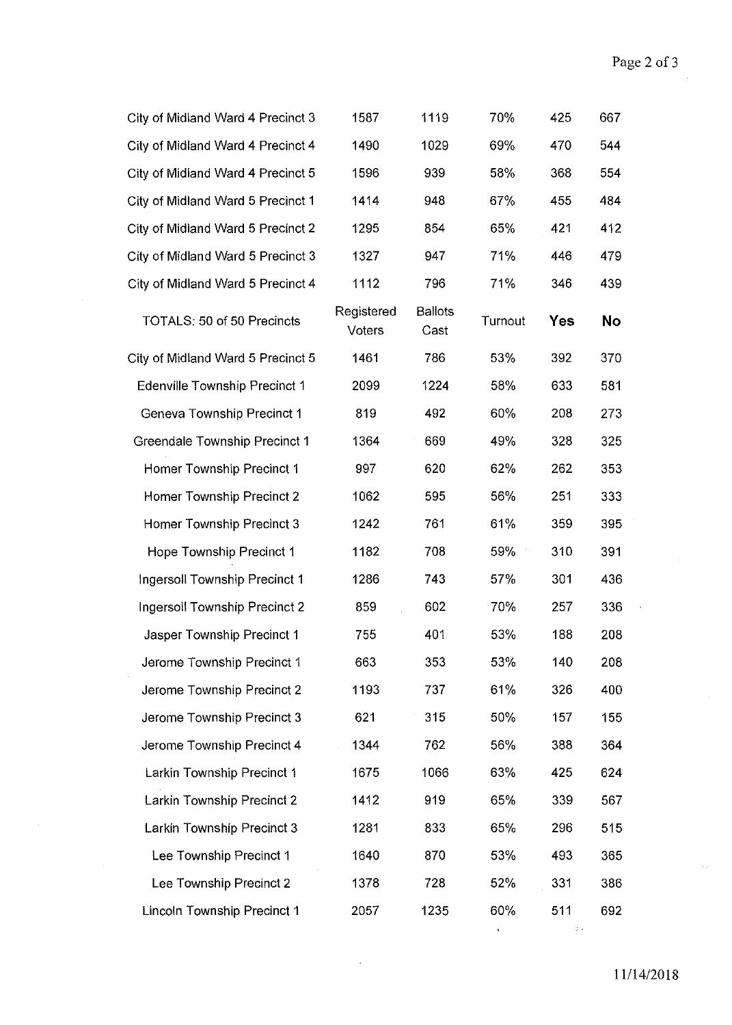| City of Midland Ward 4 Precinct 3    | 1587                 | 1119                   | 70%     | 425        | 667 |
|--------------------------------------|----------------------|------------------------|---------|------------|-----|
| City of Midland Ward 4 Precinct 4    | 1490                 | 1029                   | 69%     | 470        | 544 |
| City of Midland Ward 4 Precinct 5    | 1596                 | 939                    | 58%     | 368        | 554 |
| City of Midland Ward 5 Precinct 1    | 1414                 | 948                    | 67%     | 455        | 484 |
| City of Midland Ward 5 Precinct 2    | 1295                 | 854                    | 65%     | 421        | 412 |
| City of Midland Ward 5 Precinct 3    | 1327                 | 947                    | 71%     | 446        | 479 |
| City of Midland Ward 5 Precinct 4    | 1112                 | 796                    | 71%     | 346        | 439 |
| TOTALS: 50 of 50 Precincts           | Registered<br>Voters | <b>Ballots</b><br>Cast | Turnout | <b>Yes</b> | No  |
| City of Midland Ward 5 Precinct 5    | 1461                 | 786                    | 53%     | 392        | 370 |
| <b>Edenville Township Precinct 1</b> | 2099                 | 1224                   | 58%     | 633        | 581 |
| Geneva Township Precinct 1           | 819                  | 492                    | 60%     | 208        | 273 |
| <b>Greendale Township Precinct 1</b> | 1364                 | 669                    | 49%     | 328        | 325 |
| Homer Township Precinct 1            | 997                  | 620                    | 62%     | 262        | 353 |
| Homer Township Precinct 2            | 1062                 | 595                    | 56%     | 251        | 333 |
| Homer Township Precinct 3            | 1242                 | 761                    | 61%     | 359        | 395 |
| Hope Township Precinct 1             | 1182                 | 708                    | 59%     | 310        | 391 |
| Ingersoll Township Precinct 1        | 1286                 | 743                    | 57%     | 301        | 436 |
| Ingersoll Township Precinct 2        | 859                  | 602                    | 70%     | 257        | 336 |
| Jasper Township Precinct 1           | 755                  | 401                    | 53%     | 188        | 208 |
| Jerome Township Precinct 1           | 663                  | 353                    | 53%     | 140        | 208 |
| Jerome Township Precinct 2           | 1193                 | 737                    | 61%     | 326        | 400 |
| Jerome Township Precinct 3           | 621                  | 315                    | 50%     | 157        | 155 |
| Jerome Township Precinct 4           | 1344                 | 762                    | 56%     | 388        | 364 |
| Larkin Township Precinct 1           | 1675                 | 1066                   | 63%     | 425        | 624 |
| Larkin Township Precinct 2           | 1412                 | 919                    | 65%     | 339        | 567 |
| Larkin Township Precinct 3           | 1281                 | 833                    | 65%     | 296        | 515 |
| Lee Township Precinct 1              | 1640                 | 870                    | 53%     | 493        | 365 |
| Lee Township Precinct 2              | 1378                 | 728                    | 52%     | 331        | 386 |
| <b>Lincoln Township Precinct 1</b>   | 2057                 | 1235                   | 60%     | 511        | 692 |
|                                      |                      |                        |         |            |     |

 $\bar{\lambda}$  .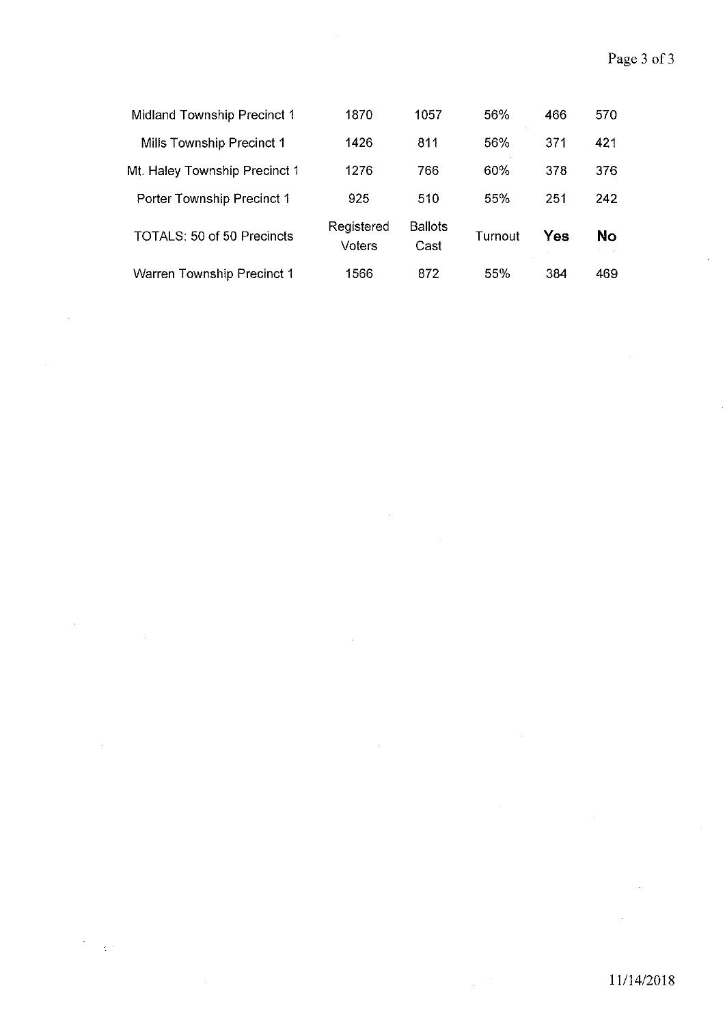| Midland Township Precinct 1       | 1870                 | 1057                   | 56%     | 466 | 570 |
|-----------------------------------|----------------------|------------------------|---------|-----|-----|
| Mills Township Precinct 1         | 1426                 | 811                    | 56%     | 371 | 421 |
| Mt. Haley Township Precinct 1     | 1276                 | 766                    | 60%     | 378 | 376 |
| Porter Township Precinct 1        | 925                  | 510                    | 55%     | 251 | 242 |
| <b>TOTALS: 50 of 50 Precincts</b> | Registered<br>Voters | <b>Ballots</b><br>Cast | Turnout | Yes | No  |
| <b>Warren Township Precinct 1</b> | 1566                 | 872                    | 55%     | 384 | 469 |

 $\hat{\mathcal{A}}$ 

 $\bar{z}$ 

à.

 $\frac{1}{2} \frac{1}{2} \frac{1}{2}$ 

 $\hat{\mathcal{A}}$ 

 $\hat{\boldsymbol{\beta}}$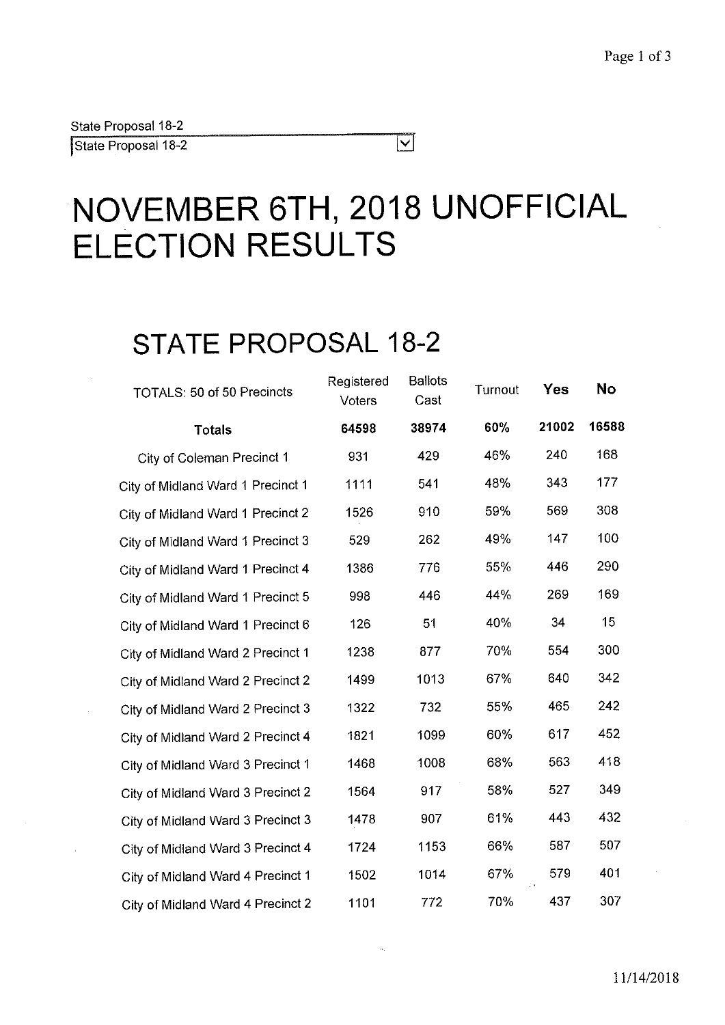State Proposal 18-2

**j** State Proposal 18-2

# **NOVEMBER 6TH, 2018 UNOFFICIAL ELECTION RESULTS**

 $\overline{\vert \mathbf{v} \vert}$ 

# **STATE PROPOSAL 18-2**

| TOTALS: 50 of 50 Precincts        | Registered<br>Voters | <b>Ballots</b><br>Cast | Turnout | <b>Yes</b> | <b>No</b> |
|-----------------------------------|----------------------|------------------------|---------|------------|-----------|
| <b>Totals</b>                     | 64598                | 38974                  | 60%     | 21002      | 16588     |
| City of Coleman Precinct 1        | 931                  | 429                    | 46%     | 240        | 168       |
| City of Midland Ward 1 Precinct 1 | 1111                 | 541                    | 48%     | 343        | 177       |
| City of Midland Ward 1 Precinct 2 | 1526                 | 910                    | 59%     | 569        | 308       |
| City of Midland Ward 1 Precinct 3 | 529                  | 262                    | 49%     | 147        | 100       |
| City of Midland Ward 1 Precinct 4 | 1386                 | 776                    | 55%     | 446        | 290       |
| City of Midland Ward 1 Precinct 5 | 998                  | 446                    | 44%     | 269        | 169       |
| City of Midland Ward 1 Precinct 6 | 126                  | 51                     | 40%     | 34         | 15        |
| City of Midland Ward 2 Precinct 1 | 1238                 | 877                    | 70%     | 554        | 300       |
| City of Midland Ward 2 Precinct 2 | 1499                 | 1013                   | 67%     | 640        | 342       |
| City of Midland Ward 2 Precinct 3 | 1322                 | 732                    | 55%     | 465        | 242       |
| City of Midland Ward 2 Precinct 4 | 1821                 | 1099                   | 60%     | 617        | 452       |
| City of Midland Ward 3 Precinct 1 | 1468                 | 1008                   | 68%     | 563        | 418       |
| City of Midland Ward 3 Precinct 2 | 1564                 | 917                    | 58%     | 527        | 349       |
| City of Midland Ward 3 Precinct 3 | 1478                 | 907                    | 61%     | 443        | 432       |
| City of Midland Ward 3 Precinct 4 | 1724                 | 1153                   | 66%     | 587        | 507       |
| City of Midland Ward 4 Precinct 1 | 1502                 | 1014                   | 67%     | 579        | 401       |
| City of Midland Ward 4 Precinct 2 | 1101                 | 772                    | 70%     | 437        | 307       |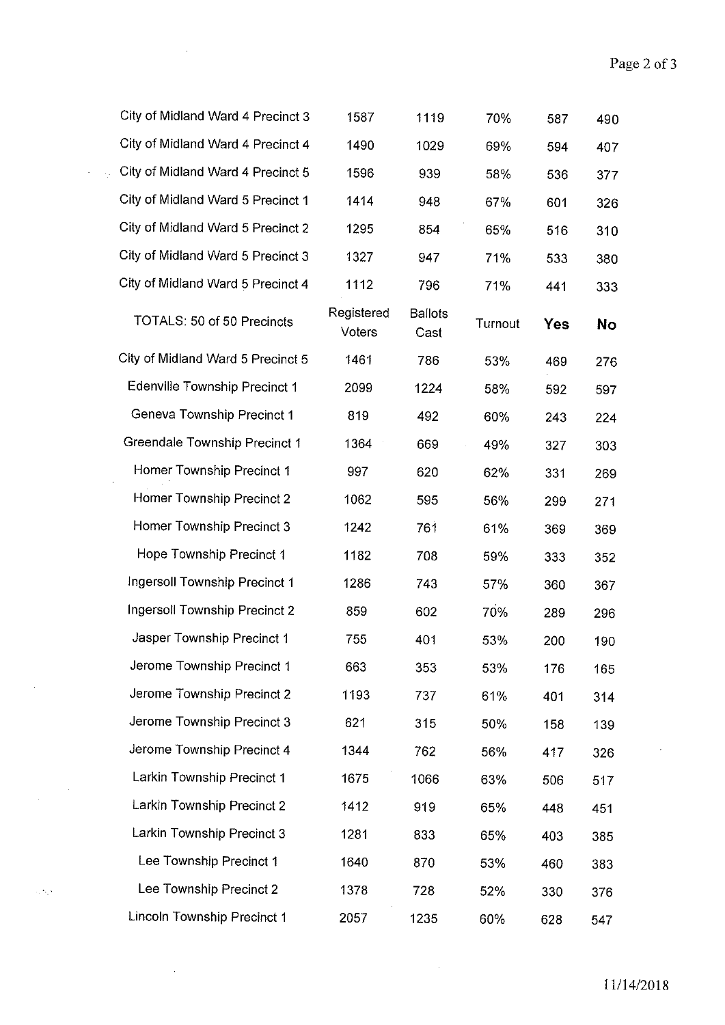| City of Midland Ward 4 Precinct 3    | 1587                 | 1119                   | 70%     | 587        | 490       |
|--------------------------------------|----------------------|------------------------|---------|------------|-----------|
| City of Midland Ward 4 Precinct 4    | 1490                 | 1029                   | 69%     | 594        | 407       |
| City of Midland Ward 4 Precinct 5    | 1596                 | 939                    | 58%     | 536        | 377       |
| City of Midland Ward 5 Precinct 1    | 1414                 | 948                    | 67%     | 601        | 326       |
| City of Midland Ward 5 Precinct 2    | 1295                 | 854                    | 65%     | 516        | 310       |
| City of Midland Ward 5 Precinct 3    | 1327                 | 947                    | 71%     | 533        | 380       |
| City of Midland Ward 5 Precinct 4    | 1112                 | 796                    | 71%     | 441        | 333       |
| TOTALS: 50 of 50 Precincts           | Registered<br>Voters | <b>Ballots</b><br>Cast | Turnout | <b>Yes</b> | <b>No</b> |
| City of Midland Ward 5 Precinct 5    | 1461                 | 786                    | 53%     | 469        | 276       |
| <b>Edenville Township Precinct 1</b> | 2099                 | 1224                   | 58%     | 592        | 597       |
| Geneva Township Precinct 1           | 819                  | 492                    | 60%     | 243        | 224       |
| Greendale Township Precinct 1        | 1364                 | 669                    | 49%     | 327        | 303       |
| Homer Township Precinct 1            | 997                  | 620                    | 62%     | 331        | 269       |
| Homer Township Precinct 2            | 1062                 | 595                    | 56%     | 299        | 271       |
| Homer Township Precinct 3            | 1242                 | 761                    | 61%     | 369        | 369       |
| Hope Township Precinct 1             | 1182                 | 708                    | 59%     | 333        | 352       |
| Ingersoll Township Precinct 1        | 1286                 | 743                    | 57%     | 360        | 367       |
| Ingersoll Township Precinct 2        | 859                  | 602                    | 70%     | 289        | 296       |
| Jasper Township Precinct 1           | 755                  | 401                    | 53%     | 200        | 190       |
| Jerome Township Precinct 1           | 663                  | 353                    | 53%     | 176        | 165       |
| Jerome Township Precinct 2           | 1193                 | 737                    | 61%     | 401        | 314       |
| Jerome Township Precinct 3           | 621                  | 315                    | 50%     | 158        | 139       |
| Jerome Township Precinct 4           | 1344                 | 762                    | 56%     | 417        | 326       |
| Larkin Township Precinct 1           | 1675                 | 1066                   | 63%     | 506        | 517       |
| Larkin Township Precinct 2           | 1412                 | 919                    | 65%     | 448        | 451       |
| Larkin Township Precinct 3           | 1281                 | 833                    | 65%     | 403        | 385       |
| Lee Township Precinct 1              | 1640                 | 870                    | 53%     | 460        | 383       |
| Lee Township Precinct 2              | 1378                 | 728                    | 52%     | 330        | 376       |
| Lincoln Township Precinct 1          | 2057                 | 1235                   | 60%     | 628        | 547       |

 $\sim 10^6$ 

 $\sim 10^{-1}$ 

 $\frac{1}{2} \sum_{i=1}^n \frac{1}{2} \sum_{j=1}^n \frac{1}{2} \sum_{j=1}^n \frac{1}{2} \sum_{j=1}^n \frac{1}{2} \sum_{j=1}^n \frac{1}{2} \sum_{j=1}^n \frac{1}{2} \sum_{j=1}^n \frac{1}{2} \sum_{j=1}^n \frac{1}{2} \sum_{j=1}^n \frac{1}{2} \sum_{j=1}^n \frac{1}{2} \sum_{j=1}^n \frac{1}{2} \sum_{j=1}^n \frac{1}{2} \sum_{j=1}^n \frac{1}{2} \sum_{j=$ 

 $\sim 10^{12}$ 

 $\mathcal{A}$ 

 $\hat{\boldsymbol{\cdot}$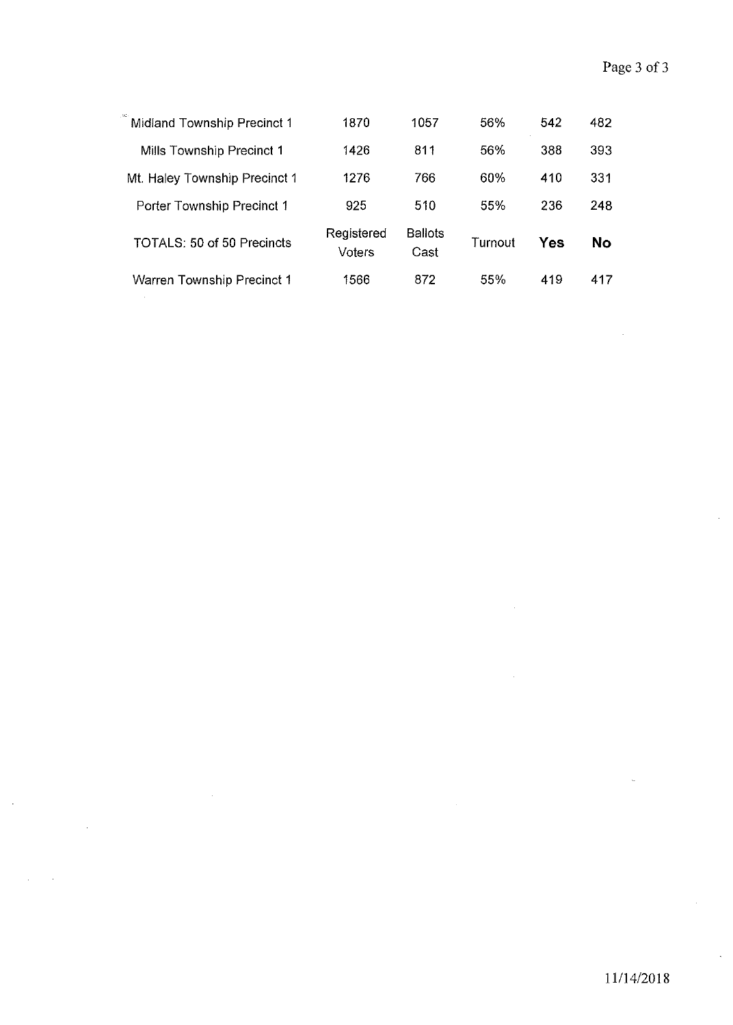| Midland Township Precinct 1   | 1870                 | 1057                   | 56%     | 542 | 482       |
|-------------------------------|----------------------|------------------------|---------|-----|-----------|
| Mills Township Precinct 1     | 1426                 | 811                    | 56%     | 388 | 393       |
| Mt. Haley Township Precinct 1 | 1276                 | 766                    | 60%     | 410 | 331       |
| Porter Township Precinct 1    | 925                  | 510                    | 55%     | 236 | 248       |
| TOTALS: 50 of 50 Precincts    | Registered<br>Voters | <b>Ballots</b><br>Cast | Turnout | Yes | <b>No</b> |
| Warren Township Precinct 1    | 1566                 | 872                    | 55%     | 419 | 417       |

 $\hat{\boldsymbol{\beta}}$ 

 $\bar{\gamma}$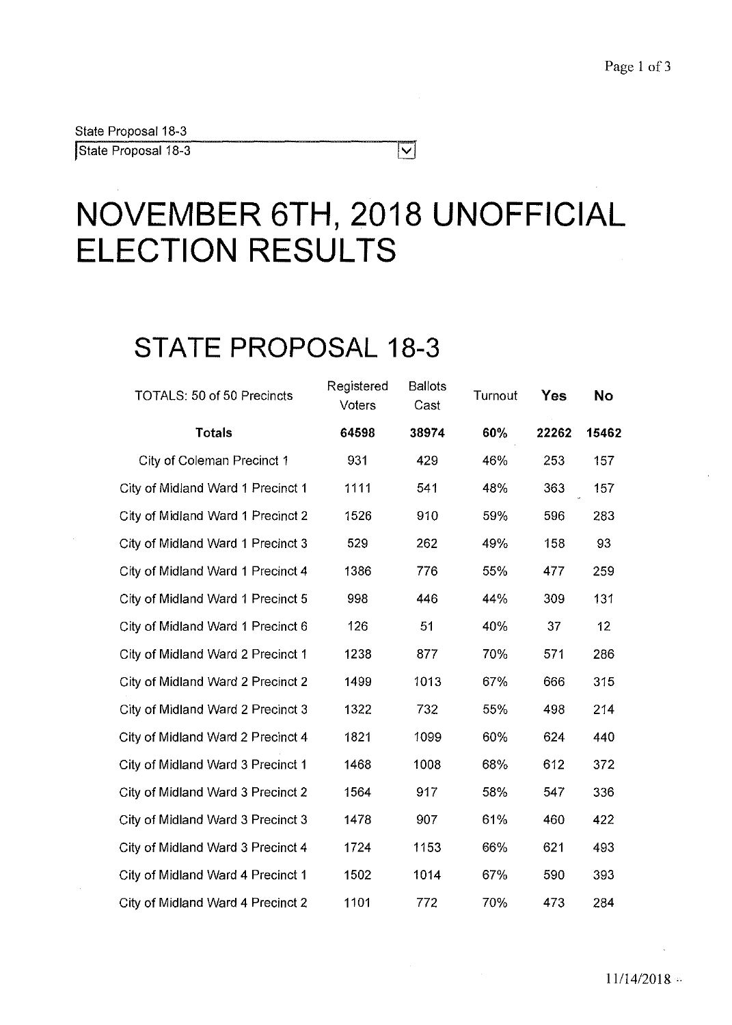State Proposal 18-3 State Proposal 18-3

## **NOVEMBER 6TH, 2018 UNOFFICIAL ELECTION RESULTS**

 $\overline{\bm{\vee}}$ 

## **STATE PROPOSAL 18-3**

| TOTALS: 50 of 50 Precincts        | Registered<br>Voters | <b>Ballots</b><br>Cast | Turnout | <b>Yes</b> | <b>No</b> |
|-----------------------------------|----------------------|------------------------|---------|------------|-----------|
| <b>Totals</b>                     | 64598                | 38974                  | 60%     | 22262      | 15462     |
| City of Coleman Precinct 1        | 931                  | 429                    | 46%     | 253        | 157       |
| City of Midland Ward 1 Precinct 1 | 1111                 | 541                    | 48%     | 363        | 157       |
| City of Midland Ward 1 Precinct 2 | 1526                 | 910                    | 59%     | 596        | 283       |
| City of Midland Ward 1 Precinct 3 | 529                  | 262                    | 49%     | 158        | 93        |
| City of Midland Ward 1 Precinct 4 | 1386                 | 776                    | 55%     | 477        | 259       |
| City of Midland Ward 1 Precinct 5 | 998                  | 446                    | 44%     | 309        | 131       |
| City of Midland Ward 1 Precinct 6 | 126                  | 51                     | 40%     | 37         | 12        |
| City of Midland Ward 2 Precinct 1 | 1238                 | 877                    | 70%     | 571        | 286       |
| City of Midland Ward 2 Precinct 2 | 1499                 | 1013                   | 67%     | 666        | 315       |
| City of Midland Ward 2 Precinct 3 | 1322                 | 732                    | 55%     | 498        | 214       |
| City of Midland Ward 2 Precinct 4 | 1821                 | 1099                   | 60%     | 624        | 440       |
| City of Midland Ward 3 Precinct 1 | 1468                 | 1008                   | 68%     | 612        | 372       |
| City of Midland Ward 3 Precinct 2 | 1564                 | 917                    | 58%     | 547        | 336       |
| City of Midland Ward 3 Precinct 3 | 1478                 | 907                    | 61%     | 460        | 422       |
| City of Midland Ward 3 Precinct 4 | 1724                 | 1153                   | 66%     | 621        | 493       |
| City of Midland Ward 4 Precinct 1 | 1502                 | 1014                   | 67%     | 590        | 393       |
| City of Midland Ward 4 Precinct 2 | 1101                 | 772                    | 70%     | 473        | 284       |

 $\sim$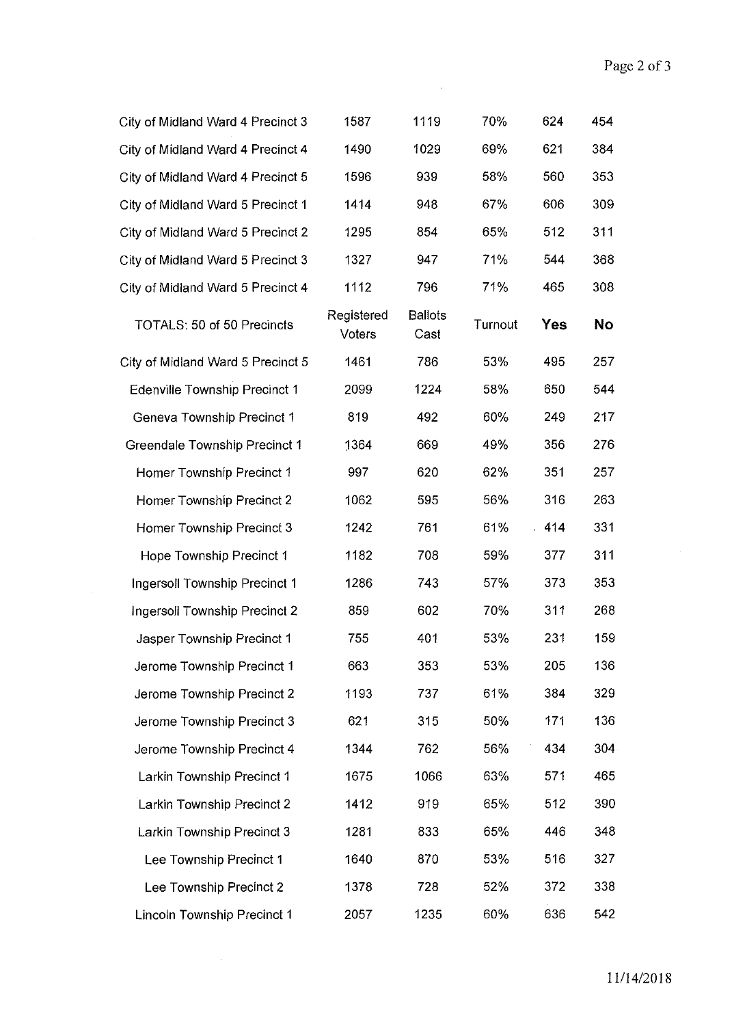| City of Midland Ward 4 Precinct 3    | 1587                 | 1119                   | 70%     | 624 | 454 |
|--------------------------------------|----------------------|------------------------|---------|-----|-----|
| City of Midland Ward 4 Precinct 4    | 1490                 | 1029                   | 69%     | 621 | 384 |
| City of Midland Ward 4 Precinct 5    | 1596                 | 939                    | 58%     | 560 | 353 |
| City of Midland Ward 5 Precinct 1    | 1414                 | 948                    | 67%     | 606 | 309 |
| City of Midland Ward 5 Precinct 2    | 1295                 | 854                    | 65%     | 512 | 311 |
| City of Midland Ward 5 Precinct 3    | 1327                 | 947                    | 71%     | 544 | 368 |
| City of Midland Ward 5 Precinct 4    | 1112                 | 796                    | 71%     | 465 | 308 |
| TOTALS: 50 of 50 Precincts           | Registered<br>Voters | <b>Ballots</b><br>Cast | Turnout | Yes | No  |
| City of Midland Ward 5 Precinct 5    | 1461                 | 786                    | 53%     | 495 | 257 |
| Edenville Township Precinct 1        | 2099                 | 1224                   | 58%     | 650 | 544 |
| Geneva Township Precinct 1           | 819                  | 492                    | 60%     | 249 | 217 |
| Greendale Township Precinct 1        | 1364                 | 669                    | 49%     | 356 | 276 |
| Homer Township Precinct 1            | 997                  | 620                    | 62%     | 351 | 257 |
| Homer Township Precinct 2            | 1062                 | 595                    | 56%     | 316 | 263 |
| Homer Township Precinct 3            | 1242                 | 761                    | 61%     | 414 | 331 |
| Hope Township Precinct 1             | 1182                 | 708                    | 59%     | 377 | 311 |
| <b>Ingersoll Township Precinct 1</b> | 1286                 | 743                    | 57%     | 373 | 353 |
| Ingersoll Township Precinct 2        | 859                  | 602                    | 70%     | 311 | 268 |
| Jasper Township Precinct 1           | 755                  | 401                    | 53%     | 231 | 159 |
| Jerome Township Precinct 1           | 663                  | 353                    | 53%     | 205 | 136 |
| Jerome Township Precinct 2           | 1193                 | 737                    | 61%     | 384 | 329 |
| Jerome Township Precinct 3           | 621                  | 315                    | 50%     | 171 | 136 |
| Jerome Township Precinct 4           | 1344                 | 762                    | 56%     | 434 | 304 |
| Larkin Township Precinct 1           | 1675                 | 1066                   | 63%     | 571 | 465 |
| Larkin Township Precinct 2           | 1412                 | 919                    | 65%     | 512 | 390 |
| Larkin Township Precinct 3           | 1281                 | 833                    | 65%     | 446 | 348 |
| Lee Township Precinct 1              | 1640                 | 870                    | 53%     | 516 | 327 |
| Lee Township Precinct 2              | 1378                 | 728                    | 52%     | 372 | 338 |
| Lincoln Township Precinct 1          | 2057                 | 1235                   | 60%     | 636 | 542 |

 $\sim 10^{-1}$ 

 $\sim 10^{11}$